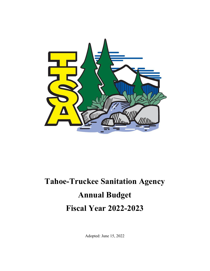

# **Tahoe-Truckee Sanitation Agency Annual Budget Fiscal Year 2022-2023**

Adopted: June 15, 2022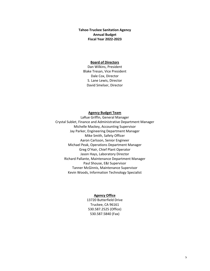**Tahoe‐Truckee Sanitation Agency Annual Budget Fiscal Year 2022‐2023**

#### **Board of Directors**

Dan Wilkins, President Blake Tresan, Vice President Dale Cox, Director S. Lane Lewis, Director David Smelser, Director

#### **Agency Budget Team**

LaRue Griffin, General Manager Crystal Sublet, Finance and Administrative Department Manager Michelle Mackey, Accounting Supervisor Jay Parker, Engineering Department Manager Mike Smith, Safety Officer Aaron Carlsson, Senior Engineer Michael Peak, Operations Department Manager Greg O'Hair, Chief Plant Operator Jason Hays, Laboratory Director Richard Pallante, Maintenance Department Manager Paul Shouse, E&I Supervisor Tanner McGinnis, Maintenance Supervisor Kevin Woods, Information Technology Specialist

#### **Agency Office**

13720 Butterfield Drive Truckee, CA 96161 530.587.2525 (Office) 530.587.5840 (Fax)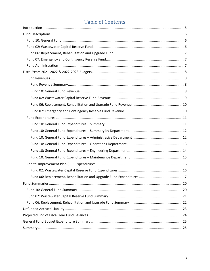# **Table of Contents**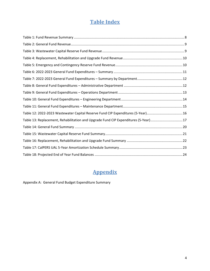# **Table Index**

| Table 12: 2022-2023 Wastewater Capital Reserve Fund CIP Expenditures (5-Year)16    |  |
|------------------------------------------------------------------------------------|--|
| Table 13: Replacement, Rehabilitation and Upgrade Fund CIP Expenditures (5-Year)17 |  |
|                                                                                    |  |
|                                                                                    |  |
|                                                                                    |  |
|                                                                                    |  |
|                                                                                    |  |

# **Appendix**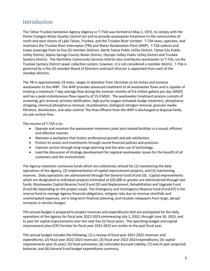# Introduction

The Tahoe Truckee Sanitation Agency (Agency or T‐TSA) was formed on May 1, 1972, to comply with the Porter‐Cologne Water Quality Control Act and to provide wastewater treatment to the communities of north and west shores of Lake Tahoe, Truckee, and the Truckee River corridor. T‐TSA owns, operates, and maintains the Truckee River Interceptor (TRI) and Water Reclamation Plant (WRP). T‐TSA collects and treats sewerage from its five (5) member Districts: North Tahoe Public Utility District, Tahoe City Public Utility District, Alpine Springs County Water District, Olympic Valley Public Utility District and Truckee Sanitary District. The NorthStar Community Services District also contributes wastewater to T‐TSA, via the Truckee Sanitary District sewer collection system, however, it is not considered a member district. T‐TSA is governed by a five (5) member Board of Directors and each Director is appointed from each of the member districts.

The TRI is approximately 19 miles, ranges in diameter from 18-inches to 42-inches and conveys wastewater to the WRP. The WRP provides advanced treatment of all wastewater flows and is capable of treating a maximum 7‐day average flow during the summer months of 9.6 million gallons per day (MGD) and has a peak instantaneous flow capacity of 15.4 MGD. The wastewater treatment process consists of screening, grit removal, primary clarification, high‐purity oxygen activated sludge treatment, phosphorus stripping, chemical phosphorus removal, recarbonation, biological nitrogen removal, granular media filtration, disinfection, and odor control. The final effluent from the WRP is discharged to disposal fields, via sub‐surface flow.

The mission of T-TSA is to:

- Operate and maintain the wastewater treatment plant and related facilities in a sound, efficient and effective manner.
- Maintain a workplace that fosters professional growth and job satisfaction.
- Protect its assets and investments through sound financial policies and practices.
- Improve service through long‐range planning and the wise use of technology.
- Lead the discussion of strategy development for regional wastewater issues for the benefit of all customers and the environment.

The Agency maintains numerous funds which are collectively utilized for (1) maintaining the daily operations of the Agency, (2) implementation of capital improvement projects, and (3) maintaining reserves. Daily operations are administered through the General Fund (Fund 10). Capital improvements which are designated as individual projects estimated at \$25,000 or greater are administered through two funds: Wastewater Capital Reserve Fund (Fund 02) and Replacement, Rehabilitation and Upgrade Fund (Fund 06) depending on the project scope. The Emergency and Contingency Reserve Fund (Fund 07) is the reserve fund to manage Agency financial obligations, mitigate risks due to revenue shortfalls and unanticipated expenses, aid in long‐term financial planning, and insulate ratepayers from large, abrupt increases in service charges.

This annual budget is prepared to project revenues and expenditures that are anticipated for the daily operations of the Agency for fiscal year 2022‐2023 commencing July 1, 2022, through June 30, 2023, and to plan for capital improvements over the next five (5) fiscal years. The operating budget and capital improvement plan (CIP) formats for fiscal year 2022‐2023 are similar to the past fiscal year.

This annual budget includes the following: (1) a review of fiscal year 2021‐2022 revenues and expenditures; (2) fiscal year 2022‐2023 revenues; (3) fiscal year 2022‐2023 expenditures; (4) capital improvements plan (5‐year); (5) fund summaries; (6) Unfunded Accrued Liability; (7) end of year projected balances; and (8) General Fund budget expenditures summary.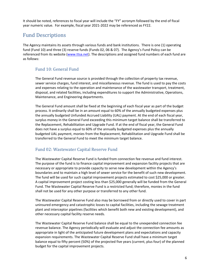It should be noted, references to fiscal year will include the "FY" acronym followed by the end of fiscal year numeric value. For example, fiscal year 2021‐2022 may be referenced as FY22.

# Fund Descriptions

The Agency maintains its assets through various funds and bank institutions. There is one (1) operating fund (Fund 10) and three (3) reserve funds (Funds 02, 06 & 07). The Agency's Fund Policy can be referenced from its website (www.ttsa.net). The descriptions and assigned fund numbers of each fund are as follows:

### Fund 10: General Fund

The General Fund revenue source is provided through the collection of property tax revenue, sewer service charges, fund interest, and miscellaneous revenue. The fund is used to pay the costs and expenses relating to the operation and maintenance of the wastewater transport, treatment, disposal, and related facilities, including expenditures to support the Administrative, Operations, Maintenance, and Engineering departments.

The General Fund amount shall be fixed at the beginning of each fiscal year as part of the budget process. It ordinarily shall be in an amount equal to 60% of the annually budgeted expenses plus the annually budgeted Unfunded Accrued Liability (UAL) payment. At the end of each fiscal year, surplus money in the General Fund exceeding this minimum target balance shall be transferred to the Replacement, Rehabilitation and Upgrade Fund. If at the end of fiscal year, the General Fund does not have a surplus equal to 60% of the annually budgeted expenses plus the annually budgeted UAL payment, monies from the Replacement, Rehabilitation and Upgrade Fund shall be transferred to the General Fund to meet the minimum target balance.

### Fund 02: Wastewater Capital Reserve Fund

The Wastewater Capital Reserve Fund is funded from connection fee revenue and fund interest. The purpose of the fund is to finance capital improvement and expansion facility projects that are necessary or appropriate to provide capacity to serve new development within the Agency's boundaries and to maintain a high level of sewer service for the benefit of such new development. The fund will be used for such capital improvement projects estimated to cost \$25,000 or greater. A capital improvement project costing less than \$25,000 generally will be funded from the General Fund. The Wastewater Capital Reserve Fund is a restricted fund; therefore, monies in the fund shall not be used for any other purpose or transferred to any other fund.

The Wastewater Capital Reserve Fund also may be borrowed from or directly used to cover in part uninsured emergency and catastrophic losses to capital facilities, including the sewage treatment plant and interceptor pipelines (facilities which benefit both new and existing development), and other necessary capital facility reserve needs.

The Wastewater Capital Reserve Fund balance shall be equal to the unexpended connection fee revenue balance. The Agency periodically will evaluate and adjust the connection fee amounts as appropriate in light of the anticipated future development plans and expectations and capacity expansion requirements. The Wastewater Capital Reserve Fund shall have a minimum target balance equal to fifty percent (50%) of the projected five years (current, plus four) of the planned budget for the capital improvement projects.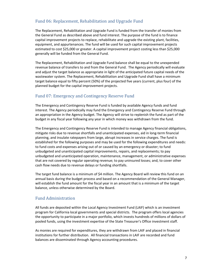### Fund 06: Replacement, Rehabilitation and Upgrade Fund

The Replacement, Rehabilitation and Upgrade Fund is funded from the transfer of monies from the General Fund as described above and fund interest. The purpose of the fund is to finance capital improvement projects to replace, rehabilitate and upgrade the existing plant, facilities, equipment, and appurtenances. The fund will be used for such capital improvement projects estimated to cost \$25,000 or greater. A capital improvement project costing less than \$25,000 generally will be funded from the General Fund.

The Replacement, Rehabilitation and Upgrade Fund balance shall be equal to the unexpended revenue balance of transfers to and from the General Fund. The Agency periodically will evaluate and adjust the target balance as appropriate in light of the anticipated future capital needs of the wastewater system. The Replacement, Rehabilitation and Upgrade Fund shall have a minimum target balance equal to fifty percent (50%) of the projected five years (current, plus four) of the planned budget for the capital improvement projects.

### Fund 07: Emergency and Contingency Reserve Fund

The Emergency and Contingency Reserve Fund is funded by available Agency funds and fund interest. The Agency periodically may fund the Emergency and Contingency Reserve Fund through an appropriation in the Agency budget. The Agency will strive to replenish the fund as part of the budget in any fiscal year following any year in which money was withdrawn from the fund.

The Emergency and Contingency Reserve Fund is intended to manage Agency financial obligations, mitigate risks due to revenue shortfalls and unanticipated expenses, aid in long‐term financial planning, and insulate ratepayers from large, abrupt increases in service charges. The fund is established for the following purposes and may be used for the following expenditures and needs: to fund costs and expenses arising out of or caused by an emergency or disaster; to fund unbudgeted and unanticipated capital improvements, repairs, and replacements; to pay unbudgeted and unanticipated operation, maintenance, management, or administrative expenses that are not covered by regular operating revenue; to pay uninsured losses; and, to cover other cash flow needs due to revenue delays or funding shortfalls.

The target fund balance is a minimum of \$4 million. The Agency Board will review this fund on an annual basis during the budget process and based on a recommendation of the General Manager, will establish the fund amount for the fiscal year in an amount that is a minimum of the target balance, unless otherwise determined by the Board.

### Fund Administration

All funds are deposited within the Local Agency Investment Fund (LAIF) which is an investment program for California local governments and special districts. The program offers local agencies the opportunity to participate in a major portfolio, which invests hundreds of millions of dollars of pooled funds, using the investment expertise of the State Treasurer's Office investment staff.

As monies are required for expenditures, they are withdrawn from LAIF and placed in financial institutions for further distribution. All financial transactions in LAIF are recorded and fund balances are disseminated through Agency accounting procedures.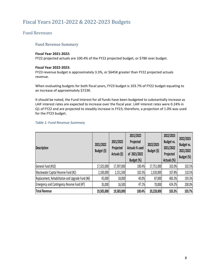# Fiscal Years 2021-2022 & 2022-2023 Budgets

### Fund Revenues

### Fund Revenue Summary

### **Fiscal Year 2021‐2022:**

FY22 projected actuals are 100.4% of the FY22 projected budget, or \$78K over budget.

### **Fiscal Year 2022‐2023:**

FY23 revenue budget is approximately 3.3%, or \$645K greater than FY22 projected actuals revenue.

When evaluating budgets for both fiscal years, FY23 budget is 103.7% of FY22 budget equating to an increase of approximately \$723K.

It should be noted, the Fund Interest for all funds have been budgeted to substantially increase as LAIF interest rates are expected to increase over the fiscal year. LAIF interest rates were 0.24% in Q1 of FY22 and are projected to steadily increase in FY23; therefore, a projection of 1.0% was used for the FY23 budget.

### *Table 1: Fund Revenue Summary*

| <b>Description</b>                                | 2021/2022<br>Budget (\$) | 2021/2022<br>Projected<br>Actuals (\$) | 2021/2022<br>Projected<br>Actuals % used<br>of 2021/2022<br>Budget (%) | 2022/2023<br>Budget (\$) | 2022/2023<br>Budget vs.<br>2021/2022<br>Projected<br>Actuals (%) | 2022/2023<br>Budget vs.<br>2021/2022<br>Budget (%) |
|---------------------------------------------------|--------------------------|----------------------------------------|------------------------------------------------------------------------|--------------------------|------------------------------------------------------------------|----------------------------------------------------|
| General Fund (#10)                                | 17,325,000               | 17,397,000                             | 100.4%                                                                 | 17,751,000               | 102.0%                                                           | 102.5%                                             |
| Wastewater Capital Reserve Fund (#2)              | 2,100,000                | 2,151,500                              | 102.5%                                                                 | 2,320,000                | 107.8%                                                           | 110.5%                                             |
| Replacement, Rehabilitation and Upgrade Fund (#6) | 45,000                   | 18,000                                 | 40.0%                                                                  | 87,000                   | 483.3%                                                           | 193.3%                                             |
| Emergency and Contingency Reserve Fund (#7)       | 35,000                   | 16,500                                 | 47.1%                                                                  | 70,000                   | 424.2%                                                           | 200.0%                                             |
| <b>Total Revenue</b>                              | 19,505,000               | 19,583,000                             | 100.4%                                                                 | 20,228,000               | 103.3%                                                           | 103.7%                                             |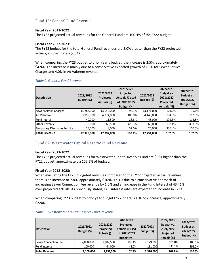### Fund 10: General Fund Revenue

### **Fiscal Year 2021‐2022**:

The FY22 projected actual revenues for the General Fund are 100.4% of the FY22 budget.

### **Fiscal Year 2022‐2023**:

The FY23 budget for the total General Fund revenues are 2.0% greater than the FY22 projected actuals, approximately \$354K.

When comparing the FY23 budget to prior year's budget, the increase is 2.5%, approximately \$426K. The increase is mainly due to a conservative expected growth of 1.0% for Sewer Service Charges and 4.0% in Ad Valorem revenue.

| <b>Description</b>          | 2021/2022<br>Budget (\$) | 2021/2022<br>Projected<br>Actuals (\$) | 2021/2022<br>Projected<br><b>Actuals % used</b><br>of 2021/2022<br>Budget (%) | 2022/2023<br>Budget (\$) | 2022/2023<br>Budget vs.<br>2021/2022<br>Projected<br>Actuals (%) | 2022/2023<br>Budget vs.<br>2021/2022<br>Budget (%) |
|-----------------------------|--------------------------|----------------------------------------|-------------------------------------------------------------------------------|--------------------------|------------------------------------------------------------------|----------------------------------------------------|
| Sewer Service Charges       | 13,287,000               | 13,040,000                             | 98.1%                                                                         | 13,171,000               | 101.0%                                                           | 99.1%                                              |
| Ad Valorem                  | 3,958,000                | 4,274,000                              | 108.0%                                                                        | 4,445,000                | 104.0%                                                           | 112.3%                                             |
| <b>Fund Interest</b>        | 40,000                   | 11,500                                 | 28.8%                                                                         | 45,000                   | 391.3%                                                           | 112.5%                                             |
| <b>Other Revenue</b>        | 15,000                   | 63,500                                 | 423.3%                                                                        | 65,000                   | 102.4%                                                           | 433.3%                                             |
| Temporary Discharge Permits | 25,000                   | 8,000                                  | 32.0%                                                                         | 25,000                   | 312.5%                                                           | 100.0%                                             |
| <b>Total Revenue</b>        | 17,325,000               | 17,397,000                             | 100.4%                                                                        | 17,751,000               | 102.0%                                                           | 102.5%                                             |

### *Table 2: General Fund Revenue*

### Fund 02: Wastewater Capital Reserve Fund Revenue

### **Fiscal Year 2021‐2022:**

The FY22 projected actual revenues for Wastewater Capital Reserve Fund are \$52K higher than the FY22 budget, approximately a 102.5% of budget.

### **Fiscal Year 2022‐2023:**

When evaluating the FY23 budgeted revenues compared to the FY22 projected actual revenues, there is an increase or 7.8%, approximately \$169K. This is due to a conservative approach of increasing Sewer Connection Fee revenue by 1.0% and an increase in the Fund Interest of 434.1% over projected actuals. As previously stated, LAIF interest rates are expected to increase in FY23.

When comparing FY23 budget to prior year budget FY22, there is a 10.5% increase, approximately \$220K.

| <b>Description</b>          | 2021/2022<br>Budget (\$) | 2021/2022<br>Projected<br>Actuals (\$) | 2021/2022<br>Projected<br>Actuals % used<br>of 2021/2022<br>Budget (%) | 2022/2023<br>Budget (\$) | 2022/2023<br>Budget vs.<br>2021/2022<br>Projected<br>Actuals (%) | 2022/2023<br><b>Budget vs.</b><br>2021/2022<br>Budget (%) |
|-----------------------------|--------------------------|----------------------------------------|------------------------------------------------------------------------|--------------------------|------------------------------------------------------------------|-----------------------------------------------------------|
| <b>Sewer Connection Fee</b> | 2,000,000                | 2,107,500                              | 105.4%                                                                 | 2,129,000                | 101.0%                                                           | 106.5%                                                    |
| <b>Fund Interest</b>        | 100,000                  | 44,000                                 | 44.0%                                                                  | 191.000                  | 434.1%                                                           | 191.0%                                                    |
| <b>Total Revenue</b>        | 2,100,000                | 2,151,500                              | 102.5%                                                                 | 2,320,000                | 107.8%                                                           | 110.5%                                                    |

### *Table 3: Wastewater Capital Reserve Fund Revenue*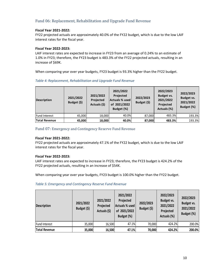### Fund 06: Replacement, Rehabilitation and Upgrade Fund Revenue

### **Fiscal Year 2021‐2022:**

FY22 projected actuals are approximately 40.0% of the FY22 budget, which is due to the low LAIF interest rates for the fiscal year.

### **Fiscal Year 2022‐2023:**

LAIF interest rates are expected to increase in FY23 from an average of 0.24% to an estimate of 1.0% in FY23; therefore, the FY23 budget is 483.3% of the FY22 projected actuals, resulting in an increase of \$69K.

When comparing year over year budgets, FY23 budget is 93.3% higher than the FY22 budget.

| <b>Description</b>   | 2021/2022<br>Budget (\$) | 2021/2022<br>Projected<br>Actuals (\$) | 2021/2022<br>Projected<br><b>Actuals % used</b><br>of 2021/2022<br>Budget (%) | 2022/2023<br>Budget (\$) | 2022/2023<br>Budget vs.<br>2021/2022<br>Projected<br>Actuals (%) | 2022/2023<br><b>Budget vs.</b><br>2021/2022<br>Budget (%) |
|----------------------|--------------------------|----------------------------------------|-------------------------------------------------------------------------------|--------------------------|------------------------------------------------------------------|-----------------------------------------------------------|
| <b>Fund Interest</b> | 45,000                   | 18,000                                 | 40.0%                                                                         | 87.000                   | 483.3%                                                           | 193.3%                                                    |
| Total Revenue        | 45,000                   | 18,000                                 | 40.0%                                                                         | 87,000                   | 483.3%                                                           | 193.3%                                                    |

### *Table 4: Replacement, Rehabilitation and Upgrade Fund Revenue*

### Fund 07: Emergency and Contingency Reserve Fund Revenue

### **Fiscal Year 2021‐2022:**

FY22 projected actuals are approximately 47.1% of the FY22 budget, which is due to the low LAIF interest rates for the fiscal year.

### **Fiscal Year 2022‐2023:**

LAIF interest rates are expected to increase in FY23; therefore, the FY23 budget is 424.2% of the FY22 projected actuals, resulting in an increase of \$54K.

When comparing year over year budgets, FY23 budget is 100.0% higher than the FY22 budget.

### *Table 5: Emergency and Contingency Reserve Fund Revenue*

| <b>Description</b> | 2021/2022<br>Budget (\$) | 2021/2022<br>Projected<br>Actuals (\$) | 2021/2022<br>Projected<br>Actuals % used<br>of 2021/2022<br>Budget (%) | 2022/2023<br>Budget (\$) | 2022/2023<br>Budget vs.<br>2021/2022<br>Projected<br>Actuals (%) | 2022/2023<br>Budget vs.<br>2021/2022<br>Budget (%) |
|--------------------|--------------------------|----------------------------------------|------------------------------------------------------------------------|--------------------------|------------------------------------------------------------------|----------------------------------------------------|
| Fund Interest      | 35,000                   | 16,500                                 | 47.1%                                                                  | 70,000                   | 424.2%                                                           | 200.0%                                             |
| Total Revenue      | 35,000                   | 16,500                                 | 47.1%                                                                  | 70,000                   | 424.2%                                                           | 200.0%                                             |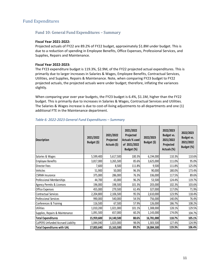### Fund Expenditures

### Fund 10: General Fund Expenditures – Summary

#### **Fiscal Year 2021‐2022:**

Projected actuals of FY22 are 89.2% of FY22 budget, approximately \$1.8M under budget. This is due to a reduction of spending in Employee Benefits, Office Expenses, Professional Services, and Supplies, Repairs and Maintenance.

### **Fiscal Year 2022‐2023:**

The FY23 expenditure budget is 119.3%, \$2.9M, of the FY22 projected actual expenditures. This is primarily due to larger increases in Salaries & Wages, Employee Benefits, Contractual Services, Utilities, and Supplies, Repairs & Maintenance. Note, when comparing FY23 budget to FY22 projected actuals, the projected actuals were under budget; therefore, inflating the variances slightly.

When comparing year over year budgets, the FY23 budget is 6.4%, \$1.1M, higher than the FY22 budget. This is primarily due to increases in Salaries & Wages, Contractual Services and Utilities. The Salaries & Wages increase is due to cost-of-living adjustments to all departments and one (1) additional FTE in the Maintenance department.

| <b>Description</b>                 | 2021/2022<br>Budget (\$) | 2021/2022<br>Projected<br>Actuals (\$) | 2021/2022<br>Projected<br>Actuals % used<br>of 2021/2022<br>Budget (%) | 2022/2023<br>Budget (\$) | 2022/2023<br>Budget vs.<br>2021/2022<br>Projected<br>Actuals (%) | 2022/2023<br><b>Budget vs.</b><br>2021/2022<br>Budget (%) |
|------------------------------------|--------------------------|----------------------------------------|------------------------------------------------------------------------|--------------------------|------------------------------------------------------------------|-----------------------------------------------------------|
| Salaries & Wages                   | 5,599,400                | 5,617,500                              | 100.3%                                                                 | 6,194,000                | 110.3%                                                           | 110.6%                                                    |
| <b>Employee Benefits</b>           | 3,817,000                | 3,265,500                              | 85.6%                                                                  | 3,625,000                | 111.0%                                                           | 95.0%                                                     |
| Director Fees                      | 7,600                    | 8,500                                  | 111.8%                                                                 | 9,500                    | 111.8%                                                           | 125.0%                                                    |
| Vehicles                           | 51,900                   | 50,000                                 | 96.3%                                                                  | 90,000                   | 180.0%                                                           | 173.4%                                                    |
| <b>CSRMA</b> Insurance             | 375,000                  | 286,000                                | 76.3%                                                                  | 336,000                  | 117.5%                                                           | 89.6%                                                     |
| Professional Memberships           | 44,700                   | 43,000                                 | 96.2%                                                                  | 53,500                   | 124.4%                                                           | 119.7%                                                    |
| Agency Permits & Licenses          | 196,000                  | 198,500                                | 101.3%                                                                 | 203,000                  | 102.3%                                                           | 103.6%                                                    |
| Office Expenses                    | 455,000                  | 279,500                                | 61.4%                                                                  | 327,000                  | 117.0%                                                           | 71.9%                                                     |
| <b>Contractual Services</b>        | 2,204,800                | 2,106,500                              | 95.5%                                                                  | 2,610,000                | 123.9%                                                           | 118.4%                                                    |
| Professional Services              | 990,000                  | 540,000                                | 54.5%                                                                  | 756,000                  | 140.0%                                                           | 76.4%                                                     |
| Conferences & Training             | 116,500                  | 67,500                                 | 57.9%                                                                  | 126,000                  | 186.7%                                                           | 108.2%                                                    |
| <b>Utilities</b>                   | 1,010,200                | 1,021,000                              | 101.1%                                                                 | 1,308,000                | 128.1%                                                           | 129.5%                                                    |
| Supplies, Repairs & Maintenance    | 1,091,500                | 657,000                                | 60.2%                                                                  | 1,143,000                | 174.0%                                                           | 104.7%                                                    |
| <b>Total Expenditures</b>          | 15,959,600               | 14,140,500                             | 88.6%                                                                  | 16,781,000               | 118.7%                                                           | 105.1%                                                    |
| CalPERS Unfunded Accrued Liability | 1,044,040                | 1,023,000                              | 98.0%                                                                  | 1,303,500                | 127.4%                                                           | 124.9%                                                    |
| <b>Total Expenditures with UAL</b> | 17,003,640               | 15,163,500                             | 89.2%                                                                  | 18,084,500               | 119.3%                                                           | 106.4%                                                    |

### *Table 6: 2022‐2023 General Fund Expenditures – Summary*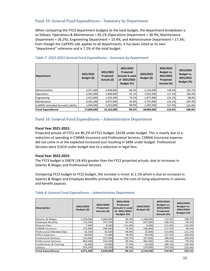### Fund 10: General Fund Expenditures – Summary by Department

When comparing the FY23 department budgets to the total budget, the department breakdown is as follows: Operations & Maintenance = 65.1% (Operations Department = 38.9%, Maintenance Department = 26.2%); Engineering Department = 10.4%, and Administrative Department = 17.3%; Even though the CalPERS UAL applies to all departments, it has been listed as its own "department" reference and is 7.2% of the total budget.

| <b>Department</b>                  | 2021/2022<br>Budget (\$) | 2021/2022<br>Projected<br>Actuals (\$) | 2021/2022<br>Projected<br>Actuals % used<br>of 2021/2022<br>Budget (%) | 2022/2023<br>Budget (\$) | 2022/2023<br>Budget vs.<br>2021/2022<br>Projected<br>Actuals (%) | 2022/2023<br>Budget vs.<br>2021/2022<br>Budget (%) |
|------------------------------------|--------------------------|----------------------------------------|------------------------------------------------------------------------|--------------------------|------------------------------------------------------------------|----------------------------------------------------|
| Administrative                     | 3,071,400                | 2,648,000                              | 86.2%                                                                  | 3,134,500                | 118.4%                                                           | 102.1%                                             |
| <b>Operations</b>                  | 6,581,000                | 5,998,000                              | 91.1%                                                                  | 7,032,500                | 117.2%                                                           | 106.9%                                             |
| Engineering                        | 1,915,000                | 1,419,500                              | 74.1%                                                                  | 1,877,000                | 132.2%                                                           | 98.0%                                              |
| Maintenance                        | 4,392,200                | 4,075,000                              | 92.8%                                                                  | 4,737,000                | 116.2%                                                           | 107.9%                                             |
| CalPERS Unfunded Accrued Liability | 1,044,040                | 1,023,000                              | 98.0%                                                                  | 1,303,500                | 127.4%                                                           | 124.9%                                             |
| <b>Total Expenditures</b>          | 17,003,640               | 15,163,500                             | 89.2%                                                                  | 18,084,500               | 119.3%                                                           | 106.4%                                             |

### *Table 7: 2022‐2023 General Fund Expenditures – Summary by Department*

### Fund 10: General Fund Expenditures – Administrative Department

### **Fiscal Year 2021‐2022:**

Projected actuals of FY22 are 86.2% of FY22 budget, \$423K under budget. This is mainly due to a reduction of spending in CSRMA Insurance and Professional Services. CSRMA Insurance expense did not come in at the expected increased cost resulting in \$89K under budget. Professional Services were \$161K under budget due to a reduction in legal fees.

#### **Fiscal Year 2022‐2023:**

The FY23 budget is \$487K (18.4%) greater than the FY22 projected actuals, due to increases in Salaries & Wages and Professional Services.

Comparing FY23 budget to FY22 budget, the increase is minor at 2.1% which is due to increases in Salaries & Wages and Employee Benefits primarily due to the cost‐of‐living adjustments in salaries and benefit payouts.

| <b>Description</b>           | 2021/2022<br>Budget $($ \$) | 2021/2022<br>Projected<br>Actuals (\$) | 2021/2022<br>Projected<br><b>Actuals % used</b><br>of 2021/2022<br>Budget (%) | 2022/2023<br>Budget (\$) | 2022/2023<br><b>Budget vs.</b><br>2021/2022<br>Projected<br>Actuals (%) | 2022/2023<br><b>Budget vs.</b><br>2021/2022<br>Budget (%) |
|------------------------------|-----------------------------|----------------------------------------|-------------------------------------------------------------------------------|--------------------------|-------------------------------------------------------------------------|-----------------------------------------------------------|
| Salaries & Wages             | 1,100,000                   | 1,066,000                              | 96.9%                                                                         | 1,196,000                | 112.2%                                                                  | 108.7%                                                    |
| <b>Employee Benefits</b>     | 715,500                     | 597,500                                | 83.5%                                                                         | 647,000                  | 108.3%                                                                  | 90.4%                                                     |
| <b>Director Fees</b>         | 7,600                       | 8,500                                  | 111.8%                                                                        | 9,500                    | 111.8%                                                                  | 125.0%                                                    |
| <b>CSRMA</b> Insurance       | 375,000                     | 286,000                                | 76.3%                                                                         | 336,000                  | 117.5%                                                                  | 89.6%                                                     |
| Professional Memberships     | 31,500                      | 30,500                                 | 96.8%                                                                         | 35,000                   | 114.8%                                                                  | 111.1%                                                    |
| <b>Office Expenses</b>       | 90,000                      | 71,000                                 | 78.9%                                                                         | 90,500                   | 127.5%                                                                  | 100.6%                                                    |
| <b>Contractual Services</b>  | 131,600                     | 157,500                                | 119.7%                                                                        | 167,000                  | 106.0%                                                                  | 126.9%                                                    |
| <b>Professional Services</b> | 485,000                     | 324,500                                | 66.9%                                                                         | 481,000                  | 148.2%                                                                  | 99.2%                                                     |
| Conferences & Training       | 32,000                      | 23,000                                 | 71.9%                                                                         | 43,500                   | 189.1%                                                                  | 135.9%                                                    |
| Utilities                    | 103,200                     | 83,500                                 | 80.9%                                                                         | 129,000                  | 154.5%                                                                  | 125.0%                                                    |
| <b>Total Expenditures</b>    | 3,071,400                   | 2,648,000                              | 86.2%                                                                         | 3.134.500                | 118.4%                                                                  | 102.1%                                                    |

### *Table 8: General Fund Expenditures – Administrative Department*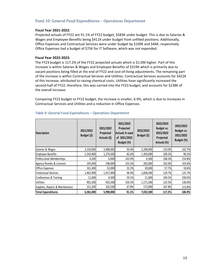### Fund 10: General Fund Expenditures – Operations Department

### **Fiscal Year 2021‐2022:**

Projected actuals of FY22 are 91.1% of FY22 budget, \$583K under budget. This is due to Salaries & Wages and Employee Benefits being \$411K under budget from unfilled positions. Additionally, Office Expenses and Contractual Services were under budget by \$109K and \$46K, respectively. Office Expenses had a budget of \$75K for IT Software, which was not expended.

### **Fiscal Year 2022‐2023:**

The FY23 budget is 117.2% of the FY22 projected actuals which is \$1.0M higher. Part of this increase is within Salaries & Wages and Employee Benefits of \$319K which is primarily due to vacant positions being filled at the end of FY22 and cost-of-living adjustments. The remaining part of the increase is within Contractual Services and Utilities. Contractual Services accounts for \$422K of this increase, attributed to raising chemical costs. Utilities have significantly increased the second half of FY22; therefore, this was carried into the FY23 budget, and accounts for \$238K of the overall increase.

Comparing FY23 budget to FY22 budget, the increase is smaller, 6.9%, which is due to increases in Contractual Services and Utilities and a reduction in Office Expenses.

| <b>Description</b>              | 2021/2022<br>Budget (\$) | 2021/2022<br>Projected<br>Actuals (\$) | 2021/2022<br>Projected<br>Actuals % used<br>of 2021/2022<br>Budget (%) | 2022/2023<br>Budget (\$) | 2022/2023<br>Budget vs.<br>2021/2022<br>Projected<br>Actuals (%) | 2022/2023<br>Budget vs.<br>2021/2022<br>Budget (%) |
|---------------------------------|--------------------------|----------------------------------------|------------------------------------------------------------------------|--------------------------|------------------------------------------------------------------|----------------------------------------------------|
| Salaries & Wages                | 2,150,000                | 2,008,000                              | 93.4%                                                                  | 2,208,000                | 110.0%                                                           | 102.7%                                             |
| <b>Employee Benefits</b>        | 1,543,900                | 1,274,500                              | 82.6%                                                                  | 1,393,000                | 109.3%                                                           | 90.2%                                              |
| Professional Memberships        | 4,200                    | 6,000                                  | 142.9%                                                                 | 6,500                    | 108.3%                                                           | 154.8%                                             |
| Agency Permits & Licenses       | 195,000                  | 198,000                                | 101.5%                                                                 | 202,000                  | 102.0%                                                           | 103.6%                                             |
| <b>Office Expenses</b>          | 161,300                  | 52,000                                 | 32.2%                                                                  | 30,000                   | 57.7%                                                            | 18.6%                                              |
| <b>Contractual Services</b>     | 1,462,900                | 1,417,000                              | 96.9%                                                                  | 1,838,500                | 129.7%                                                           | 125.7%                                             |
| Conferences & Training          | 11,000                   | 6,500                                  | 59.1%                                                                  | 11,000                   | 169.2%                                                           | 100.0%                                             |
| Utilities                       | 901,500                  | 933,500                                | 103.5%                                                                 | 1,171,500                | 125.5%                                                           | 130.0%                                             |
| Supplies, Repairs & Maintenance | 151,200                  | 102,500                                | 67.8%                                                                  | 172,000                  | 167.8%                                                           | 113.8%                                             |
| <b>Total Expenditures</b>       | 6,581,000                | 5,998,000                              | 91.1%                                                                  | 7,032,500                | 117.2%                                                           | 106.9%                                             |

### *Table 9: General Fund Expenditures – Operations Department*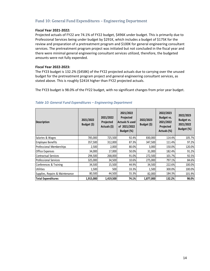### Fund 10: General Fund Expenditures – Engineering Department

### **Fiscal Year 2021‐2022:**

Projected actuals of FY22 are 74.1% of FY22 budget, \$496K under budget. This is primarily due to Professional Services being under budget by \$291K, which includes a budget of \$175K for the review and preparation of a pretreatment program and \$100K for general engineering consultant services. The pretreatment program project was initiated but not concluded in the fiscal year and there were minimal general engineering consultant services utilized, therefore, the budgeted amounts were not fully expended.

### **Fiscal Year 2022‐2023:**

The FY23 budget is 132.2% (\$458K) of the FY22 projected actuals due to carrying over the unused budget for the pretreatment program project and general engineering consultant services, as stated above. This is roughly \$241K higher than FY22 projected actuals.

The FY23 budget is 98.0% of the FY22 budget, with no significant changes from prior year budget.

| <b>Description</b>              | 2021/2022<br>Budget (\$) | 2021/2022<br>Projected<br>Actuals (\$) | 2021/2022<br>Projected<br>Actuals % used<br>of 2021/2022<br>Budget (%) | 2022/2023<br>Budget (\$) | 2022/2023<br>Budget vs.<br>2021/2022<br>Projected<br>Actuals (%) | 2022/2023<br><b>Budget vs.</b><br>2021/2022<br>Budget (%) |
|---------------------------------|--------------------------|----------------------------------------|------------------------------------------------------------------------|--------------------------|------------------------------------------------------------------|-----------------------------------------------------------|
| Salaries & Wages                | 785,000                  | 725,500                                | 92.4%                                                                  | 830,000                  | 114.4%                                                           | 105.7%                                                    |
| Employee Benefits               | 357,500                  | 312,000                                | 87.3%                                                                  | 347,500                  | 111.4%                                                           | 97.2%                                                     |
| Professional Memberships        | 2,500                    | 2,000                                  | 80.0%                                                                  | 3,000                    | 150.0%                                                           | 120.0%                                                    |
| Office Expenses                 | 34,000                   | 17,000                                 | 50.0%                                                                  | 31,000                   | 182.4%                                                           | 91.2%                                                     |
| Contractual Services            | 294,500                  | 268,000                                | 91.0%                                                                  | 272,500                  | 101.7%                                                           | 92.5%                                                     |
| <b>Professional Services</b>    | 325,000                  | 34,500                                 | 10.6%                                                                  | 275,000                  | 797.1%                                                           | 84.6%                                                     |
| Conferences & Training          | 34,500                   | 15,500                                 | 44.9%                                                                  | 34,500                   | 222.6%                                                           | 100.0%                                                    |
| <b>Utilities</b>                | 1,500                    | 500                                    | 33.3%                                                                  | 1,500                    | 300.0%                                                           | 100.0%                                                    |
| Supplies, Repairs & Maintenance | 80,500                   | 44,500                                 | 55.3%                                                                  | 82,000                   | 184.3%                                                           | 101.9%                                                    |
| <b>Total Expenditures</b>       | 1,915,000                | 1,419,500                              | 74.1%                                                                  | 1,877,000                | 132.2%                                                           | 98.0%                                                     |

### *Table 10: General Fund Expenditures – Engineering Department*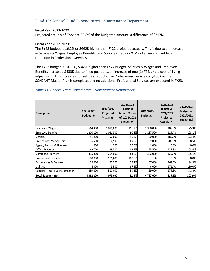### Fund 10: General Fund Expenditures – Maintenance Department

### **Fiscal Year 2021‐2022:**

Projected actuals of FY22 are 92.8% of the budgeted amount, a difference of \$317K.

### **Fiscal Year 2022‐2023:**

The FY23 budget is 16.2% or \$662K higher than FY22 projected actuals. This is due to an increase in Salaries & Wages, Employee Benefits, and Supplies, Repairs & Maintenance, offset by a reduction in Professional Services.

The FY23 budget is 107.9%, \$345K higher than FY22 budget. Salaries & Wages and Employee Benefits increased \$433K due to filled positions, an increase of one (1) FTE, and a cost-of-living adjustment. This increase is offset by a reduction in Professional Services of \$180K as the SCADA/IT Master Plan is complete, and no additional Professional Services are expected in FY23.

### *Table 11: General Fund Expenditures – Maintenance Department*

| <b>Description</b>              | 2021/2022<br>Budget (\$) | 2021/2022<br>Projected<br>Actuals (\$) | 2021/2022<br>Projected<br>Actuals % used<br>of 2021/2022<br>Budget (%) | 2022/2023<br>Budget (\$) | 2022/2023<br>Budget vs.<br>2021/2022<br>Projected<br>Actuals (%) | 2022/2023<br>Budget vs.<br>2021/2022<br>Budget (%) |
|---------------------------------|--------------------------|----------------------------------------|------------------------------------------------------------------------|--------------------------|------------------------------------------------------------------|----------------------------------------------------|
| Salaries & Wages                | 1,564,400                | 1,818,000                              | 116.2%                                                                 | 1,960,000                | 107.8%                                                           | 125.3%                                             |
| <b>Employee Benefits</b>        | 1,200,100                | 1,081,500                              | 90.1%                                                                  | 1,237,500                | 114.4%                                                           | 103.1%                                             |
| Vehicles                        | 51,900                   | 50,000                                 | 96.3%                                                                  | 90,000                   | 180.0%                                                           | 173.4%                                             |
| Professional Memberships        | 6,500                    | 4,500                                  | 69.2%                                                                  | 9,000                    | 200.0%                                                           | 138.5%                                             |
| Agency Permits & Licenses       | 1,000                    | 500l                                   | 50.0%                                                                  | 1,000                    | 0.0%                                                             | 0.0%                                               |
| Office Expenses                 | 169,700                  | 139,500                                | 82.2%                                                                  | 175,500                  | 125.8%                                                           | 103.4%                                             |
| <b>Contractual Services</b>     | 315,800                  | 264,000                                | 83.6%                                                                  | 332,000                  | 125.8%                                                           | 105.1%                                             |
| <b>Professional Services</b>    | 180,000                  | 181,000                                | 100.6%                                                                 |                          | 0.0%                                                             | 0.0%                                               |
| Conferences & Training          | 39,000                   | 22,500                                 | 57.7%                                                                  | 37,000                   | 164.4%                                                           | 94.9%                                              |
| <b>Utilities</b>                | 4,000                    | 3,500                                  | 87.5%                                                                  | 6,000                    | 171.4%                                                           | 150.0%                                             |
| Supplies, Repairs & Maintenance | 859,800                  | 510,000                                | 59.3%                                                                  | 889,000                  | 174.3%                                                           | 103.4%                                             |
| <b>Total Expenditures</b>       | 4,392,200                | 4,075,000                              | 92.8%                                                                  | 4,737,000                | 116.2%                                                           | 107.9%                                             |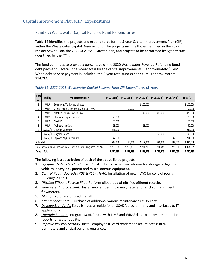### Capital Improvement Plan (CIP) Expenditures

### Fund 02: Wastewater Capital Reserve Fund Expenditures

Table 12 identifies the projects and expenditures for the 5‐year Capital Improvements Plan (CIP) within the Wastewater Capital Reserve Fund. The projects include those identified in the 2022 Master Sewer Plan, the 2022 SCADA/IT Master Plan, and projects to be performed by Agency staff (identified by the "\*").

The fund continues to provide a percentage of the 2020 Wastewater Revenue Refunding Bond debt payment. Overall, the 5‐year total for the capital improvements is approximately \$3.4M. When debt service payment is included, the 5-year total fund expenditure is approximately \$14.7M.

| Item<br>No. | <b>Facility</b> | <b>Project Description</b>                                     | FY 22/23 (\$) | FY 23/24 (\$) | FY 24/25 (\$) | FY 25/26 (\$) | FY 26/27 (\$) | Total (\$) |
|-------------|-----------------|----------------------------------------------------------------|---------------|---------------|---------------|---------------|---------------|------------|
|             | <b>WRP</b>      | Equipment/Vehicle Warehouse                                    |               |               | 2,100,000     |               |               | 2,100,000  |
| 2           | <b>WRP</b>      | Control Room Upgrades #02 & #13 - HVAC                         |               | 50,000        |               |               |               | 50,000     |
| 3           | <b>WRP</b>      | Nitrified Effluent Recycle Pilot                               |               |               | 42,000        | 378,000       |               | 420,000    |
| 4           | <b>WRP</b>      | Flowmeter Improvements*                                        | 75,000        |               |               |               |               | 75,000     |
| 5.          | WRP             | Manlift*                                                       | 60,000        |               |               |               |               | 60,000     |
| 6           | WRP             | Maintenance Carts*                                             | 25,000        |               | 25,000        |               |               | 50,000     |
|             | SCADA/IT        | Develop Standards                                              | 241,000       |               |               |               |               | 241,000    |
| 8           | SCADA/IT        | Upgrade Reports                                                |               |               |               | 96,000        |               | 96,000     |
| q           |                 | SCADA/IT Improve Physical Security                             | 147,000       |               |               |               | 147,000       | 294,000    |
| Subtotal    |                 |                                                                | 548,000       | 50,000        | 2,167,000     | 474,000       | 147,000       | 3,386,000  |
|             |                 | Debt Payment on 2020 Wastewater Revenue Refunding Bond (73.2%) | 2,266,638     | 2,269,383     | 2,271,213     | 2,271,945     | 2,275,056     | 11,354,235 |
|             | Annual Total    |                                                                | 2,814,638     | 2,319,383     | 4,438,213     | 2,745,945     | 2,422,056     | 14,740,235 |

### *Table 12: 2022‐2023 Wastewater Capital Reserve Fund CIP Expenditures (5‐Year)*

The following is a description of each of the above listed projects:

- 1. *Equipment/Vehicle Warehouse:* Construction of a new warehouse for storage of Agency vehicles, heavy equipment and miscellaneous equipment.
- 2. *Control Room Upgrades #02 & #13 ‐ HVAC:* Installation of new HVAC for control rooms in Buildings 2 and 13.
- 3. *Nitrified Effluent Recycle Pilot:* Perform pilot study of nitrified effluent recycle.
- 4. *Flowmeter Improvement:* Install new effluent flow magmeter and synchronize influent flowmeters.
- 5. *Manlift:* Purchase of used manlift.
- 6. *Maintenance Carts:* Purchase of additional various maintenance utility carts.
- 7. *Develop Standards:* Establish design guide for all SCADA programming and interfaces to IT applications.
- 8. *Upgrade Reports:* Integrate SCADA data with LIMS and WIMS data to automate operations reports for water quality.
- 9. *Improve Physical Security:* Install employee ID card readers for secure access at WRP perimeters and critical building entrances*.*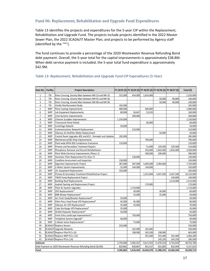### Fund 06: Replacement, Rehabilitation and Upgrade Fund Expenditures

Table 13 identifies the projects and expenditures for the 5‐year CIP within the Replacement, Rehabilitation and Upgrade Fund. The projects include projects identified in the 2022 Master Sewer Plan, the 2022 SCADA/IT Master Plan, and projects to be performed by Agency staff (identified by the "\*").

The fund continues to provide a percentage of the 2020 Wastewater Revenue Refunding Bond debt payment. Overall, the 5‐year total for the capital improvements is approximately \$38.8M. When debt service payment is included, the 5-year total fund expenditure is approximately \$42.9M.

### *Table 13: Replacement, Rehabilitation and Upgrade Fund CIP Expenditures (5‐Year)*

| Item No.                | <b>Facility</b> | <b>Project Description</b>                                     |           |           |            |            | FY 22/23 (\$) FY 23/24 (\$) FY 24/25 (\$) FY 25/26 (\$) FY 26/27 (\$) | Total (\$) |
|-------------------------|-----------------|----------------------------------------------------------------|-----------|-----------|------------|------------|-----------------------------------------------------------------------|------------|
| $\mathbf{1}$            | TRI             | River Crossing, Gravity Main between MH 33 and MH 35           | 252,000   | 454,000   | 1,814,000  |            |                                                                       | 2,520,000  |
| $\overline{2}$          | TRI             | River Crossing, Gravity Main between MH 65 and MH 66           |           |           |            | 50,000     | 90,000                                                                | 140,000    |
| 3                       | TRI             | River Crossing, Gravity Main between MH 88 and MH 89           |           |           |            | 50,000     | 90,000                                                                | 140,000    |
| $\overline{\mathbf{4}}$ | TRI             | Visible Reinforcement Study                                    | 105,000   |           |            |            |                                                                       | 105,000    |
| 5                       | WRP             | <b>Plant Coating Improvements</b>                              | 480,000   |           | 600,000    |            |                                                                       | 1,080,000  |
| 6                       | WRP             | Lab Equipment Replacements                                     | 80,000    | 26,667    | 53,333     |            |                                                                       | 160,000    |
| $\overline{7}$          | <b>WRP</b>      | Lime Systems Improvements                                      |           | 200,000   |            |            |                                                                       | 200,000    |
| 8                       | <b>WRP</b>      | Chlorine Scrubber Improvements                                 | 1,150,000 |           |            |            |                                                                       | 1,150,000  |
| 9                       | <b>WRP</b>      | <b>Translucent Panel Rehab</b>                                 |           |           | 60,000     |            |                                                                       | 60,000     |
| 10                      | <b>WRP</b>      | Centrifuge Rebuild                                             | 50,000    |           |            |            |                                                                       | 50,000     |
| 11                      | <b>WRP</b>      | <b>Communications Network Replacement</b>                      |           | 210,000   |            |            |                                                                       | 210,000    |
| 12                      | <b>WRP</b>      | Odorous Air Biofilter Media Replacement                        |           |           |            | 50,000     |                                                                       | 50,000     |
| 13                      | WRP             | Control Room Upgrades #02 and #13 - Remodel and Updates        | 185,000   |           |            |            |                                                                       | 185,000    |
| 14                      | <b>WRP</b>      | Maintenance/E&I Shop Improvements                              |           |           | 790,000    |            |                                                                       | 790,000    |
| 15                      | <b>WRP</b>      | Plant-wide NFPA 820 Compliance Evaluation                      | 110,000   |           |            |            |                                                                       | 110,000    |
| 16                      | WRP             | Primary and Secondary Treatment Repairs                        |           |           | 51,000     | 229,500    | 229,500                                                               | 510,000    |
| 17                      | <b>WRP</b>      | Phosphorus Removal and Recarb Rehabilitation                   |           |           | 356,000    | 1,602,000  | 1,602,000                                                             | 3,560,000  |
| 18                      | WRP             | Plant Wide Electrical Improvements (Phase 1)                   |           |           | 290,000    | 290,000    |                                                                       | 580,000    |
| 19                      | <b>WRP</b>      | Harmonic Filter Replacement For Area 71                        |           | 130,000   |            |            |                                                                       | 130,000    |
| 20                      | <b>WRP</b>      | Condition Assessment and Inspection                            | 130,000   |           |            |            |                                                                       | 130,000    |
| 21                      | <b>WRP</b>      | Digestion Improvements Project                                 | 387,000   | 387,000   | 3,483,000  | 3,483,000  |                                                                       | 7,740,000  |
| 22                      | <b>WRP</b>      | 2-Water System Improvements                                    | 32,000    | 144,000   | 144,000    |            |                                                                       | 320,000    |
| 23                      | <b>WRP</b>      | LEL Equipment Replacement                                      | 320,000   |           |            |            |                                                                       | 320,000    |
| 24                      | <b>WRP</b>      | Primary & Secondary Treatment Rehabilitation Project           |           |           | 1,015,000  | 4,567,500  | 4,567,500                                                             | 10,150,000 |
| 25                      | <b>WRP</b>      | TWAS Pump Replacement Project                                  |           |           |            |            | 140,000                                                               | 140,000    |
| 26                      | <b>WRP</b>      | <b>Building Roof Replacements</b>                              |           |           |            |            | 2,514,000                                                             | 2,514,000  |
| 27                      | <b>WRP</b>      | Asphalt Sealing and Replacement Project                        |           |           | 170,000    |            |                                                                       | 170,000    |
| 28                      | <b>WRP</b>      | Plant Air System Upgrades                                      |           | 1,710,000 |            |            |                                                                       | 1,710,000  |
| 29                      | <b>WRP</b>      | VFD Replacements*                                              |           | 30,000    |            | 30,000     |                                                                       | 60,000     |
| 30                      | <b>WRP</b>      | <b>BNR Blower Replacement*</b>                                 |           | 25,000    |            | 25,000     |                                                                       | 50,000     |
| 31                      | <b>WRP</b>      | Arc Flash Study/Breaker Replacement*                           | 20,000    |           |            |            |                                                                       | 20,000     |
| 32                      | <b>WRP</b>      | Filter Press Feed Pump VFD Replacement*                        | 45,000    | 45,000    |            |            |                                                                       | 90,000     |
| 33                      | <b>WRP</b>      | Odorous Air VFD Replacement*                                   | 35,000    | 35,000    |            |            |                                                                       | 70,000     |
| 34                      | <b>WRP</b>      | Cake Discharge VFD Replacement*                                | 35,000    |           |            |            |                                                                       | 35,000     |
| 35                      | <b>WRP</b>      | SCADA Repeater Replacement*                                    | 50,000    |           |            |            |                                                                       | 50,000     |
| 36                      | <b>WRP</b>      | Front Entry Landscape Improvements*                            |           | 750,000   |            |            |                                                                       | 750,000    |
| 37                      | <b>WRP</b>      | Telephone System Upgrade*                                      | 40,000    |           |            |            |                                                                       | 40,000     |
| 38                      | <b>WRP</b>      | 2-Water Valve Replacements*                                    |           | 75,000    |            |            |                                                                       | 75,000     |
| 39                      |                 | SCADA/IT Replace Servers                                       | 250,000   |           |            |            |                                                                       | 250,000    |
| 40                      |                 | SCADA/IT Upgrade Networks                                      |           | 165,000   | 165,000    |            |                                                                       | 330,000    |
| 41                      |                 | SCADA/IT Replace Pilot PLCs (4)                                |           | 198,900   | 265,200    | 198,900    |                                                                       | 663,000    |
| 42                      |                 | SCADA/IT Replace WRP PLCs (13)                                 |           |           | 355,400    | 355,400    | 355,400                                                               | 1,066,200  |
| 43                      |                 | SCADA/IT Replace RTUs (14)                                     |           |           |            | 145,250    | 145,250                                                               | 290,500    |
| Subtotal                |                 |                                                                | 3,756,000 | 4,585,567 | 9,611,933  | 11,076,550 | 9,733,650                                                             | 38,763,700 |
|                         |                 | Debt Payment on 2020 Wastewater Revenue Refunding Bond (26.8%) | 829,862   | 830,867   | 831,537    | 831,805    | 832,944                                                               | 4,157,015  |
| Total                   |                 |                                                                | 4,585,862 | 5,416,434 | 10,443,470 | 11,908,355 | 10,566,594                                                            | 42,920,715 |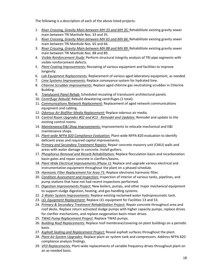The following is a description of each of the above listed projects:

- 1. *River Crossing, Gravity Main between MH 33 and MH 35:* Rehabilitate existing gravity sewer main between TRI Manhole Nos. 33 and 35.
- 2. *River Crossing, Gravity Main between MH 65 and MH 66:* Rehabilitate existing gravity sewer main between TRI Manhole Nos. 65 and 66.
- 3. *River Crossing, Gravity Main between MH 88 and MH 89:* Rehabilitate existing gravity sewer main between TRI Manhole Nos. 88 and 89.
- 4. *Visible Reinforcement Study:* Perform structural integrity analysis of TRI pipe segments with visible reinforcement defects.
- 5. *Plant Coating Improvements:* Recoating of various equipment and facilities to improve longevity.
- 6. *Lab Equipment Replacements:* Replacement of various aged laboratory equipment, as needed.
- 7. *Lime Systems Improvements:* Replace conveyance system for hydrated lime.
- 8. *Chlorine Scrubber Improvements:* Replace aged chlorine gas neutralizing scrubber in Chlorine Building.
- 9. *Translucent Panel Rehab:* Scheduled recoating of translucent architectural panels.
- 10. *Centrifuge Rebuild:* Rebuild dewatering centrifuges (1 total).
- 11. *Communications Network Replacement:* Replacement of aged network communications equipment and cabling.
- 12. *Odorous Air Biofilter Media Replacement:* Replace odorous air media.
- 13. *Control Room Upgrades #02 and #13 ‐ Remodel and Updates:* Remodel and update to the existing control rooms.
- 14. *Maintenance/E&I Shop Improvements:* Improvements to relocate mechanical and E&I maintenance shops.
- 15. *Plant‐wide NFPA 820 Compliance Evaluation:* Plant‐wide NFPA 820 evaluation to identify deficient areas and required capital improvements.
- 16. *Primary and Secondary Treatment Repairs:* Repair concrete masonry unit (CMU) walls and areas with water damage in concrete. Install gutters.
- 17. *Phosphorus Removal and Recarb Rehabilitation:* Replace flocculation basin and recarbonation basin gates and repair concrete in clarifiers/basins.
- 18. *Plant Wide Electrical Improvements (Phase 1):* Replace and upgrade various electrical and instrumentation equipment throughout the plant on a phased schedule.
- 19. *Harmonic Filter Replacement For Area 71:* Replace electronic harmonic filter.
- 20. *Condition Assessment and Inspection:* Inspection of interior of various tanks, pipelines, and pump stations that have not had recent inspections performed.
- 21. *Digestion Improvements Project:* New boilers, pumps, and other major mechanical equipment to support sludge digestion, heating, and gas handling systems.
- 22. *2‐Water System Improvements:* Replace existing reclaimed water hydropneumatic tank.
- 23. *LEL Equipment Replacement:* Replace LEL equipment for Facilities 13 and 53.
- 24. *Primary & Secondary Treatment Rehabilitation Project:* Repair concrete throughout area and roof decks. Replace return activated sludge pumps with higher capacity pumps, replace drives for clarifier mechanisms, and replace oxygenation basin mixer drives.
- 25. *TWAS Pump Replacement Project:* Replace TWAS pumps.
- 26. *Building Roof Replacements:* Replace roof membrane/covering on plant buildings on a periodic basis.
- 27. *Asphalt Sealing and Replacement Project:* Reseal asphalt surfaces throughout the plant.
- 28. *Plant Air System Upgrades:* Replace plant air system tank and compressors. Address NFPA 820 compliance analysis findings.
- 29. *VFD Replacements:* Plant‐wide replacements of variable frequency drives throughout plant on an as‐needed basis.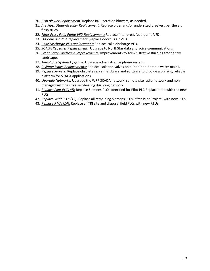- 30. *BNR Blower Replacement:* Replace BNR aeration blowers, as needed.
- 31. *Arc Flash Study/Breaker Replacement:* Replace older and/or undersized breakers per the arc flash study.
- 32. *Filter Press Feed Pump VFD Replacement:* Replace filter press feed pump VFD.
- 33. *Odorous Air VFD Replacement:* Replace odorous air VFD.
- 34. *Cake Discharge VFD Replacement:* Replace cake discharge VFD.
- 35. *SCADA Repeater Replacement:* Upgrade to NorthStar data and voice communications*.*
- 36. *Front Entry Landscape Improvements:* Improvements to Administrative Building front entry landscape.
- 37. *Telephone System Upgrade:* Upgrade administrative phone system.
- 38. *2‐Water Valve Replacements:* Replace isolation valves on buried non‐potable water mains.
- 39. *Replace Servers:* Replace obsolete server hardware and software to provide a current, reliable platform for SCADA applications.
- 40. *Upgrade Networks:* Upgrade the WRP SCADA network, remote site radio network and non‐ managed switches to a self‐healing dual‐ring network.
- 41. *Replace Pilot PLCs (4):* Replace Siemens PLCs identified for Pilot PLC Replacement with the new PLCs.
- 42. *Replace WRP PLCs (13):* Replace all remaining Siemens PLCs (after Pilot Project) with new PLCs.
- 43. *Replace RTUs (14):* Replace all TRI site and disposal field PLCs with new RTUs.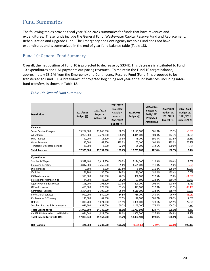# Fund Summaries

The following tables provide fiscal year 2022‐2023 summaries for funds that have revenues and expenditures. These funds include the General Fund, Wastewater Capital Reserve Fund and Replacement, Rehabilitation and Upgrade Fund. The Emergency and Contingency Reserve Fund does not have expenditures and is summarized in the end of year fund balance table (Table 18).

### Fund 10: General Fund Summary

Overall, the net position of Fund 10 is projected to decrease by \$334K. This decrease is attributed to Fund 10 expenditures and UAL payments out pacing revenues. To maintain the Fund 10 target balance, approximately \$3.1M from the Emergency and Contingency Reserve Fund (Fund 7) is proposed to be transferred to Fund 10. A breakdown of projected beginning and year‐end fund balances, including inter‐ fund transfers, is shown in Table 18.

| <b>Description</b>                   | 2021/2022<br>Budget (\$) | 2021/2022<br>Projected<br>Actuals (\$) | 2021/2022<br>Projected<br><b>Actuals %</b><br>used of<br>2021/2022<br>Budget (%) | 2022/2023<br>Budget (\$) | 2022/2023<br>Budget vs.<br>2021/2022<br>Projected<br>Actuals (%) | 2022/2023<br><b>Budget vs.</b><br>2021/2022<br>Budget (%) | 2022/2023<br>Budget vs.<br>2021/2022<br>Budget $(\% \Delta)$ |
|--------------------------------------|--------------------------|----------------------------------------|----------------------------------------------------------------------------------|--------------------------|------------------------------------------------------------------|-----------------------------------------------------------|--------------------------------------------------------------|
| <b>Revenues</b>                      |                          |                                        |                                                                                  |                          |                                                                  |                                                           |                                                              |
| Sewer Service Charges                | 13,287,000               | 13,040,000                             | 98.1%                                                                            | 13,171,000               | 101.0%                                                           | 99.1%                                                     | $-0.9%$                                                      |
| <b>Ad Valorem</b>                    | 3,958,000                | 4,274,000                              | 108.0%                                                                           | 4,445,000                | 104.0%                                                           | 112.3%                                                    | 11.0%                                                        |
| <b>Fund Interest</b>                 | 40,000                   | 11,500                                 | 28.8%                                                                            | 45,000                   | 391.3%                                                           | 112.5%                                                    | 11.1%                                                        |
| <b>Other Revenue</b>                 | 15,000                   | 63,500                                 | 423.3%                                                                           | 65,000                   | 102.4%                                                           | 433.3%                                                    | 76.9%                                                        |
| <b>Temporary Discharge Permits</b>   | 25,000                   | 8,000                                  | 32.0%                                                                            | 25,000                   | 312.5%                                                           | 100.0%                                                    | 0.0%                                                         |
| <b>Total Revenue</b>                 | 17,325,000               | 17,397,000                             | 100.4%                                                                           | 17,751,000               | 102.0%                                                           | 102.5%                                                    | 2.4%                                                         |
| <b>Expenditures</b>                  |                          |                                        |                                                                                  |                          |                                                                  |                                                           |                                                              |
| Salaries & Wages                     | 5,599,400                | 5,617,500                              | 100.3%                                                                           | 6,194,000                | 110.3%                                                           | 110.6%                                                    | 9.6%                                                         |
| <b>Employee Benefits</b>             | 3,817,000                | 3,265,500                              | 85.6%                                                                            | 3,625,000                | 111.0%                                                           | 95.0%                                                     | $-5.3%$                                                      |
| <b>Director Fees</b>                 | 7,600                    | 8,500                                  | 111.8%                                                                           | 9,500                    | 111.8%                                                           | 125.0%                                                    | 20.0%                                                        |
| Vehicles                             | 51,900                   | 50,000                                 | 96.3%                                                                            | 90,000                   | 180.0%                                                           | 173.4%                                                    | 0.0%                                                         |
| <b>CSRMA</b> Insurance               | 375,000                  | 286,000                                | 76.3%                                                                            | 336,000                  | 117.5%                                                           | 89.6%                                                     | $-11.6%$                                                     |
| Professional Memberships             | 44,700                   | 43,000                                 | 96.2%                                                                            | 53,500                   | 124.4%                                                           | 119.7%                                                    | 16.4%                                                        |
| <b>Agency Permits &amp; Licenses</b> | 196,000                  | 198,500                                | 101.3%                                                                           | 203,000                  | 102.3%                                                           | 103.6%                                                    | 3.4%                                                         |
| Office Expenses                      | 455,000                  | 279,500                                | 61.4%                                                                            | 327,000                  | 117.0%                                                           | 71.9%                                                     | $-39.1%$                                                     |
| <b>Contractual Services</b>          | 2,204,800                | 2,106,500                              | 95.5%                                                                            | 2,610,000                | 123.9%                                                           | 118.4%                                                    | 15.5%                                                        |
| <b>Professional Services</b>         | 990,000                  | 540,000                                | 54.5%                                                                            | 756,000                  | 140.0%                                                           | 76.4%                                                     | $-31.0%$                                                     |
| Conferences & Training               | 116,500                  | 67,500                                 | 57.9%                                                                            | 126,000                  | 186.7%                                                           | 108.2%                                                    | 7.5%                                                         |
| <b>Utilities</b>                     | 1,010,200                | 1,021,000                              | 101.1%                                                                           | 1,308,000                | 128.1%                                                           | 129.5%                                                    | 22.8%                                                        |
| Supplies, Repairs & Maintenance      | 1,091,500                | 657,000                                | 60.2%                                                                            | 1,143,000                | 174.0%                                                           | 104.7%                                                    | 4.5%                                                         |
| <b>Total Expenditures</b>            | 15,959,600               | 14,140,500                             | 88.6%                                                                            | 16,781,000               | 118.7%                                                           | 105.1%                                                    | 4.9%                                                         |
| CalPERS Unfunded Accrued Liability   | 1,044,040                | 1,023,000                              | 98.0%                                                                            | 1,303,500                | 127.4%                                                           | 124.9%                                                    | 19.9%                                                        |
| <b>Total Expenditures with UAL</b>   | 17,003,640               | 15,163,500                             | 89.2%                                                                            | 18,084,500               | 119.3%                                                           | 106.4%                                                    | 6.0%                                                         |
| <b>Net Position</b>                  | 321,360                  | 2,233,500                              | 695.0%                                                                           | (333,500)                | $-14.9%$                                                         | $-103.8%$                                                 | 196.4%                                                       |

### *Table 14: General Fund Summary*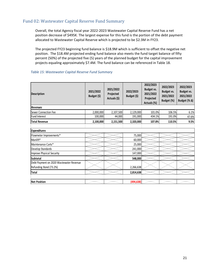### Fund 02: Wastewater Capital Reserve Fund Summary

Overall, the total Agency fiscal year 2022‐2023 Wastewater Capital Reserve Fund has a net position decrease of \$495K. The largest expense for this fund is the portion of the debt payment allocated to Wastewater Capital Reserve which is projected to be \$2.3M in FY23.

The projected FY23 beginning fund balance is \$18.9M which is sufficient to offset the negative net position. The \$18.4M projected ending fund balance also meets the fund target balance of fifty percent (50%) of the projected five (5) years of the planned budget for the capital improvement projects equaling approximately \$7.4M. The fund balance can be referenced in Table 18.

| <b>Description</b>                      | 2021/2022<br>Budget (\$) | 2021/2022<br>Projected<br>Actuals (\$) | 2022/2023<br>Budget (\$) | 2022/2023<br><b>Budget vs.</b><br>2021/2022<br>Projected<br>Actuals (%) | 2022/2023<br><b>Budget vs.</b><br>2021/2022<br>Budget (%) | 2022/2023<br>Budget vs.<br>2021/2022<br>Budget (% Δ) |
|-----------------------------------------|--------------------------|----------------------------------------|--------------------------|-------------------------------------------------------------------------|-----------------------------------------------------------|------------------------------------------------------|
| <b>Revenues</b>                         |                          |                                        |                          |                                                                         |                                                           |                                                      |
| Sewer Connection Fee                    | 2,000,000                | 2,107,500                              | 2,129,000                | 101.0%                                                                  | 106.5%                                                    | 6.1%                                                 |
| Fund Interest                           | 100,000                  | 44,000                                 | 191,000                  | 434.1%                                                                  | 191.0%                                                    | 47.6%                                                |
| <b>Total Revenue</b>                    | 2,100,000                | 2,151,500                              | 2,320,000                | 107.8%                                                                  | 110.5%                                                    | 9.5%                                                 |
| <b>Expenditures</b>                     |                          |                                        |                          |                                                                         |                                                           |                                                      |
| Flowmeter Improvements*                 |                          |                                        | 75,000                   |                                                                         |                                                           |                                                      |
| Manlift*                                |                          |                                        | 60,000                   |                                                                         |                                                           |                                                      |
| Maintenance Carts*                      |                          |                                        | 25,000                   |                                                                         |                                                           |                                                      |
| Develop Standards                       |                          |                                        | 241,000                  |                                                                         |                                                           |                                                      |
| Improve Physical Security               |                          |                                        | 147,000                  |                                                                         |                                                           |                                                      |
| Subtotal                                |                          |                                        | 548,000                  |                                                                         |                                                           |                                                      |
| Debt Payment on 2020 Wastewater Revenue |                          |                                        |                          |                                                                         |                                                           |                                                      |
| Refunding Bond (73.2%)                  |                          |                                        | 2,266,638                |                                                                         |                                                           |                                                      |
| <b>Total</b>                            |                          |                                        | 2,814,638                |                                                                         |                                                           |                                                      |
|                                         |                          |                                        |                          |                                                                         |                                                           |                                                      |
| <b>Net Position</b>                     |                          |                                        | (494, 638)               |                                                                         |                                                           |                                                      |

### *Table 15: Wastewater Capital Reserve Fund Summary*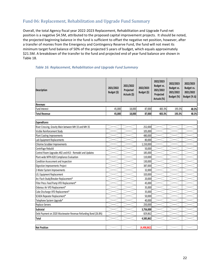### Fund 06: Replacement, Rehabilitation and Upgrade Fund Summary

Overall, the total Agency fiscal year 2022‐2023 Replacement, Rehabilitation and Upgrade Fund net position is a negative \$4.5M, attributed to the proposed capital improvement projects. It should be noted, the projected beginning balance in the fund is sufficient to offset the negative net position, however, after a transfer of monies from the Emergency and Contingency Reserve Fund, the fund will not meet its minimum target fund balance of 50% of the projected 5 years of budget, which equals approximately \$21.5M. A breakdown of the transfer to the fund and projected end of year fund balance are shown in Table 18.

| <b>Description</b>                                             | 2021/2022<br>Budget (\$) | 2021/2022<br>Projected<br>Actuals (\$) | 2022/2023<br>Budget (\$) | 2022/2023<br><b>Budget vs.</b><br>2021/2022<br>Projected<br>Actuals (%) | 2022/2023<br><b>Budget vs.</b><br>2021/2022<br>Budget (%) | 2022/2023<br><b>Budget vs.</b><br>2021/2022<br>Budget (% $\Delta$ ) |
|----------------------------------------------------------------|--------------------------|----------------------------------------|--------------------------|-------------------------------------------------------------------------|-----------------------------------------------------------|---------------------------------------------------------------------|
| <b>Revenues</b>                                                |                          |                                        |                          |                                                                         |                                                           |                                                                     |
| Fund Interest                                                  | 45,000                   | 18,000                                 | 87,000                   | 483.3%                                                                  | 193.3%                                                    | 48.3%                                                               |
| <b>Total Revenue</b>                                           | 45,000                   | 18,000                                 | 87,000                   | 483.3%                                                                  | 193.3%                                                    | 48.3%                                                               |
|                                                                |                          |                                        |                          |                                                                         |                                                           |                                                                     |
| <b>Expenditures</b>                                            |                          |                                        |                          |                                                                         |                                                           |                                                                     |
| River Crossing, Gravity Main between MH 33 and MH 35           |                          |                                        | 252,000                  |                                                                         |                                                           |                                                                     |
| Visible Reinforcement Study                                    |                          |                                        | 105,000                  |                                                                         |                                                           |                                                                     |
| Plant Coating Improvements                                     |                          |                                        | 480,000                  |                                                                         |                                                           |                                                                     |
| Lab Equipment Replacements                                     |                          |                                        | 80,000                   |                                                                         |                                                           |                                                                     |
| Chlorine Scrubber Improvements                                 |                          |                                        | 1,150,000                |                                                                         |                                                           |                                                                     |
| Centrifuge Rebuild                                             |                          |                                        | 50,000                   |                                                                         |                                                           |                                                                     |
| Control Room Upgrades #02 and #13 - Remodel and Updates        |                          |                                        | 185,000                  |                                                                         |                                                           |                                                                     |
| Plant-wide NFPA 820 Compliance Evaluation                      |                          |                                        | 110,000                  |                                                                         |                                                           |                                                                     |
| Condition Assessment and Inspection                            |                          |                                        | 130,000                  |                                                                         |                                                           |                                                                     |
| Digestion Improvements Project                                 |                          |                                        | 387,000                  |                                                                         |                                                           |                                                                     |
| 2-Water System Improvements                                    |                          |                                        | 32,000                   |                                                                         |                                                           |                                                                     |
| LEL Equipment Replacement                                      |                          |                                        | 320,000                  |                                                                         |                                                           |                                                                     |
| Arc Flash Study/Breaker Replacement*                           |                          |                                        | 20,000                   |                                                                         |                                                           |                                                                     |
| Filter Press Feed Pump VFD Replacement*                        |                          |                                        | 45,000                   |                                                                         |                                                           |                                                                     |
| Odorous Air VFD Replacement*                                   |                          |                                        | 35,000                   |                                                                         |                                                           |                                                                     |
| Cake Discharge VFD Replacement*                                |                          |                                        | 35,000                   |                                                                         |                                                           |                                                                     |
| SCADA Repeater Replacement*                                    |                          |                                        | 50,000                   |                                                                         |                                                           |                                                                     |
| Telephone System Upgrade*                                      |                          |                                        | 40,000                   |                                                                         |                                                           |                                                                     |
| Replace Servers                                                |                          |                                        | 250,000                  |                                                                         |                                                           |                                                                     |
| Subtotal                                                       |                          |                                        | 3,756,000                |                                                                         |                                                           |                                                                     |
| Debt Payment on 2020 Wastewater Revenue Refunding Bond (26.8%) |                          |                                        | 829,862                  |                                                                         |                                                           |                                                                     |
| <b>Total</b>                                                   |                          |                                        | 4,585,862                |                                                                         |                                                           |                                                                     |
|                                                                |                          |                                        |                          |                                                                         |                                                           |                                                                     |
| <b>Net Position</b>                                            |                          |                                        | (4, 498, 862)            |                                                                         |                                                           |                                                                     |

### *Table 16: Replacement, Rehabilitation and Upgrade Fund Summary*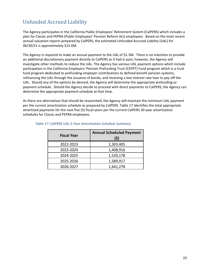# Unfunded Accrued Liability

The Agency participates in the California Public Employees' Retirement System (CalPERS) which includes a plan for Classic and PEPRA (Public Employees' Pension Reform Act) employees. Based on the most recent annual valuation reports prepared by CalPERS, the estimated Unfunded Accrued Liability (UAL) for 06/30/21 is approximately \$15.6M.

The Agency is required to make an annual payment to the UAL of \$1.3M. There is no intention to provide an additional discretionary payment directly to CalPERS as it had in past, however, the Agency will investigate other methods to reduce the UAL. The Agency has various UAL payment options which include participation in the California Employers' Pension Prefunding Trust (CEPPT) Fund program which is a trust fund program dedicated to prefunding employer contributions to defined benefit pension systems; refinancing the UAL through the issuance of bonds; and receiving a low interest rate loan to pay off the UAL. Should any of the options be desired, the Agency will determine the appropriate prefunding or payment schedule. Should the Agency decide to proceed with direct payments to CalPERS, the Agency can determine the appropriate payment schedule at that time.

As there are alternatives that should be researched, the Agency will maintain the minimum UAL payment per the current amortization schedule as prepared by CalPERS. Table 17 identifies the total appropriate amortized payments for the next five (5) fiscal years per the current CalPERS 30‐year amortization schedules for Classic and PEPRA employees.

| <b>Fiscal Year</b> | <b>Annual Scheduled Payment</b><br>(\$) |
|--------------------|-----------------------------------------|
| 2022-2023          | 1,303,405                               |
| 2023-2024          | 1,408,916                               |
| 2024-2025          | 1,520,178                               |
| 2025-2026          | 1,589,917                               |
| 2026-2027          | 1,641,278                               |

### *Table 17: CalPERS UAL 5‐Year Amortization Schedule Summary*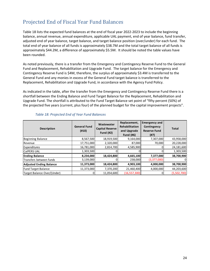# Projected End of Fiscal Year Fund Balances

Table 18 lists the expected fund balances at the end of fiscal year 2022‐2023 to include the beginning balance, annual revenue, annual expenditure, applicable UAL payment, end of year balance, fund transfer, adjusted end of year balance, target balance, and target balance position (over/under) for each fund. The total end of year balance of all funds is approximately \$38.7M and the total target balance of all funds is approximately \$44.2M, a difference of approximately \$5.5M. It should be noted the table values have been rounded.

As noted previously, there is a transfer from the Emergency and Contingency Reserve Fund to the General Fund and Replacement, Rehabilitation and Upgrade Fund. The target balance for the Emergency and Contingency Reserve Fund is \$4M, therefore, the surplus of approximately \$3.4M is transferred to the General Fund and any monies in excess of the General Fund target balance is transferred to the Replacement, Rehabilitation and Upgrade Fund, in accordance with the Agency Fund Policy.

As indicated in the table, after the transfer from the Emergency and Contingency Reserve Fund there is a shortfall between the Ending Balance and Fund Target Balance for the Replacement, Rehabilitation and Upgrade Fund. The shortfall is attributed to the Fund Target Balance set point of "fifty percent (50%) of the projected five years (current, plus four) of the planned budget for the capital improvement projects".

| Description                    | <b>General Fund</b><br>(#10) | Wastewater<br><b>Capital Reserve</b><br><b>Fund (#2)</b> | Replacement,<br><b>Rehabilitation</b><br>and Upgrade<br><b>Fund (#6)</b> | <b>Emergency and</b><br>Contingency<br><b>Reserve Fund</b><br>(117) | <b>Total</b> |
|--------------------------------|------------------------------|----------------------------------------------------------|--------------------------------------------------------------------------|---------------------------------------------------------------------|--------------|
| Beginning Balance              | 8,567,500                    | 18,919,500                                               | 9,164,000                                                                | 7,307,000                                                           | 43,958,000   |
| Revenue                        | 17,751,000                   | 2,320,000                                                | 87,000                                                                   | 70,000                                                              | 20,228,000   |
| Expenditures                   | 16,781,000                   | 2,814,700                                                | 4,585,900                                                                |                                                                     | 24,181,600   |
| <b>CalPERS UAL</b>             | 1,303,500                    |                                                          |                                                                          |                                                                     | 1,303,500    |
| <b>Ending Balance</b>          | 8,234,000                    | 18,424,800                                               | 4,665,100                                                                | 7,377,000                                                           | 38,700,900   |
| Transfers between funds        | 3,139,000                    |                                                          | 238,000                                                                  | (3,377,000)                                                         |              |
| <b>Adjusted Ending Balance</b> | 11,373,000                   | 18,424,800                                               | 4,903,100                                                                | 4,000,000                                                           | 38,700,900   |
| <b>Fund Target Balance</b>     | 11,373,000                   | 7,370,200                                                | 21,460,400                                                               | 4,000,000                                                           | 44,203,600   |
| Target Balance Over/(Under)    |                              | 11,054,600                                               | (16, 557, 300)                                                           |                                                                     | (5,502,700)  |

### *Table 18: Projected End of Year Fund Balances*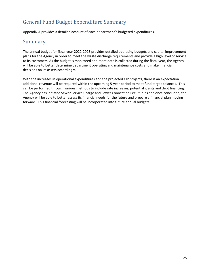# General Fund Budget Expenditure Summary

Appendix A provides a detailed account of each department's budgeted expenditures.

### Summary

The annual budget for fiscal year 2022‐2023 provides detailed operating budgets and capital improvement plans for the Agency in order to meet the waste discharge requirements and provide a high level of service to its customers. As the budget is monitored and more data is collected during the fiscal year, the Agency will be able to better determine department operating and maintenance costs and make financial decisions on its assets accordingly.

With the increases in operational expenditures and the projected CIP projects, there is an expectation additional revenue will be required within the upcoming 5‐year period to meet fund target balances. This can be performed through various methods to include rate increases, potential grants and debt financing. The Agency has initiated Sewer Service Charge and Sewer Connection Fee Studies and once concluded, the Agency will be able to better assess its financial needs for the future and prepare a financial plan moving forward. This financial forecasting will be incorporated into future annual budgets.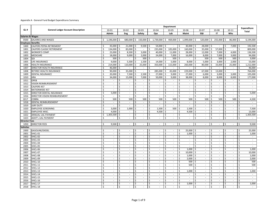|                             |                                           | <b>Department</b>       |                          |                     |                             |                     |                             |         |                             | Expenditure |                             |         |                                        |                         |                             |              |                             |                    |                             |    |                             |
|-----------------------------|-------------------------------------------|-------------------------|--------------------------|---------------------|-----------------------------|---------------------|-----------------------------|---------|-----------------------------|-------------|-----------------------------|---------|----------------------------------------|-------------------------|-----------------------------|--------------|-----------------------------|--------------------|-----------------------------|----|-----------------------------|
| GL#                         | <b>General Ledger Account Description</b> |                         | 10-01                    |                     | $10 - 02$                   | $10 - 03$           |                             |         | $10 - 04$                   |             | 10-05                       |         | 10-06                                  |                         | $10 - 07$                   |              | 10-08                       |                    | $10 - 11$                   |    | <b>Total</b>                |
|                             |                                           |                         | Admin                    |                     | Eng                         | Safety              |                             |         | Ops                         |             | Lab                         |         | <b>Maint</b>                           |                         | <b>E&amp;I</b>              |              | IT                          |                    | Whs                         |    |                             |
| <b>Salaries &amp; Wages</b> |                                           |                         |                          |                     |                             |                     |                             |         |                             |             |                             |         |                                        |                         |                             |              |                             |                    |                             |    |                             |
| 0500                        | SALARIES AND WAGES                        | Š.                      | $1,196,000$ \$           |                     | 680,000 \$ 150,000 \$       |                     |                             |         |                             |             |                             |         | $1,739,000$ \$ 469,000 \$ 1,099,000 \$ |                         |                             |              | $520,000$ \$ 255,000 \$     |                    | 86,000 \$                   |    | 6,194,000                   |
| <b>Employee Benefits</b>    |                                           |                         |                          |                     |                             |                     |                             |         |                             |             |                             |         |                                        |                         |                             |              |                             |                    |                             |    |                             |
| 1000                        | CALPERS PEPRA RETIREMENT                  | Ś                       | 43,000                   | \$ ا                | 21,000                      | -\$                 | $9,500$ \$                  |         | 54,000 \$                   |             |                             | \$      | 30,000                                 | l \$                    | 28,000 \$                   |              |                             | Ś                  | 7,000                       | \$ | 192,500                     |
| 1001                        | CALPERS CLASSIC RETIREMENT                | \$                      | 134,000                  | -\$                 | 83,000                      | \$                  | $\mathcal{L}$               |         | 235,000                     | \$          | 105,000                     | \$      | 160,000                                | -\$                     | $35,000$ \$                 |              | 57,000                      | Ś                  | $\sim$                      | Ś  | 809,000                     |
| 1002                        | <b>WORKER'S COMP</b>                      | \$                      | 23,000                   | \$                  | 8,500                       | -\$                 | 3,000                       | Ŝ.      | 40,000                      | Ś           | 11,000                      | Ŝ.      | 28,000                                 | -\$                     | 12,000                      | ۱Ś           | 7,000                       |                    | 4,000                       | \$ | 136,500                     |
| 1003                        | MEDICARE                                  | \$                      | 18,000                   | l\$                 | 9,000                       | $\ddot{\mathsf{S}}$ | 2,000                       | \$      | 24,000                      | \$          | 7,000                       | \$      | 16,000                                 | 5                       | $8,000$ \$                  |              | 7,000                       | \$                 | 3,000                       | \$ | 94,000                      |
| 1004                        | <b>SDI</b>                                | Ś                       | 500                      | Ś                   | $\sim$                      | \$                  | 500                         |         | $\mathcal{L}_{\mathcal{A}}$ | \$          | 500                         | Ŝ.      | $\blacksquare$                         | $\mathsf{S}$            | 500                         |              | 500                         |                    | 500                         | \$ | 3,000                       |
| 1005                        | LIFE INSURANCE                            | \$                      | 9,000                    | \$ ا                | $5,500$ \$                  |                     | $1,500$ \$                  |         | $14,000$ \$                 |             | 5,000                       | 5       | 8,000                                  | l\$                     | $5,000$ \$                  |              | 3,000                       | $\mathsf{S}$       | 2,000                       | \$ | 53,000                      |
| 1006                        | <b>HEALTH INSURANCE</b>                   | \$                      | 214,000                  | Ś                   | 110,000                     | \$                  | 25,000                      | Ŝ.      | $350,000$ \$                |             | 115,000                     | \$      | 260,000                                | $\overline{\mathsf{s}}$ | 80,000 \$                   |              | 33,000                      | \$                 | 25,000                      | \$ | 1,212,000                   |
| 1007                        | DIRECTOR HEALTH INSURANCE                 | Ś                       | 46,000                   | $\ddot{\mathsf{S}}$ |                             | Ś                   | $\sim$                      | Ś       |                             | Ś           |                             | Ś       |                                        | \$                      |                             |              |                             | Ś                  | $\overline{\phantom{a}}$    | \$ | 46,000                      |
| 1008                        | RETIREE HEALTH INSURANCE                  | \$                      | 90,000                   | l \$                | 35,000                      | -\$                 | $\sim$                      | Ś       | 285,000                     | -\$         | 45,000                      | -\$     | 229,000                                | $\overline{\mathsf{s}}$ | 67,000 \$                   |              | 13,000                      | Ś                  | $\omega$                    | \$ | 764,000                     |
| 1009                        | <b>DENTAL INSURANCE</b>                   | \$                      | 20,000                   | Ś                   | 7,500                       | Ś                   | 2,500                       | \$      | 27,000                      | Ś           | 9,000                       | \$.     | 27,000                                 | Ŝ.                      | 6,000                       |              | 3,000                       |                    | 3,000                       | \$ | 105,000                     |
| 1010                        | <b>HRA</b>                                | \$                      | 34,000                   | \$                  | 15,000                      | -\$                 | 7,000                       | Ś.      | 50,000                      | \$          | 9,000                       | \$      | 38,000                                 | -\$                     | $8,000$ \$                  |              | 8,000                       | Ś                  | 8,000                       | \$ | 177,000                     |
| 1011                        | OPEB                                      | \$                      | $\sim$                   | \$                  | $\sim$                      | \$                  | $\sim$                      | \$      | $\sim$                      | \$          | $\sim$                      | \$      | $\sim$                                 | \$                      | $\sim$                      | \$           | $\sim$                      | Ś                  | $\sim$                      | \$ | $\sim$                      |
| 1012                        | <b>VISION REIMBURSEMENT</b>               | \$                      | $\sim$                   | Ś                   | $\sim$                      | Ś                   | $\mathcal{L}^{\mathcal{L}}$ | \$      | $\sim$                      | \$          | $\overline{\phantom{a}}$    | \$      | $\sim$                                 | \$                      | $\overline{\phantom{a}}$    | \$.          | $\sim$                      | \$                 | $\sim$                      | \$ | $\mathcal{L}_{\mathcal{A}}$ |
| 1013                        | CALPERS 457                               | \$                      | $\sim$                   | \$                  | $\sim$                      | \$                  | $\sim$                      | Ś       | $\sim$                      | \$          | $\overline{\phantom{a}}$    | \$      | $\sim$                                 | \$                      | $\overline{\phantom{a}}$    | \$           | $\overline{\phantom{a}}$    | Ś                  | $\sim$                      | \$ | $\sim$                      |
| 1014                        | NATIONWIDE 457                            | \$                      |                          | Ś                   | $\overline{\phantom{a}}$    | Ś                   | $\mathcal{L}^{\mathcal{L}}$ | Ś.      | $\mathcal{L}_{\mathcal{A}}$ | Ś.          | $\overline{a}$              | Ś.      | $\sim$                                 | Ś                       | $\overline{\phantom{a}}$    | Ś            | $\overline{\phantom{a}}$    | Ś                  | $\mathcal{L}$               | \$ | $\mathcal{L}$               |
| 1015                        | DIRECTOR DENTAL INSURANCE                 | \$                      | 5,000                    | \$                  | $\sim$                      | \$                  | $\mathcal{L}^{\mathcal{A}}$ | \$      | $\sim$                      | \$          | $\overline{\phantom{a}}$    | \$      | $\sim$                                 | \$                      | $\overline{\phantom{a}}$    | -\$          | $\sim$                      | \$                 | $\sim$                      | \$ | 5,000                       |
| 1016                        | DIRECTOR VISION REIMBURSEMENT             | \$                      | $\sim$                   | \$                  | $\sim$                      | \$                  | ÷.                          | \$      | $\sim$                      | \$          | $\mathbf{r}$                | \$      | $\sim$                                 | Ŝ.                      | $\mathcal{L}$               | \$           | $\mathcal{L}$               | Ś                  | $\mathcal{L}$               | Ś  | $\sim$                      |
| 1017                        | COBRA                                     | \$                      | 500                      | \$                  | 500                         | \$                  | 500                         | \$      | 500                         | \$          | 500                         | \$      | 500                                    | Ŝ.                      | 500                         | ۱\$          | 500                         | \$                 | 500                         | \$ | 4,500                       |
| 1018                        | DENTAL REIMBURSEMENT                      | \$                      | $\sim$                   | Ś                   | $\sim$                      | Ś                   | $\sim$                      | Ś.      | $\sim$                      | \$          | $\sim$                      | \$      | $\overline{\phantom{a}}$               | \$                      | $\overline{\phantom{a}}$    | \$           | $\sim$                      | Ś                  | $\sim$                      | \$ | $\sim$                      |
| 1019                        | <b>JURY DUTY</b>                          | \$                      | $\sim$                   | \$                  | $\sim$                      | \$                  | $\sim$                      | \$      | $\sim$                      | \$          | $\sim$                      | \$      | $\sim$                                 | \$                      | $\sim$                      | \$           | $\sim$                      | \$                 | $\sim$                      | \$ | $\sim$                      |
| 1020                        | <b>EMPLOYEE SCREENING</b>                 | \$                      | 3,000                    | Ś                   | 1,000                       | Ś                   | ÷.                          | \$      | 1,500                       | \$          | 500                         | \$      | 1,500                                  | \$                      | $\sim$                      | \$           | $\sim$                      | Ś                  | $\sim$                      | Ś  | 7,500                       |
| 1021                        | <b>EMPLOYEE MISC</b>                      | Ś                       | 4,000                    | Ś                   | $\sim$                      | Ś                   | $\sim$                      | Ś.      | 4,500                       | Ŝ.          | $\sim$                      | Ś       | 4,500                                  | Ŝ.                      | $\overline{\phantom{a}}$    | Ŝ            | $\sim$                      | Ś                  | $\sim$                      | Ś  | 13,000                      |
| 1022                        | ANNUAL UAL PAYMENT                        | \$                      | 1,303,500                | Ś                   | $\sim$                      | Ś                   | $\mathcal{L}^{\mathcal{L}}$ | Ś.      | $\sim$                      | Ś           | $\sim$                      | \$      | $\mathcal{L}_{\mathcal{A}}$            | \$                      | $\overline{\phantom{a}}$    | \$           | $\mathcal{L}_{\mathcal{A}}$ | Ś                  | $\sim$                      | \$ | 1,303,500                   |
| 1023                        | <b>ADDT'L UAL PAYMENT</b>                 | Ŝ.                      |                          | Ś                   | $\overline{\phantom{a}}$    | \$                  | $\sim$                      | \$      | $\sim$                      | \$          | $\overline{\phantom{a}}$    | \$      | $\overline{\phantom{a}}$               | Ŝ.                      | $\sim$                      | Ŝ            | $\sim$                      | Ś                  | $\mathcal{L}$               | \$ | $\sim$                      |
| <b>Director Fees</b>        |                                           |                         |                          |                     |                             |                     |                             |         |                             |             |                             |         |                                        |                         |                             |              |                             |                    |                             |    |                             |
| 1050                        | <b>DIRECTOR FEES</b>                      | Ś.                      | $9,500$ \$               |                     | $\sim$                      | Ś                   | $\sim$                      | \$      | $\sim$                      | -\$         | $\sim$                      | \$      | $\overline{\phantom{a}}$               | \$                      | $\sim$                      | l s          | $\sim$                      | \$                 | $\sim$                      | \$ | 9,500                       |
| Vehicles                    |                                           |                         |                          |                     |                             |                     |                             |         |                             |             |                             |         |                                        |                         |                             |              |                             |                    |                             |    |                             |
| 2000                        | <b>GASOLINE/DIESEL</b>                    | $\overline{\mathsf{S}}$ | $\sim$                   | \$                  | $\sim$                      | Ś                   | $\sim$                      | Ŝ.      | $\sim$                      | Ś           | $\blacksquare$              | \$      | 25,000                                 | -\$                     | $\overline{\phantom{a}}$    | \$           | $\sim$                      | Ś                  | $\overline{\phantom{a}}$    | \$ | 25,000                      |
| 2001                        | VHCL-01                                   | \$                      |                          | \$                  | $\overline{\phantom{a}}$    | \$                  | $\overline{\phantom{a}}$    | Ś.      | $\sim$                      | \$          | $\overline{\phantom{a}}$    | \$      | 1,000                                  | \$                      | $\overline{\phantom{a}}$    | Ŝ            | $\overline{\phantom{a}}$    | \$                 | $\overline{\phantom{a}}$    | \$ | 1,000                       |
| 2002                        | VHCL-02                                   | \$                      | $\sim$                   | \$                  | $\sim$                      | \$                  | ÷.                          | Ś.      | $\sim$                      | Ŝ.          | $\overline{\phantom{a}}$    | \$      | $\sim$                                 | \$                      | $\mathbf{r}$                | -\$          | $\sim$                      | Ś                  | $\sim$                      | \$ | $\sim$                      |
| 2003                        | VHCL-03                                   | \$                      | $\overline{\phantom{a}}$ | Ś                   | $\sim$                      | \$                  | $\mathcal{L}$               | \$      | $\omega$                    | \$          | $\mathcal{L}_{\mathcal{A}}$ | \$      | $\sim$                                 | \$                      | $\mathcal{L}_{\mathcal{A}}$ | \$           | $\sim$                      | Ś                  | $\mathcal{L}_{\mathcal{A}}$ | \$ | $\sim$                      |
| 2004                        | VHCL-04                                   | Ś                       | $\sim$                   | Ś                   | $\sim$                      | Ś                   | $\sim$                      | Ś.      | $\sim$                      | Ŝ.          | $\sim$                      | \$      | $\overline{\phantom{a}}$               | \$                      | $\overline{\phantom{a}}$    | Ŝ            | $\sim$                      | Ś                  | $\sim$                      | Ś. | $\sim$                      |
| 2005                        | VHCL-05                                   | \$                      | $\sim$                   | Ś                   | $\sim$                      | \$                  | $\sim$                      | Ś.      | $\sim$                      | \$          | $\sim$                      | \$      | $\overline{\phantom{a}}$               | \$                      | $\overline{\phantom{a}}$    | \$           | $\sim$                      | Ś                  | $\sim$                      | \$ | $\sim$                      |
| 2006                        | VHCL-06                                   | \$                      | $\overline{\phantom{a}}$ | Ś                   | $\sim$                      | Ś                   | $\sim$                      | \$      | $\sim$                      | \$          | $\overline{\phantom{a}}$    | \$      | 1,000                                  | Ŝ.                      | $\overline{\phantom{a}}$    | Ŝ            | $\sim$                      | Ś                  | $\sim$                      | Ś  | 1,000                       |
| 2007                        | VHCL-07                                   | \$                      | $\sim$                   | Ś                   | $\overline{\phantom{a}}$    | Ś                   | $\sim$                      | Ś.      | $\sim$                      | Ŝ.          | $\overline{\phantom{a}}$    | \$      | 10,000                                 | \$                      | $\overline{\phantom{a}}$    | \$           | $\overline{\phantom{a}}$    | Ś                  | $\overline{\phantom{a}}$    | \$ | 10,000                      |
| 2008                        | VHCL-08                                   | Ś                       |                          | Ś                   | $\overline{\phantom{a}}$    | Ś                   | $\mathcal{L}$               | Ś.      | $\mathcal{L}_{\mathcal{A}}$ | \$          | $\overline{a}$              | \$      | 1,000                                  | Ŝ.                      | ÷,                          | \$           | $\mathcal{L}$               | Ś                  | $\mathcal{L}$               | Ś  | 1,000                       |
| 2009                        | VHCL-09                                   | \$                      | $\mathcal{L}$            | \$                  | $\sim$                      | \$                  | $\mathcal{L}^{\mathcal{L}}$ | \$      | $\omega$                    | \$          | $\overline{\phantom{a}}$    | \$      | 2,000                                  | -\$                     | $\mathcal{L}_{\mathcal{A}}$ | -\$          | $\mathcal{L}_{\mathcal{A}}$ | Ś                  | $\mathcal{L}_{\mathcal{A}}$ | \$ | 2,000                       |
| 2010                        | VHCL-10                                   | \$                      | $\mathcal{L}$            | \$                  | $\sim$                      | \$                  | $\omega$                    | Ś.      | $\sim$                      | \$          | $\mathbb{Z}^2$              | \$      | 500                                    | \$                      | $\mathcal{L}_{\mathcal{A}}$ | \$           | $\sim$                      | Ś                  | $\mathcal{L}_{\mathcal{A}}$ | \$ | 500                         |
| 2011                        | VHCL-11                                   | Ś                       | $\sim$                   | Ś                   | $\sim$                      | Ś                   | $\mathcal{L}_{\mathcal{A}}$ | Ś       | $\sim$                      | \$          | $\blacksquare$              | \$      | 500                                    | \$                      | $\blacksquare$              | Ŝ            | $\sim$                      | Ś                  | $\sim$                      | \$ | 500                         |
| 2012                        | VHCL-12                                   | \$                      | $\overline{\phantom{a}}$ | Ś                   | $\sim$                      | Ś                   | $\sim$                      | Ś.      | $\sim$                      | \$          | $\sim$                      | \$      | $\mathcal{L}_{\mathcal{A}}$            | \$                      | $\overline{\phantom{a}}$    | \$           | $\omega$                    | Ś                  | $\sim$                      | Ś  | $\sim$                      |
| 2013                        | VHCL-13                                   | \$                      | $\sim$                   | \$                  | $\sim$                      | \$                  | $\sim$                      | \$      | $\sim$                      | \$          | $\blacksquare$              | \$      | 1,000                                  | Ŝ.                      | $\sim$                      | \$           | $\sim$                      | \$                 | $\sim$                      | \$ | 1,000                       |
| 2014                        | VHCL-14                                   | Ś                       | $\mathbf{r}$             | Ś                   | $\mathcal{L}_{\mathcal{A}}$ | Ś                   | $\sim$                      | Ś       | $\sim$                      | Ś           | $\blacksquare$              | Ś       | $\sim$                                 | \$                      | $\blacksquare$              | Ś            | $\sim$                      | Ś                  | $\mathcal{L}_{\mathcal{A}}$ | Ś  | $\sim$                      |
| 2015                        | VHCL-15                                   | Ś                       | $\sim$                   | Ś                   | $\overline{\phantom{a}}$    | Ś                   | $\overline{\phantom{a}}$    | Ś.      | $\sim$                      | Ś           | $\overline{\phantom{a}}$    | \$      | $\overline{\phantom{a}}$<br>$\sim$     | Ś                       | $\frac{1}{2}$<br>$\sim$     | Ś            | $\overline{\phantom{a}}$    | Ś                  | $\overline{\phantom{a}}$    | Ś  | $\blacksquare$              |
| 2016                        | VHCL-16                                   | \$                      |                          | Ś                   | $\sim$                      | Ś                   | $\mathcal{L}^{\mathcal{A}}$ | Ŝ.      | $\sim$                      | \$          | $\mathcal{L}_{\mathcal{A}}$ | \$      |                                        | Ŝ.                      |                             | \$           | $\mathcal{L}$               | Ś                  | $\mathcal{L}$               | Ś  | $\sim$                      |
| 2017                        | VHCL-17                                   | \$                      | $\sim$                   | Ś                   | $\sim$                      | \$                  | $\sim$                      | \$      | $\sim$                      | \$          | $\sim$                      | \$      | 1,000                                  | \$                      | $\blacksquare$              | $\sf S$      | $\sim$                      | Ś                  | $\mathcal{L}_{\mathcal{A}}$ | \$ | 1,000                       |
| 2018                        | VHCL-18                                   | Ś                       | $\sim$                   | \$                  | $\sim$                      | \$                  | $\sim$                      | $\zeta$ | $\sim$                      | \$          | $\blacksquare$              | $\zeta$ | $\sim$                                 | \$                      | $\blacksquare$              | $\mathsf{S}$ | $\sim$                      | $\mathsf{\hat{S}}$ | $\mathcal{L}_{\mathcal{A}}$ | \$ | $\sim$                      |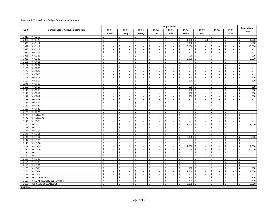|                  |                                           |       |                             |                                   |                                   |                                   | Department                               |                                   |                                                    |         |                             |                                   | <b>Expenditure</b>                             |
|------------------|-------------------------------------------|-------|-----------------------------|-----------------------------------|-----------------------------------|-----------------------------------|------------------------------------------|-----------------------------------|----------------------------------------------------|---------|-----------------------------|-----------------------------------|------------------------------------------------|
| GL#              | <b>General Ledger Account Description</b> | 10-01 |                             | 10-02                             | $10 - 03$                         | 10-04                             | 10-05                                    | 10-06                             | 10-07                                              |         | 10-08                       | $10 - 11$                         | <b>Total</b>                                   |
|                  |                                           | Admin |                             | Eng                               | Safety                            | Ops                               | Lab                                      | Maint                             | <b>E&amp;I</b>                                     |         | <b>IT</b>                   | Whs                               |                                                |
| 2019             | VHCL-19                                   | \$    | $\overline{\phantom{a}}$    | \$<br>$\overline{\phantom{a}}$    | \$<br>$\overline{\phantom{a}}$    | \$<br>$\sim$                      | \$<br>$\overline{\phantom{a}}$           | \$<br>$\overline{\phantom{a}}$    | \$<br>$\overline{\phantom{a}}$                     | \$      | $\overline{\phantom{a}}$    | \$<br>$\sim$                      | \$<br>$\sim$                                   |
| 2020             | VHCL-20                                   | Ś     | $\sim$                      | \$<br>$\mathcal{L}_{\mathcal{A}}$ | \$<br>$\mathcal{L}_{\mathcal{A}}$ | \$<br>$\mathcal{L}_{\mathcal{A}}$ | Ś.<br>$\sim$                             | \$<br>1,000                       | 500<br>-\$                                         | Ŝ       | $\mathcal{L}_{\mathcal{A}}$ | \$<br>$\mathcal{L}_{\mathcal{A}}$ | \$<br>1,500                                    |
| 2021             | VHCL-21                                   | Ś     | $\sim$                      | \$<br>$\sim$                      | \$<br>$\sim$                      | \$<br>$\sim$                      | \$<br>$\sim$                             | \$<br>3,000                       | \$<br>$\sim$                                       | \$      | $\sim$                      | Ś<br>$\sim$                       | \$<br>3,000                                    |
| 2022             | VHCL-22                                   | \$    | $\sim$                      | \$<br>$\sim$                      | \$<br>$\sim$                      | \$<br>$\sim$                      | \$<br>$\blacksquare$                     | \$<br>10,000                      | -\$<br>$\overline{\phantom{a}}$                    | \$.     | $\overline{\phantom{a}}$    | Ś<br>$\sim$                       | 10,000<br>\$                                   |
| 2023             | VHCL-23                                   | \$    | $\sim$                      | \$<br>$\sim$                      | \$<br>$\sim$                      | \$<br>$\sim$                      | \$<br>$\blacksquare$                     | \$<br>$\blacksquare$              | \$<br>$\sim$                                       | \$      | $\sim$                      | \$<br>$\sim$                      | \$<br>$\sim$                                   |
| 2024             | VHCL-24                                   | Ś     | $\sim$                      | \$<br>$\overline{\phantom{a}}$    | Ś<br>÷                            | Ś<br>$\sim$                       | Ś.<br>$\overline{\phantom{a}}$           | \$<br>$\overline{a}$              | \$<br>$\overline{\phantom{a}}$                     | Ś       | $\overline{\phantom{a}}$    | Ś<br>$\overline{\phantom{a}}$     | \$<br>$\mathcal{L}_{\mathcal{A}}$              |
| 2025             | VHCL-25                                   | \$    | $\sim$                      | \$<br>$\mathbb{Z}^2$              | $\mathsf{\$}$<br>$\sim$           | Ś.<br>$\sim$                      | Ŝ.<br>$\overline{\phantom{a}}$           | 500<br>\$                         | \$<br>$\overline{\phantom{a}}$                     | \$      | $\sim$                      | \$<br>$\mathbf{r}$                | 500<br>\$                                      |
| 2026             | VHCL-26                                   | Ś     | $\overline{\phantom{a}}$    | \$<br>$\mathcal{L}_{\mathcal{A}}$ | \$<br>$\mathcal{L}_{\mathcal{A}}$ | \$<br>$\sim$                      | \$<br>$\overline{\phantom{a}}$           | \$<br>2,000                       | \$<br>$\overline{\phantom{a}}$                     | \$      | $\sim$                      | \$<br>$\mathcal{L}_{\mathcal{A}}$ | \$<br>2,000                                    |
| 2101             | VHCT-01                                   | Ś.    | $\mathcal{L}_{\mathcal{A}}$ | \$<br>$\mathcal{L}_{\mathcal{A}}$ | \$<br>$\mathcal{L}_{\mathcal{A}}$ | \$<br>$\sim$                      | Ŝ.<br>$\mathbb{Z}^2$                     | \$<br>$\sim$                      | \$<br>$\mathcal{L}_{\mathcal{A}}$                  | $\sf S$ | $\mathcal{L}_{\mathcal{A}}$ | \$<br>$\mathcal{L}_{\mathcal{A}}$ | Ś.<br>$\sim$                                   |
| 2102             | VHCT-02                                   | \$    | $\overline{\phantom{a}}$    | \$<br>$\overline{\phantom{a}}$    | \$<br>$\sim$                      | \$<br>$\sim$                      | \$<br>$\overline{\phantom{a}}$           | \$<br>$\sim$                      | \$<br>$\sim$                                       | \$      | $\sim$                      | Ś<br>$\sim$                       | \$<br>$\sim$                                   |
| 2103             | VHCT-03                                   | \$    | $\sim$                      | \$<br>$\overline{\phantom{a}}$    | \$<br>$\sim$                      | Ŝ.<br>$\mathcal{L}^{\mathcal{L}}$ | $\mathsf{S}$<br>$\overline{\phantom{a}}$ | \$<br>$\mathcal{L}_{\mathcal{A}}$ | \$<br>$\overline{\phantom{a}}$                     | \$      | $\sim$                      | Ś<br>$\sim$                       | \$<br>$\sim$                                   |
| 2104             | VHCT-04                                   | \$    | $\sim$                      | \$<br>$\sim$                      | \$<br>$\sim$                      | Ś<br>$\sim$                       | \$<br>$\sim$                             | \$<br>$\mathcal{L}_{\mathcal{A}}$ | \$<br>$\mathcal{L}_{\mathcal{A}}$                  | \$      | $\sim$                      | \$<br>$\sim$                      | \$<br>$\sim$                                   |
| 2105             | VHCT-05                                   | \$    | $\sim$                      | \$<br>$\overline{\phantom{a}}$    | Ś<br>÷                            | Ś<br>$\sim$                       | Ś.<br>$\overline{\phantom{a}}$           | \$<br>$\overline{a}$              | \$<br>$\overline{\phantom{a}}$                     | Ś       | $\overline{\phantom{a}}$    | Ś<br>$\overline{\phantom{a}}$     | \$<br>$\mathcal{L}$                            |
| 2106             | VHCT-06                                   | \$    | $\sim$                      | \$<br>$\overline{\phantom{a}}$    | \$<br>$\overline{\phantom{a}}$    | \$<br>$\sim$                      | Ś.<br>$\overline{\phantom{a}}$           | \$<br>500                         | Ŝ.<br>$\overline{\phantom{a}}$                     | \$      | ä,                          | \$<br>$\overline{\phantom{a}}$    | 500<br>Ś.                                      |
| 2107             | VHCT-07                                   | \$    | $\sim$                      | \$<br>$\mathcal{L}_{\mathcal{A}}$ | \$<br>$\mathcal{L}_{\mathcal{A}}$ | \$<br>$\sim$                      | \$<br>$\blacksquare$                     | 500<br>\$                         | $\ddot{\varsigma}$<br>$\overline{\phantom{a}}$     | \$      | $\sim$                      | \$<br>$\mathcal{L}_{\mathcal{A}}$ | \$<br>500                                      |
| 2108             | VHCT-08                                   | Ś.    | $\mathcal{L}_{\mathcal{A}}$ | \$<br>$\mathbb{Z}^2$              | \$<br>$\mathcal{L}^{\mathcal{L}}$ | \$<br>$\sim$                      | Ŝ.<br>$\mathbb{Z}^2$                     | Ś<br>$\blacksquare$               | \$<br>$\mathcal{L}_{\mathcal{A}}$                  | $\sf S$ | $\mathcal{L}_{\mathcal{A}}$ | \$<br>$\mathcal{L}_{\mathcal{A}}$ | Ś.<br>$\sim$                                   |
| 2109             | VHCT-09                                   | \$    | $\overline{\phantom{a}}$    | \$<br>$\sim$                      | \$<br>$\sim$                      | \$<br>$\sim$                      | \$<br>$\overline{\phantom{a}}$           | \$<br>500                         | $\ddot{\mathsf{S}}$<br>$\sim$                      | $\sf S$ | $\sim$                      | \$<br>$\overline{\phantom{a}}$    | $\mathsf{\hat{S}}$<br>500                      |
| 2110             | VHCT-10                                   | \$    | $\sim$                      | \$<br>$\sim$                      | \$<br>$\sim$                      | Ŝ.<br>$\mathcal{L}_{\mathcal{A}}$ | \$<br>$\overline{\phantom{a}}$           | 500<br>Ś                          | \$<br>$\overline{\phantom{a}}$                     | \$      | $\sim$                      | Ś<br>$\sim$                       | 500<br>\$                                      |
| 2111             | VHCT-11                                   | \$    | $\sim$                      | \$<br>$\sim$                      | \$<br>$\sim$                      | Ś<br>$\sim$                       | \$<br>$\sim$                             | \$<br>500                         | \$<br>$\overline{\phantom{a}}$                     | \$      | $\sim$                      | \$<br>$\sim$                      | 500<br>\$                                      |
| 2112             | VHCT-12                                   | Ś     | $\sim$                      | \$<br>$\overline{\phantom{a}}$    | \$<br>$\sim$                      | Ś<br>$\mathcal{L}_{\mathcal{A}}$  | \$<br>$\overline{\phantom{a}}$           | Ś<br>500                          | \$<br>$\overline{\phantom{a}}$                     | \$      | $\overline{\phantom{a}}$    | Ś<br>$\sim$                       | \$<br>500                                      |
| 2113             | VHCT-13                                   | \$    | $\sim$                      | \$<br>$\overline{\phantom{a}}$    | Ś<br>$\overline{\phantom{a}}$     | Ś<br>$\sim$                       | Ś.<br>$\overline{\phantom{a}}$           | Ś<br>$\overline{\phantom{a}}$     | \$<br>$\overline{\phantom{a}}$                     | Ś       | $\overline{\phantom{a}}$    | \$<br>$\overline{\phantom{a}}$    | Ś.<br>$\overline{\phantom{a}}$                 |
| 2114             | VHCT-14                                   | \$    | $\sim$                      | \$<br>$\mathcal{L}_{\mathcal{A}}$ | \$<br>$\mathcal{L}_{\mathcal{A}}$ | \$<br>$\sim$                      | \$<br>$\overline{\phantom{a}}$           | \$<br>$\mathcal{L}_{\mathcal{A}}$ | \$<br>$\overline{\phantom{a}}$                     | \$      | $\sim$                      | \$<br>$\mathcal{L}_{\mathcal{A}}$ | \$<br>$\mathbb{Z}^2$                           |
| 2122             | VHCT-22                                   | \$    | $\sim$                      | \$<br>$\mathcal{L}_{\mathcal{A}}$ | \$<br>$\mathcal{L}_{\mathcal{A}}$ | \$<br>$\mathcal{L}_{\mathcal{A}}$ | $\mathsf{S}$<br>$\mathbb{Z}^2$           | \$<br>$\mathcal{L}$               | \$<br>$\mathcal{L}_{\mathcal{A}}$                  | $\sf S$ | $\mathcal{L}_{\mathcal{A}}$ | \$<br>$\mathcal{L}_{\mathcal{A}}$ | \$<br>$\mathbb{Z}^2$                           |
| 2123             | VHCT-23                                   | \$    | $\sim$                      | \$<br>$\sim$                      | \$<br>$\sim$                      | \$<br>$\sim$                      | \$<br>$\mathcal{L}_{\mathcal{A}}$        | \$<br>$\overline{\phantom{a}}$    | \$<br>$\mathcal{L}_{\mathcal{A}}$                  | $\sf S$ | $\sim$                      | \$<br>$\sim$                      | $\mathsf{\hat{S}}$<br>$\sim$                   |
| 2124             | VHCT-24                                   | \$    | $\sim$                      | \$<br>$\sim$                      | \$<br>$\sim$                      | Ŝ.<br>$\mathcal{L}_{\mathcal{A}}$ | \$<br>$\overline{\phantom{a}}$           | \$<br>$\mathbf{r}$                | \$<br>$\overline{\phantom{a}}$                     | \$      | $\sim$                      | Ś<br>$\sim$                       | \$<br>$\mathcal{L}_{\mathcal{A}}$              |
| 2133             | VHSNOW-03                                 | \$    | $\sim$                      | \$<br>$\sim$                      | \$<br>$\sim$                      | \$<br>$\sim$                      | \$<br>$\sim$                             | \$<br>$\sim$                      | \$<br>$\mathcal{L}_{\mathcal{A}}$                  | \$      | $\sim$                      | \$<br>$\sim$                      | \$<br>$\sim$                                   |
| 2134             | VHSNOW-04                                 | \$    | $\overline{\phantom{a}}$    | \$<br>$\sim$                      | \$<br>$\mathcal{L}_{\mathcal{A}}$ | \$<br>$\sim$                      | \$<br>$\blacksquare$                     | \$<br>$\blacksquare$              | \$<br>$\blacksquare$                               | \$      | $\sim$                      | Ś<br>$\overline{\phantom{a}}$     | \$<br>$\overline{\phantom{a}}$                 |
| 2141             | VHEQ-01                                   | Ś     | $\sim$                      | \$<br>$\overline{\phantom{a}}$    | Ś<br>$\overline{\phantom{a}}$     | Ś<br>$\sim$                       | Ś.<br>$\overline{\phantom{a}}$           | Ś<br>$\overline{\phantom{a}}$     | \$<br>$\overline{\phantom{a}}$                     | Ś       | $\overline{\phantom{a}}$    | Ś<br>$\overline{\phantom{a}}$     | \$<br>$\sim$                                   |
| 2142             | VHEQ-02                                   | \$    | $\sim$                      | \$<br>$\mathcal{L}_{\mathcal{A}}$ | \$<br>$\sim$                      | \$<br>$\sim$                      | \$<br>$\blacksquare$                     | \$<br>3,000                       | \$<br>$\sim$                                       | \$      | $\sim$                      | \$<br>$\mathcal{L}_{\mathcal{A}}$ | \$<br>3,000                                    |
| 2143             | VHEQ-03                                   | Ś     | $\mathbf{r}$                | \$<br>$\mathcal{L}$               | \$<br>$\mathcal{L}^{\mathcal{L}}$ | \$<br>$\mathcal{L}^{\mathcal{L}}$ | $\mathsf{S}$<br>$\mathbb{Z}^2$           | \$<br>$\sim$                      | \$<br>$\mathbb{Z}^2$                               | $\sf S$ | $\mathcal{L}$               | \$<br>$\sim$                      | \$<br>$\sim$                                   |
| 2144             | VHEQ-04                                   | \$    | $\sim$                      | \$<br>$\sim$                      | \$<br>$\sim$                      | \$<br>$\sim$                      | \$<br>$\mathcal{L}_{\mathcal{A}}$        | \$<br>$\sim$                      | \$<br>$\mathcal{L}_{\mathcal{A}}$                  | $\sf S$ | $\sim$                      | \$<br>$\sim$                      | $\mathsf{\hat{S}}$<br>$\sim$                   |
| 2145             | VHEQ-05                                   | \$    | $\sim$                      | \$<br>$\sim$                      | \$<br>$\sim$                      | \$<br>$\mathcal{L}_{\mathcal{A}}$ | \$<br>$\overline{\phantom{a}}$           | \$<br>$\mathbf{r}$                | \$<br>$\overline{\phantom{a}}$                     | \$      | $\sim$                      | Ś<br>$\sim$                       | \$<br>$\blacksquare$                           |
| 2146             | VHEQ-06                                   | \$    | $\sim$                      | \$<br>$\sim$                      | \$<br>$\sim$                      | \$<br>$\sim$                      | \$<br>$\sim$                             | $\zeta$<br>5,000                  | $\ddot{\mathsf{S}}$<br>$\mathcal{L}_{\mathcal{A}}$ | \$      | $\sim$                      | \$<br>$\overline{\phantom{a}}$    | \$<br>5,000                                    |
| 2147             | VHEQ-07                                   | \$    | $\sim$                      | \$<br>$\sim$                      | \$<br>$\mathcal{L}_{\mathcal{A}}$ | \$<br>$\sim$                      | \$<br>$\blacksquare$                     | \$<br>$\sim$                      | \$<br>$\blacksquare$                               | \$      | $\sim$                      | Ś<br>$\overline{\phantom{a}}$     | \$<br>$\mathcal{L}_{\mathcal{A}}$              |
| 2148             | VHEQ-08                                   | Ś     | $\sim$                      | \$<br>$\overline{\phantom{a}}$    | Ś<br>$\overline{\phantom{a}}$     | Ś<br>$\sim$                       | Ś.<br>$\overline{\phantom{a}}$           | \$<br>$\mathbf{r}$                | Ś<br>$\overline{\phantom{a}}$                      | Ś       | $\overline{\phantom{a}}$    | Ś<br>$\overline{\phantom{a}}$     | \$<br>$\blacksquare$                           |
| 2149             | VHEQ-09                                   | \$    | $\sim$                      | \$<br>$\overline{\phantom{a}}$    | \$<br>$\sim$                      | \$<br>$\sim$                      | \$<br>$\overline{\phantom{a}}$           | \$<br>1,000                       | \$<br>$\overline{\phantom{a}}$                     | \$      | $\overline{\phantom{a}}$    | \$<br>$\overline{\phantom{a}}$    | \$<br>1,000                                    |
| 2150             | VHEQ-10                                   | \$    | $\mathcal{L}$               | \$<br>$\mathcal{L}$               | \$<br>$\mathcal{L}^{\mathcal{A}}$ | \$<br>$\mathcal{L}^{\mathcal{A}}$ | \$<br>$\sim$                             | 10,000<br>\$                      | \$<br>$\mathcal{L}_{\mathcal{A}}$                  | \$      | $\mathcal{L}$               | \$<br>$\sim$                      | 10,000<br>\$                                   |
| 2151             | VHEQ-11                                   | \$    | $\sim$                      | \$<br>$\sim$                      | \$<br>$\sim$                      | \$<br>$\sim$                      | \$<br>$\sim$                             | \$<br>$\sim$                      | \$<br>$\sim$                                       | $\sf S$ | $\sim$                      | \$<br>$\overline{\phantom{a}}$    | $\mathsf{\hat{S}}$<br>$\overline{\phantom{a}}$ |
| 2152             | VHEQ-12                                   | \$    | $\sim$                      | \$<br>$\mathcal{L}_{\mathcal{A}}$ | \$<br>$\mathcal{L}_{\mathcal{A}}$ | \$<br>$\sim$                      | Ś.<br>$\mathcal{L}_{\mathcal{A}}$        | \$<br>$\mathcal{L}_{\mathcal{A}}$ | \$<br>$\mathcal{L}_{\mathcal{A}}$                  | \$      | $\sim$                      | $\mathsf{\$}$<br>$\sim$           | Ś.<br>$\mathcal{L}_{\mathcal{A}}$              |
| 2153             | VHEQ-13                                   | \$    | $\sim$                      | \$<br>$\sim$                      | \$<br>$\sim$                      | \$<br>$\sim$                      | \$<br>$\sim$                             | \$<br>$\blacksquare$              | $\ddot{\mathsf{S}}$<br>$\mathcal{L}_{\mathcal{A}}$ | \$      | $\sim$                      | \$<br>$\overline{\phantom{a}}$    | \$<br>$\mathcal{L}_{\mathcal{A}}$              |
| 2154             | VHEQ-14                                   | \$    | $\sim$                      | \$<br>$\sim$                      | \$<br>$\mathcal{L}_{\mathcal{A}}$ | \$<br>$\mathcal{L}_{\mathcal{A}}$ | \$<br>$\blacksquare$                     | \$<br>$\overline{\phantom{a}}$    | \$<br>$\overline{\phantom{a}}$                     | \$      | $\overline{\phantom{a}}$    | Ś<br>$\sim$                       | \$<br>$\overline{\phantom{a}}$                 |
| 2155             | VHEQ-15                                   | Ś     | $\sim$                      | \$<br>$\sim$                      | Ś<br>÷                            | Ś<br>$\sim$                       | Ŝ.<br>$\blacksquare$                     | Ś<br>$\mathbf{r}$                 | Ś<br>$\blacksquare$                                | Ś       | $\sim$                      | Ś<br>$\sim$                       | \$<br>$\sim$                                   |
| 2163             | VHEQ-23                                   | Ś     | $\sim$                      | \$<br>$\overline{\phantom{a}}$    | Ś<br>ä,                           | Ŝ.<br>$\sim$                      | Ś.<br>$\overline{\phantom{a}}$           | 500<br>\$                         | Ŝ.<br>$\overline{\phantom{a}}$                     | Ś       | $\overline{\phantom{a}}$    | \$<br>$\overline{\phantom{a}}$    | 500<br>\$                                      |
| 2164             | VHEQ-24                                   | \$    | $\mathcal{L}$               | \$<br>$\mathcal{L}$               | \$<br>$\mathcal{L}^{\mathcal{A}}$ | Ŝ.<br>$\mathcal{L}^{\mathcal{A}}$ | \$<br>$\sim$                             | \$<br>1,000                       | Ŝ.<br>$\mathcal{L}_{\mathcal{A}}$                  | \$      | $\mathcal{L}_{\mathcal{A}}$ | \$<br>$\sim$                      | \$<br>1,000                                    |
| 2165             | VHEQ-25                                   | \$    | $\sim$                      | \$<br>$\mathcal{L}_{\mathcal{A}}$ | Ś<br>$\mathcal{L}^{\mathcal{L}}$  | \$<br>$\sim$                      | \$<br>$\mathcal{L}_{\mathcal{A}}$        | \$<br>$\mathcal{L}_{\mathcal{A}}$ | \$<br>$\mathcal{L}_{\mathcal{A}}$                  | \$      | $\sim$                      | Ś<br>$\mathcal{L}_{\mathcal{A}}$  | \$<br>$\sim$                                   |
| 2166             | VHEQ-26 POLARIS                           | \$    | $\sim$                      | \$<br>$\sim$                      | \$<br>$\sim$                      | \$<br>$\sim$                      | Ŝ.<br>$\overline{\phantom{a}}$           | 500<br>\$                         | $\ddot{\mathsf{S}}$<br>$\blacksquare$              | Ŝ       | $\sim$                      | \$<br>$\sim$                      | 500<br>Ś.                                      |
| 2167             | VHEQ-49 WAREHOUSE FORKLIFT                | \$    | $\sim$                      | \$<br>$\sim$                      | \$<br>$\sim$                      | \$<br>$\sim$                      | \$<br>$\overline{\phantom{a}}$           | \$<br>500                         | $\ddot{\varsigma}$<br>$\blacksquare$               | \$      | $\sim$                      | \$<br>$\sim$                      | \$<br>500                                      |
| 2199             | <b>VEHICLE MISCELLANEOUS</b>              | Ś     |                             | \$                                | \$<br>÷.                          | \$<br>$\sim$                      | \$<br>$\overline{a}$                     | \$<br>5,000                       | -\$<br>$\sim$                                      | \$      | $\overline{\phantom{a}}$    | \$<br>$\sim$                      | \$<br>5,000                                    |
| <b>Insurance</b> |                                           |       |                             |                                   |                                   |                                   |                                          |                                   |                                                    |         |                             |                                   |                                                |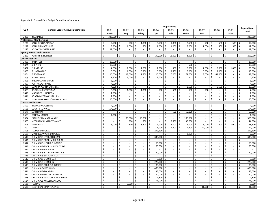|                        |                                           |         |                |      |                             |               |                             |                     |                             |                         | Department                  |              |                             |                         |                             |               |                             |                       |                             |                    | <b>Expenditure</b>       |
|------------------------|-------------------------------------------|---------|----------------|------|-----------------------------|---------------|-----------------------------|---------------------|-----------------------------|-------------------------|-----------------------------|--------------|-----------------------------|-------------------------|-----------------------------|---------------|-----------------------------|-----------------------|-----------------------------|--------------------|--------------------------|
| GL#                    | <b>General Ledger Account Description</b> |         | 10-01          |      | $10 - 02$                   |               | $10 - 03$                   |                     | 10-04                       |                         | 10-05                       |              | 10-06                       |                         | $10 - 07$                   |               | 10-08                       |                       | $10 - 11$                   |                    | <b>Total</b>             |
|                        |                                           |         | Admin          |      | Eng                         |               | Safety                      |                     | Ops                         |                         | Lab                         |              | Maint                       |                         | E&I                         |               | IT                          |                       | Whs                         |                    |                          |
| 2200                   | <b>INSURANCE</b>                          | Ś       | 336,000 \$     |      | $\sim$                      | \$            | $\sim$                      | $\ddot{\mathsf{S}}$ | $\sim$                      | \$                      | $\overline{\phantom{a}}$    | \$           | $\overline{\phantom{a}}$    | $\mathsf{S}$            | $\overline{\phantom{a}}$    | -\$           | $\sim$                      | $\mathsf{S}$          | $\sim$                      | -\$                | 336,000                  |
|                        | <b>Professional Memberships</b>           |         |                |      |                             |               |                             |                     |                             |                         |                             |              |                             |                         |                             |               |                             |                       |                             |                    |                          |
| 2221                   | <b>STAFF CERTIFICATIONS</b>               | Ś       | $2,500$ \$     |      | 500                         |               | 1,000                       |                     | 3,500                       |                         | 1,000                       | \$           | 2,500                       | Ŝ.                      | 500                         | -\$           | 500                         | Ŝ.                    | 500                         | -\$                | 12,500                   |
| 2222                   | STAFF MEMBERSHIPS                         | Ś       | 3,500          | -\$  | 1,000                       | Ś             | 500                         | \$                  | 1,000                       | Ś.                      | 1,000                       | $\mathsf{S}$ | 3,000                       | \$                      | 1,000                       | Ŝ.            | 500                         | \$                    | 500                         | Ś.                 | 12,000                   |
| 2223                   | <b>AGENCY MEMBERSHIPS</b>                 | Ś       | 29,000 \$      |      | $\mathcal{L}_{\mathcal{A}}$ | \$            | ÷.                          | \$                  | ÷.                          | Ś.                      | $\overline{\phantom{a}}$    | \$           | $\mathcal{L}_{\mathcal{A}}$ | \$                      | $\mathbf{r}$                | \$            | $\mathcal{L}^{\pm}$         | \$                    | $\sim$                      | \$                 | 29,000                   |
|                        | <b>Agency Permits and Licenses</b>        |         |                |      |                             |               |                             |                     |                             |                         |                             |              |                             |                         |                             |               |                             |                       |                             |                    |                          |
| 2250                   | <b>PERMITS &amp; LICENSES</b>             | Ŝ.      | $\sim$         | Ŝ.   | $\sim$                      | -\$           | $\sim$                      | -\$                 | 190,000 \$                  |                         | 12,000                      | S.           | 1,000                       | l \$                    | $\sim$                      | Ŝ             | $\sim$                      | -\$                   | $\sim$                      | \$                 | 203,000                  |
| <b>Office Expenses</b> |                                           |         |                |      |                             |               |                             |                     |                             |                         |                             |              |                             |                         |                             |               |                             |                       |                             |                    |                          |
| 2400                   | <b>BANK FEES</b>                          | \$      | 15,000 \$      |      | $\sim$                      | \$            | $\sim$                      | \$.                 | $\sim$                      | -\$                     | $\overline{\phantom{a}}$    | -\$          | $\overline{\phantom{a}}$    | \$                      | $\sim$                      | \$.           | $\sim$                      | Ś                     | $\sim$                      | Ś                  | 15,000                   |
| 2401                   | <b>SUPPLIES</b>                           | Ś       | 15,000         | -\$  | $\mathcal{L}_{\mathcal{A}}$ | \$            | $\mathcal{L}^{\mathcal{L}}$ | \$                  | $\mathcal{L}^{\mathcal{L}}$ | \$                      | $\blacksquare$              | Ś            | 500                         | \$                      | $\sim$                      | \$            | $\sim$                      | Ś                     | $\mathcal{L}_{\mathcal{A}}$ | \$                 | 15,500                   |
| 2402                   | <b>FURNITURE</b>                          | Ś       | 4,000          | -\$  | 1,000                       | \$            | 1,000                       | \$                  | 1,000                       | Ŝ.                      | 500                         | \$           | 5,000                       | \$                      | 4,500                       | -\$           | 5,000                       | Ś                     | 1,000                       | \$                 | 23,000                   |
| 2403                   | <b>IT HARDWARE</b>                        | Ś       | 5,000          | l \$ | 1,000                       | l s           | 5,500                       | Ŝ.                  | 6,000                       | - Ś                     | 3,500                       | Ś            | 5,000                       | -\$                     | 5,500                       | l s           | 2,000                       | Ś                     | $\sim$                      | Ś                  | 33,500                   |
| 2404                   | <b>IT SOFTWARE</b>                        | Ś       | 15,000         | \$   | 17,000                      | Ŝ.            | 2,500                       | Ŝ                   | 10,000                      | \$                      | 6,000                       | \$           | 71,000                      | \$                      | 3,000                       | -\$           | 63,000                      |                       | $\sim$                      | \$                 | 187,500                  |
| 2405                   | <b>ADVERTISING</b>                        | \$      | 1,500          | -\$  | 1,000                       | Ś             | ÷.                          | Ś                   | 2,000                       | Ŝ.                      | $\sim$                      | Ś            | $\overline{\phantom{a}}$    | \$                      | $\blacksquare$              | .S            |                             | Ś                     | $\sim$                      | \$                 | 4,500                    |
| 2406                   | <b>BREAKROOM SUPPLIES</b>                 | Ś       | 5,000          | -\$  | $\sim$                      | \$            | $\mathcal{L}_{\mathcal{A}}$ | \$                  | $\sim$                      | \$                      | $\overline{\phantom{a}}$    | \$           | $\sim$                      | \$                      | $\sim$                      | \$            | $\sim$                      | Ś                     | $\sim$                      | \$                 | 5,000                    |
| 2407                   | POSTAGE/SHIPPING                          | \$      | $4,000$ \$     |      | $\sim$                      | \$            | $\mathcal{L}_{\mathcal{A}}$ | Ŝ.                  | $\sim$                      | Ŝ.                      | $\blacksquare$              | \$           | $\overline{a}$              | Ŝ.                      | $\blacksquare$              | Ŝ             | $\sim$                      | Ś                     | $\sim$                      | Ś                  | 4,000                    |
| 2408                   | COPIER/FAX/INK EXPENSES                   | \$      | 4,000          | \$   | $\sim$                      | Ś             | ÷.                          |                     | $\sim$                      | Ś                       | $\overline{\phantom{a}}$    | \$           | 2,500                       | \$                      | $\overline{\phantom{a}}$    | Ŝ             | 6,500                       |                       | $\overline{\phantom{a}}$    | \$                 | 13,000                   |
| 2409                   | <b>BOOKS/SUBSCRIPTIONS</b>                | Ś       | 3,000          | -\$  | 1,000                       | \$            | 1,000                       | Ŝ.                  | 500                         | Ś                       | 500                         | Ś            | 500                         | Ŝ.                      | 500                         |               |                             |                       | $\sim$                      | Ś.                 | 7,000                    |
| 2410                   | <b>MANAGER LUNCHEON</b>                   | \$      | 1,500          | -\$  | $\sim$                      | -\$           | ÷.                          | \$                  | $\sim$                      | Ŝ.                      | $\sim$                      | Ś            | $\overline{\phantom{a}}$    | \$                      | $\overline{\phantom{a}}$    | \$.           | $\sim$                      | -\$                   | $\mathbf{r}$                | Ś                  | 1,500                    |
| 2411                   | <b>BOARD MEETING SUPPLIES</b>             | $\sf S$ | 2,500          | -\$  | $\sim$                      | \$            | $\sim$                      | Ŝ.                  | $\sim$                      | Ś.                      | $\mathcal{L}_{\mathcal{A}}$ | \$           | $\sim$                      | \$                      | $\mathcal{L}$               | Ŝ             | $\sim$                      | Ś                     | $\mathcal{L}$               | \$                 | 2,500                    |
| 2412                   | STAFF LUNCHEONS/APPRECIATION              | Ś.      | 15,000 \$      |      | $\sim$                      | $\mathsf{\$}$ | $\sim$                      | \$                  | $\sim$                      | Ŝ.                      | $\sim$                      | \$           | $\overline{\phantom{a}}$    | \$                      | $\sim$                      | Ŝ             | $\sim$                      | \$                    | $\sim$                      | \$                 | 15,000                   |
|                        | <b>Contractual Services</b>               |         |                |      |                             |               |                             |                     |                             |                         |                             |              |                             |                         |                             |               |                             |                       |                             |                    |                          |
| 2500                   | <b>INVOICE PROCESSING</b>                 | \$      | $4,000$ \$     |      | $\sim$                      | \$            | $\sim$                      | \$.                 | $\sim$                      | \$                      | $\sim$                      | \$           | $\overline{\phantom{a}}$    | \$                      | $\sim$                      | \$            | $\overline{\phantom{a}}$    | \$                    | $\sim$                      | \$                 | 4,000                    |
| 2501                   | <b>COUNTY SERVICES</b>                    | Ś       | 154,000        | -\$  | $\sim$                      | \$            | $\sim$                      | Ś                   | $\sim$                      | \$                      | $\sim$                      | \$           | $\mathcal{L}$               | \$                      | $\sim$                      | Ś             | $\sim$                      | Ś                     | $\overline{\phantom{a}}$    | \$                 | 154,000                  |
| 2502                   | <b>JANITORIAL</b>                         | Ś       |                | \$   | $\sim$                      | Ś             | $\overline{\phantom{a}}$    |                     | $\sim$                      | \$                      | 500                         | Ś            | 50,000                      | Ŝ.                      | $\sim$                      | <sup>\$</sup> | ä,                          | \$                    | $\sim$                      | Ś                  | 50,500                   |
| 2503                   | <b>GENERAL OFFICE</b>                     | \$      | 4,000          | -\$  | $\mathcal{L}$               | \$            | $\sim$                      | Ŝ.                  | $\sim$                      | \$                      | $\mathcal{L}_{\mathcal{A}}$ | Ś            | $\overline{a}$              | Ŝ.                      | $\mathcal{L}_{\mathcal{A}}$ | \$            | $\sim$                      | Ś                     | $\sim$                      | Ś                  | 4,000                    |
| 2504                   | <b>FACILITIES MAINTENANCE</b>             | Ś       | $\sim$         | \$   | 195,000                     | Ś             | 65,000                      |                     | $\sim$                      | Ŝ.                      | $\sim$                      | Ŝ.           | 106,500                     | Ŝ.                      | $\sim$                      | <sup>\$</sup> | $\sim$                      | Ś                     | $\sim$                      | Ŝ.                 | 366,500                  |
| 2505                   | <b>MECHANICAL MAINTENANCE</b>             | Ś       | $\sim$         | Ŝ.   | 500                         | Ŝ.            | 500                         | Ŝ.                  | $\sim$                      | Ŝ.                      | 8,500                       | S.           | 35,000                      | -\$                     | $\sim$                      | Ŝ             | $\sim$                      | \$                    | $\sim$                      | Ś.                 | 44,500                   |
| 2506                   | <b>UNIFORMS</b>                           | \$      | 5,000          | -\$  | 500                         | Ś             | 3,500                       | Ŝ.                  | 9,000                       | Ŝ.                      | 2,000                       | Ŝ.           | 7,000                       | $\overline{\mathsf{s}}$ | 5,000                       | Ŝ.            | 500                         | Ś                     | 1,000                       | \$                 | 33,500                   |
| 2507                   | LEASES                                    | Ś       | $\sim$         | \$   | $\sim$                      | Ś             | $\sim$                      | Ŝ.                  | 1,000                       | ۱s                      | 1,500                       | \$           | 2,500                       | $\overline{\mathsf{s}}$ | 12,000                      | ۱Ś            | $\sim$                      | Ś                     | $\sim$                      | \$                 | 17,000                   |
| 2508                   | <b>SLUDGE DISPOSAL</b>                    | Ś       | $\sim$         | \$   | $\sim$                      | Ś             | $\mathcal{L}_{\mathcal{A}}$ |                     | 299,500                     | Ś.                      | $\sim$                      | Ś            | $\sim$                      | \$                      | $\sim$                      | Ś             | $\sim$                      | $\breve{\phantom{1}}$ | $\sim$                      | Ś.                 | 299,500                  |
| 2509                   | MATERIAL WASTE DISPOSAL                   | Ś       | $\sim$         | Ś    | $\overline{\phantom{a}}$    | Ś             | $\sim$                      |                     |                             | Ś                       | $\overline{\phantom{a}}$    | Ś            | 3,000                       | Ŝ.                      | $\overline{\phantom{a}}$    | Ś             | $\overline{\phantom{a}}$    | Ś                     | $\overline{\phantom{a}}$    | \$                 | 3,000                    |
| 2510                   | CHEMICALS-HYDRATED LIME                   | Ś       | $\sim$         | \$   | $\sim$                      | $\mathsf{\$}$ | $\sim$                      | Ŝ.                  | 335,000                     | Ŝ.                      | $\overline{\phantom{a}}$    | Ś            | $\sim$                      | Ŝ.                      | $\mathbf{r}$                | \$            | $\sim$                      | Ŝ.                    | $\sim$                      | Ś.                 | 335,000                  |
| 2511                   | CHEMICALS-SODIUM CHLORIDE                 | \$      | $\sim$         | \$   | $\sim$                      | \$            | $\mathcal{L}^{\mathcal{L}}$ | Ŝ.                  |                             | Ŝ.                      | $\mathcal{L}_{\mathcal{A}}$ | \$           | $\sim$                      | \$                      | $\sim$                      | Ŝ.            | $\mathcal{L}_{\mathcal{A}}$ | Ś                     | $\sim$                      | \$                 | $\sim$                   |
| 2512                   | CHEMICALS-LIQUID CHLORINE                 | Ś       | $\sim$         | \$   | $\sim$                      | Ŝ.            | $\sim$                      |                     | 165,000                     | Ŝ.                      | $\mathcal{L}_{\mathcal{A}}$ | Ś            | $\overline{\phantom{a}}$    | Ŝ.                      | $\sim$                      | Ś             | $\sim$                      | Ś                     | $\sim$                      | Ś.                 | 165,000                  |
| 2513                   | CHEMICALS-SODIUM HYDROXIDE                | Ś       | $\sim$         | \$   | $\sim$                      | \$            | $\sim$                      | \$                  | 60,000                      | $\overline{\mathsf{S}}$ | $\overline{\phantom{a}}$    | \$           | $\overline{\phantom{a}}$    | \$                      | $\sim$                      | Ŝ             | $\sim$                      | \$                    | $\sim$                      | \$                 | 60,000                   |
| 2514                   | CHEMICALS-SODA ASH                        | Ś       | $\sim$         | \$   | $\sim$                      | Ś             | $\sim$                      | Ŝ.                  | $\sim$                      | Ś                       | $\overline{\phantom{a}}$    | Ś            | $\overline{\phantom{a}}$    | Ś                       | $\overline{\phantom{a}}$    | <sup>\$</sup> | $\sim$                      | Ś                     | $\sim$                      | Ś                  | $\overline{\phantom{a}}$ |
| 2515                   | CHEMICALS-HYDROCHLORIC ACID               | Ś       | $\sim$         | \$   | $\sim$                      | Ś             | ÷                           | Ś                   | 20,000                      |                         | $\overline{\phantom{a}}$    | Ś            | $\mathcal{L}$               | \$                      | $\overline{\phantom{a}}$    | Ś             | $\overline{a}$              | Ś                     | $\overline{\phantom{a}}$    | \$                 | 20,000                   |
| 2516                   | CHEMICALS-SULFURIC ACID                   | Ś       |                | \$   |                             | Ś             | $\overline{\phantom{a}}$    | \$                  |                             | $\zeta$                 |                             | Ś            | $\overline{a}$              | Ś                       | $\overline{\phantom{a}}$    | Ś             |                             | Ś                     | $\sim$                      | Ś.                 |                          |
| 2517                   | CHEMICALS-LIQUID CO2                      | \$      | $\mathbf{r}$   | \$   | $\mathcal{L}$               | \$            | $\sim$                      | \$                  | 8,000                       | - Ś                     | $\overline{\phantom{a}}$    | \$           | ÷,                          | \$                      | $\mathcal{L}_{\mathcal{A}}$ | \$            | $\overline{\phantom{a}}$    | -\$                   | $\mathbf{r}$                | \$                 | 8,000                    |
| 2518                   | CHEMICALS-LIQUID 02                       | \$      | $\mathbf{r}$   | \$   | $\mathcal{L}_{\mathcal{A}}$ | \$            | $\sim$                      | Ŝ.                  | 220,000                     | Ŝ.                      | $\mathbb{Z}^2$              | Ś            | $\mathcal{L}_{\mathcal{A}}$ | Ŝ.                      | $\mathcal{L}_{\mathcal{A}}$ | Ś             | $\mathcal{L}_{\mathcal{A}}$ | Ś                     | $\mathcal{L}_{\mathcal{A}}$ | Ś.                 | 220,000                  |
| 2519                   | CHEMICALS-FERRIC CHLORIDE                 | \$      | $\sim$         | \$   | $\sim$                      | \$            | $\sim$                      | \$                  | 85,000                      | ۱s                      | $\overline{\phantom{a}}$    | Ś            | $\overline{\phantom{a}}$    | \$                      | $\overline{\phantom{a}}$    | Ŝ             | $\sim$                      | \$                    | $\sim$                      | Ś.                 | 85,000                   |
| 2520                   | CHEMICALS-METHANOL                        | Ś       | $\sim$         | \$   | $\sim$                      | \$            | $\mathcal{L}^{\mathcal{L}}$ | Ŝ.                  | 400,000                     | Ŝ.                      | $\overline{\phantom{a}}$    | Ś            | $\overline{\phantom{a}}$    | \$                      | $\sim$                      | Ŝ             | $\sim$                      | Ŝ.                    | $\overline{\phantom{a}}$    | \$                 | 400,000                  |
| 2521                   | CHEMICALS-POLYMER                         | Ś       | $\sim$         | \$   | $\sim$                      | \$            | $\sim$                      |                     | 135,000                     | \$                      | $\overline{\phantom{a}}$    | Ś            | $\overline{\phantom{a}}$    | Ś                       | $\sim$                      | \$            | $\sim$                      | Ś                     | $\sim$                      | \$                 | 135,000                  |
| 2522                   | CHEMICALS-BOILER CHEMICAL                 | Ś       | $\mathbf{r}$   | Ś    | $\mathcal{L}_{\mathcal{A}}$ | Ś             | $\mathcal{L}_{\mathcal{A}}$ |                     | 20,000                      | Ś                       | $\blacksquare$              | Ś            | $\mathcal{L}$               | Ś                       | $\blacksquare$              | Ś             | $\sim$                      | Ś                     | $\sim$                      | \$                 | 20,000                   |
| 2523                   | CHEMICALS-AMMONIA ANALYZERS               | Ś       |                | Ś    | $\sim$                      | Ś             | $\overline{\phantom{a}}$    | Ŝ.                  | 7,500                       |                         | $\overline{\phantom{a}}$    | Ś            | $\overline{\phantom{a}}$    | Ś                       | $\overline{\phantom{a}}$    | Ś             | $\overline{\phantom{m}}$    | Ś                     | $\sim$                      | Ś                  | 7,500                    |
| 2524                   | CHEMICALS-MISCELLANEOUS                   | Ś       | $\overline{a}$ | \$   | $\mathcal{L}$               | \$            | $\sim$                      | Ŝ.                  | 16,000                      | Ŝ                       | $\mathcal{L}_{\mathcal{A}}$ | Ś            | $\overline{\phantom{a}}$    | \$                      | $\sim$                      | <sup>\$</sup> | $\overline{\phantom{a}}$    | -\$                   | $\mathcal{L}$               | Ś                  | 16,000                   |
| 2525                   | <b>TESTING</b>                            | \$      | $\sim$         | \$   | 7,500                       | Ś             | $\sim$                      | \$                  | $\sim$                      | \$                      | $\overline{\phantom{a}}$    | Ś            | $\overline{a}$              | \$                      | $\overline{\phantom{a}}$    | Ś             | $\sim$                      | ς.                    | $\sim$                      | \$                 | 7,500                    |
| 2530                   | <b>ELECTRICAL MAINTENANCE</b>             | Ś       | $\sim$         | \$   | $\sim$                      | $\mathsf{\$}$ | ÷.                          | \$                  | $\sim$                      | $\mathsf{S}$            | $\sim$                      | $\mathsf{S}$ | $\mathbf{r}$                | $\mathsf{S}$            | $31,500$ \$                 |               | $\overline{\phantom{a}}$    | $\mathsf{\$}$         | $\sim$                      | $\mathsf{\hat{S}}$ | 31,500                   |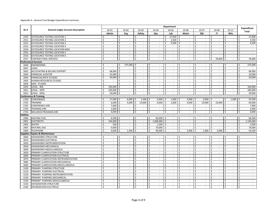|                  |                                           |                         |                          |                         |                             |                          |                                   |                             |      | <b>Department</b>              |     |                             |                         |                             |                          |                             |                    |                             |     |                             |
|------------------|-------------------------------------------|-------------------------|--------------------------|-------------------------|-----------------------------|--------------------------|-----------------------------------|-----------------------------|------|--------------------------------|-----|-----------------------------|-------------------------|-----------------------------|--------------------------|-----------------------------|--------------------|-----------------------------|-----|-----------------------------|
| GL#              | <b>General Ledger Account Description</b> |                         | 10-01                    |                         | $10 - 02$                   | $10 - 03$                |                                   | 10-04                       |      | 10-05                          |     | 10-06                       |                         | $10 - 07$                   |                          | 10-08                       |                    | $10 - 11$                   |     | <b>Expenditure</b>          |
|                  |                                           |                         | Admin                    |                         | Eng                         | Safety                   |                                   | Ops                         |      | Lab                            |     | <b>Maint</b>                |                         | <b>E&amp;I</b>              |                          | IT.                         |                    | Whs                         |     | <b>Total</b>                |
| 2550             | OUTSOURCE TESTING LOCATION 1              | Ś                       |                          | \$                      |                             | \$                       | \$<br>$\overline{\phantom{a}}$    | $\sim$                      | Ŝ.   | 37,000                         | \$  | $\blacksquare$              | \$                      | $\sim$                      | \$                       | $\overline{\phantom{a}}$    | \$                 | $\sim$                      | \$  | 37,000                      |
| 2551             | <b>OUTSOURCE TESTING LOCATION 2</b>       | Ŝ.                      | $\mathbf{r}$             | $\overline{\mathsf{s}}$ | $\sim$                      | Ŝ.                       | $\overline{\mathsf{S}}$<br>$\sim$ | $\sim$                      | Ŝ.   | 3,500                          | Ŝ.  | $\mathbf{r}$                | Ŝ.                      | $\blacksquare$              | Ŝ                        | $\sim$                      | Ŝ.                 | $\sim$                      | Ś.  | 3,500                       |
| 2552             | <b>OUTSOURCE TESTING LOCATION 3</b>       | Ś                       | $\sim$                   | \$                      | $\sim$                      | \$                       | \$<br>$\mathcal{L}_{\mathcal{A}}$ | $\sim$                      | \$   | 4,500                          | \$  | $\overline{\phantom{a}}$    | \$                      | $\overline{\phantom{a}}$    | \$                       | $\sim$                      | Ś                  | $\overline{\phantom{a}}$    | \$  | 4,500                       |
| 2553             | OUTSOURCE TESTING LOCATION 4              | Ś                       | $\sim$                   | \$                      | $\sim$                      | Ś                        | Ś<br>$\sim$                       | $\sim$                      | Ŝ    | $\overline{\phantom{a}}$       | \$  | $\overline{\phantom{a}}$    | \$                      | $\sim$                      | Ŝ                        | $\sim$                      | \$                 | $\sim$                      | \$  | $\sim$                      |
| 2554             | OUTSOURCE TESTING LOCATION MISC.          | Ś                       | $\sim$                   | $\sf S$                 | $\mathcal{L}_{\mathcal{A}}$ | \$                       | \$<br>$\mathcal{L}_{\mathcal{A}}$ | $\sim$                      | \$   | $\mathcal{L}_{\mathcal{A}}$    | \$  | $\mathcal{L}$               | \$                      | $\sim$                      | $\sf S$                  | $\sim$                      | Ś                  | $\sim$                      | \$  | $\sim$                      |
| 2555             | <b>OUTSOURCE TESTING LOCATION 5</b>       | \$                      | $\sim$                   | Ś                       | $\sim$                      | Ś                        | Ś<br>÷                            | $\sim$                      |      | Ś.<br>$\sim$                   | \$  | $\overline{\phantom{a}}$    | Ś                       | $\mathbf{r}$                | Ś                        | $\overline{\phantom{a}}$    | Ś                  | $\sim$                      | Ś.  | $\mathcal{L}_{\mathcal{A}}$ |
| 2556             | <b>OUTSOURCE TESTING LOCATION 6</b>       | \$                      | $\mathbf{r}$             | \$                      | $\mathcal{L}_{\mathcal{A}}$ | \$                       | \$<br>$\sim$                      | $\sim$                      | \$   | $\blacksquare$                 | \$  | $\mathcal{L}$               | \$                      | $\overline{\phantom{a}}$    | \$                       | $\overline{a}$              | \$                 | $\sim$                      | \$  | $\mathcal{L}_{\mathcal{A}}$ |
| 2557             | <b>CONTRACTURAL SERVICES</b>              | Ś                       | $\overline{a}$           | Ś.                      | $\mathcal{L}$               | Ś.                       | Ś.<br>$\mathcal{L}^{\mathcal{A}}$ | $\mathcal{L}$               |      | \$<br>$\mathcal{L}$            | \$  | $\mathcal{L}$               | Ś                       | $\mathcal{L}$               | Ś                        | 78,000                      | Ś                  | $\mathcal{L}$               | Ś   | 78,000                      |
|                  | <b>Professional Services</b>              |                         |                          |                         |                             |                          |                                   |                             |      |                                |     |                             |                         |                             |                          |                             |                    |                             |     |                             |
| 2600             | <b>ENGINEERING</b>                        | Ś                       | $\sim$                   | -\$                     | 275,000 \$                  |                          | Ŝ.<br>$\sim$                      | $\sim$                      | Ś.   | $\sim$                         | \$  | $\sim$                      | \$                      | $\sim$                      | \$                       | $\sim$                      | \$                 | $\sim$                      | \$  | 275,000                     |
| 2601             | LEGAL                                     | Ś                       | $\sim$                   | \$                      | $\sim$                      | \$                       | Ŝ.<br>$\sim$                      | $\sim$                      | Ś.   | $\mathcal{L}_{\mathcal{A}}$    | \$  | $\mathcal{L}$               | \$                      | $\mathcal{L}_{\mathcal{A}}$ | \$                       | $\sim$                      | Ś                  | $\sim$                      | \$  | $\sim$                      |
| 2602             | <b>ACCOUNTING &amp; BILLING SUPPORT</b>   | Ś                       | 68,000                   | $\mathsf{S}$            | $\sim$                      | \$                       | Ś<br>$\mathcal{L}_{\mathcal{A}}$  | $\sim$                      | Ś.   | $\overline{\phantom{a}}$       | \$  | $\mathcal{L}$               | \$                      | $\mathcal{L}_{\mathcal{A}}$ | $\sf S$                  | $\mathcal{L}_{\mathcal{A}}$ | Ś                  | $\sim$                      | \$  | 68,000                      |
| 2603             | <b>FINANCIAL AUDITOR</b>                  | Ś                       | 33,000                   | -\$                     | $\overline{\phantom{a}}$    | Ś                        | Ś<br>$\overline{\phantom{a}}$     | $\sim$                      | Ś.   | $\overline{\phantom{a}}$       | \$  | $\frac{1}{2}$               | Ŝ.                      | $\overline{\phantom{a}}$    | \$                       | $\overline{\phantom{a}}$    | Ś                  | $\overline{\phantom{a}}$    | \$  | 33,000                      |
| 2604             | <b>FINANCIAL/RATE STUDIES</b>             | $\sf S$                 | 50,000                   | -\$                     | $\mathcal{L}_{\mathcal{A}}$ | \$                       | Ś.<br>$\blacksquare$              | $\sim$                      | Ŝ.   | $\overline{\phantom{a}}$       | \$  | ÷,                          | \$                      | $\overline{\phantom{a}}$    | $\sf S$                  | $\sim$                      | $\mathsf{\$}$      | $\sim$                      | Ś.  | 50,000                      |
| 2605             | HUMAN RESOURCES STUDIES                   | \$                      | $\overline{\phantom{a}}$ | \$                      | $\sim$                      | \$                       | \$<br>$\sim$                      | $\sim$                      |      | \$<br>$\sim$                   | \$  | $\sim$                      | \$                      | $\mathcal{L}_{\mathcal{A}}$ | $\sf S$                  | $\sim$                      | \$                 | $\mathcal{L}_{\mathcal{A}}$ | \$  | $\sim$                      |
| 2606             | MISC. STUDIES                             | \$                      | $\overline{\phantom{a}}$ | \$                      | $\sim$                      | \$                       | \$<br>$\sim$                      | $\sim$                      | Ŝ.   | $\overline{\phantom{a}}$       | \$  | $\blacksquare$              | \$                      | $\blacksquare$              | $\sf S$                  | $\sim$                      | $\mathsf{\$}$      | $\sim$                      | Ś.  | $\sim$                      |
| 2650             | <b>LEGAL - BSK</b>                        | \$                      | 100,000                  | -\$                     | $\sim$                      | \$                       | \$<br>$\sim$                      | $\sim$                      | \$   | $\sim$                         | \$  | $\mathcal{L}_{\mathcal{A}}$ | \$                      | $\sim$                      | $\sf S$                  | $\sim$                      | \$                 | $\overline{\phantom{a}}$    | \$  | 100,000                     |
| 2651             | <b>LEGAL - WPR</b>                        | \$                      | 200,000 \$               |                         | $\mathcal{L}$               | \$                       | \$<br>$\sim$                      | $\sim$                      | \$   | $\blacksquare$                 | \$  | ÷,                          | \$                      | $\blacksquare$              | \$                       | $\sim$                      | \$                 | $\sim$                      | \$  | 200,000                     |
| 2652             | LEGAL - MISC                              | \$                      | 30,000 \$                |                         | $\sim$                      | \$                       | \$<br>÷                           |                             | Ś.   | $\overline{\phantom{a}}$       | \$  | ÷,                          | \$                      | $\mathbf{r}$                | \$                       | $\sim$                      | Ś.                 | $\sim$                      | \$  | 30,000                      |
|                  | <b>Conferences &amp; Training</b>         |                         |                          |                         |                             |                          |                                   |                             |      |                                |     |                             |                         |                             |                          |                             |                    |                             |     |                             |
| 2700             | <b>CONFERENCE</b>                         | \$                      | 17,000 \$                |                         | 6,000                       | ۱\$                      | 1,500<br>l \$                     | 3,000                       | - Ś  | 1,000                          | -\$ | 4,000                       | l \$                    | $2,000$ \$                  |                          |                             | Ś                  | 1,000                       | -\$ | 35,500                      |
| 2701             | <b>TRAINING</b>                           | Ś.                      | 6.000                    | Ŝ.                      | 4.000                       | \$                       | 23,000<br>\$                      | 6.000                       | Ś.   | 1.000                          | \$  | 9.000                       | $\zeta$                 | 10.000                      | \$                       | 10,000                      | Ŝ.                 | $\mathcal{L}_{\mathcal{A}}$ | \$  | 69,000                      |
| 2702             | <b>CONFERENCE (HR)</b>                    | \$                      | $7,000$ \$               |                         | $\sim$                      | \$                       | \$<br>$\sim$                      | $\sim$                      | Ś.   | $\sim$                         | \$  | $\sim$                      | \$                      | $\sim$                      | <sup>\$</sup>            | $\sim$                      | \$                 | $\overline{\phantom{a}}$    | \$  | 7,000                       |
| 2703             | <b>TRAINING (HR)</b>                      | \$                      | $2,000$ \$               |                         | $\sim$                      | \$                       | Ŝ.<br>$\sim$                      | $\sim$                      | Ŝ.   | $\sim$                         | \$  | $\mathcal{L}_{\mathcal{A}}$ | \$                      | $\overline{\phantom{a}}$    | -\$                      | $\mathbb{Z}^+$              | \$                 | $\overline{\phantom{a}}$    | \$  | 2,000                       |
| 2750             | <b>WELLNESS PROGRAM (HR)</b>              | \$                      | $6,000$ \$               |                         | $\sim$                      | \$                       | \$<br>$\sim$                      | $\mathcal{L}_{\mathcal{A}}$ |      | \$<br>$\sim$                   | \$  | $\overline{\phantom{a}}$    | \$                      | $\overline{\phantom{a}}$    | \$                       | $\overline{\phantom{a}}$    | \$                 | $\overline{\phantom{a}}$    | \$  | 6,000                       |
| <b>Utilities</b> |                                           |                         |                          |                         |                             |                          |                                   |                             |      |                                |     |                             |                         |                             |                          |                             |                    |                             |     |                             |
| 2900             | <b>HEATING FUEL</b>                       | Ś                       | 6,500                    | -\$                     | $\overline{\phantom{a}}$    | Ś                        | $\sim$                            | 60,000                      |      | $\overline{\phantom{a}}$       | Ś   | $\overline{\phantom{a}}$    | ς                       | $\overline{\phantom{a}}$    | $\zeta$                  | $\sim$                      |                    | $\overline{\phantom{a}}$    | Ś   | 66,500                      |
| 2901             | <b>ELECTRICITY</b>                        | \$                      | 104,000 \$               |                         | $\sim$                      | \$                       | \$<br>$\mathcal{L}^{\mathcal{A}}$ | 1,000,000                   | l \$ | $\mathcal{L}_{\mathcal{A}}$    | \$  | $\mathcal{L}_{\mathcal{A}}$ | \$                      | $\mathcal{L}$               | \$                       | $\mathcal{L}$               | \$                 | $\sim$                      | \$  | 1,104,000                   |
| 2902             | <b>WATER</b>                              | $\overline{\mathsf{S}}$ | $500$ \$                 |                         | $\sim$                      | $\overline{\mathcal{S}}$ | \$<br>$\sim$                      | 1,500                       | I\$  | $\sim$                         | \$  | $\sim$                      | \$                      | $\sim$                      | $\overline{\mathcal{S}}$ | $\sim$                      | \$                 | $\sim$                      | s,  | 2,000                       |
| 2903             | <b>NATURAL GAS</b>                        | Ś                       | 9,000                    | ١s                      | $\mathcal{L}_{\mathcal{A}}$ | Ŝ.                       | $\zeta$<br>$\omega$               | 70,000 \$                   |      | $\mathbb{Z}^2$                 | \$  | $\mathbb{Z}^2$              | Ŝ.                      | $\mathbb{Z}^2$              | \$                       | $\mathcal{L}_{\mathcal{A}}$ | $\mathsf{\hat{S}}$ | $\mathcal{L}_{\mathcal{A}}$ | \$  | 79,000                      |
| 2904             | <b>TELEPHONE</b>                          | Ś                       | $9,000$ \$               |                         | 1,500                       | l \$                     | \$<br>$\sim$                      | 40,000 \$                   |      | $\sim$                         | \$  | 3,000                       | $\overline{\mathsf{s}}$ | $1,000$ \$                  |                          | $2,000$ \$                  |                    | $\mathcal{L}_{\mathcal{A}}$ | \$  | 56,500                      |
| Supplies,        | <b>Repairs &amp; Maintenance</b>          |                         |                          |                         |                             |                          |                                   |                             |      |                                |     |                             |                         |                             |                          |                             |                    |                             |     |                             |
| 3000             | HEADWORKS-STRUCTURE                       | Ś                       | $\sim$                   | \$                      | $\sim$                      | $\mathsf{\hat{S}}$       | \$                                | $\sim$                      |      | $\overline{\phantom{a}}$       | Ś   | $\overline{\phantom{a}}$    | \$                      | $\sim$                      | <sup>\$</sup>            | $\sim$                      | Ś                  | $\sim$                      | Ś   | $\sim$                      |
| 3010             | <b>HEADWORKS-ELECTRICAL</b>               | Ś                       | $\sim$                   | \$                      | $\mathcal{L}_{\mathcal{A}}$ | \$                       | \$<br>$\sim$                      | $\sim$                      | Ś.   | $\overline{\phantom{a}}$       | \$  | $\overline{\phantom{a}}$    | \$                      | $\overline{\phantom{a}}$    | $\sf S$                  | $\overline{\phantom{a}}$    | \$                 | $\overline{\phantom{a}}$    | \$  | $\mathcal{L}_{\mathcal{A}}$ |
| 3020             | HEADWORKS-INSTRUMENTATION                 | Ś.                      | $\mathbf{r}$             | \$                      | $\sim$                      | \$                       | \$<br>$\sim$                      | $\sim$                      |      | Ŝ.<br>$\sim$                   | \$  | $\sim$                      | \$                      | $\sim$                      | \$                       | $\sim$                      | \$                 | $\sim$                      | \$  | $\sim$                      |
| 3030             | HEADWORKS-MECHANICAL                      | \$                      | $\sim$                   | \$                      | $\mathcal{L}_{\mathcal{A}}$ | \$                       | \$<br>$\mathcal{L}^{\mathcal{L}}$ | $\sim$                      |      | Ś.<br>$\sim$                   | \$  | $\sim$                      | \$                      | $\mathcal{L}_{\mathcal{A}}$ | \$                       | $\sim$                      | \$                 | $\mathcal{L}_{\mathcal{A}}$ | Ś.  | $\sim$                      |
| 3049             | HEADWORKS-MISCELLANEOUS                   | \$                      | $\sim$                   | \$                      | $\sim$                      | \$                       | \$<br>$\sim$                      | $\sim$                      | Ś.   | $\sim$                         | Ś.  | $\overline{\phantom{a}}$    | Ŝ.                      | $\overline{\phantom{a}}$    | \$                       | $\sim$                      | Ś                  | $\sim$                      | Ś.  | $\sim$                      |
| 3050             | PRIMARY CLARIFICATION-STRUCTURE           | Ś                       | $\sim$                   | \$                      | $\sim$                      | \$                       | \$<br>$\mathcal{L}_{\mathcal{A}}$ | $\sim$                      | \$   | $\sim$                         | \$  | $\overline{\phantom{a}}$    | \$                      | $\overline{\phantom{a}}$    | \$                       | $\sim$                      | \$                 | $\overline{\phantom{a}}$    | \$  | $\sim$                      |
| 3060             | PRIMARY CLARIFICATION-ELECTRICAL          | Ś                       | $\sim$                   | \$                      | $\sim$                      | \$                       | Ś<br>÷.                           | $\sim$                      | \$   | $\blacksquare$                 | \$  | $\overline{\phantom{a}}$    | \$                      | $\overline{\phantom{a}}$    | Ŝ                        | $\sim$                      | Ś                  | $\sim$                      | \$  | $\sim$                      |
| 3070             | PRIMARY CLARIFICATION-INSTRUMENTATION     | \$                      | $\sim$                   | \$                      | $\mathcal{L}_{\mathcal{A}}$ | \$                       | Ś<br>÷.                           | $\mathcal{L}_{\mathcal{A}}$ |      | Ś.<br>$\overline{\phantom{a}}$ | \$  | $\mathcal{L}$               | \$                      | $\overline{\phantom{a}}$    | \$                       | ÷,                          | Ś                  | $\sim$                      | Ś.  | $\mathcal{L}_{\mathcal{A}}$ |
| 3080             | PRIMARY CLARIFICATION-MECHANICAL          | Ś.                      | $\mathbf{r}$             | Ŝ.                      | $\sim$                      | \$                       | $\omega$<br>Ŝ.                    | $\mathcal{L}^{\mathcal{L}}$ |      | Ŝ.<br>$\mathbb{Z}^2$           | \$  | $\sim$                      | Ŝ.                      | $\blacksquare$              | Ŝ.                       | $\sim$                      | Ŝ.                 | $\sim$                      | Ś.  | $\mathcal{L}$               |
| 3099             | PRIMARY CLARIFICATION-MISCELLANEOUS       | \$                      | $\mathbf{r}$             | \$                      | $\mathcal{L}$               | \$                       | \$<br>$\mathcal{L}^{\mathcal{A}}$ | $\mathcal{L}_{\mathcal{A}}$ | Ś.   | $\sim$                         | \$  | $\sim$                      | \$                      | $\mathcal{L}_{\mathcal{A}}$ | \$                       | $\sim$                      | \$                 | $\mathcal{L}$               | \$  | $\mathcal{L}$               |
| 3100             | PRIMARY PUMPING-STRUCTURE                 | $\overline{\mathsf{S}}$ | $\mathcal{L}$            | $\overline{\mathsf{s}}$ | $\mathcal{L}_{\mathcal{A}}$ | \$                       | Ś.<br>$\sim$                      | $\sim$                      |      | Ś.<br>$\sim$                   | Ś.  | $\mathcal{L}_{\mathcal{A}}$ | \$                      | $\mathcal{L}_{\mathcal{A}}$ | \$                       | $\sim$                      | Ś.                 | $\mathcal{L}_{\mathcal{A}}$ | Ś.  | $\sim$                      |
| 3110             | PRIMARY PUMPING-ELECTRICAL                | Ś                       | $\sim$                   | \$                      | $\overline{\phantom{a}}$    | \$                       | Ś<br>$\blacksquare$               | $\sim$                      | \$   | $\blacksquare$                 | \$  | $\overline{\phantom{a}}$    | \$                      | $\overline{\phantom{a}}$    | \$                       | $\overline{\phantom{a}}$    | \$                 | $\overline{\phantom{a}}$    | \$  | $\overline{\phantom{a}}$    |
| 3120             | PRIMARY PUMPING-INSTRUMENTATION           | Ś                       | $\sim$                   | \$                      | $\sim$                      | $\mathsf{\$}$            | Ś.<br>$\sim$                      | $\sim$                      | Ŝ.   | $\sim$                         | \$  | $\sim$                      | \$                      | $\overline{\phantom{a}}$    | \$                       | $\sim$                      | \$                 | $\sim$                      | Ś.  | $\sim$                      |
| 3130             | PRIMARY PUMPING-MECHANICAL                | Ś                       | $\sim$                   | \$                      | $\sim$                      | \$                       | \$<br>$\sim$                      | $\sim$                      |      | \$<br>$\blacksquare$           | \$  | $\mathbf{r}$                | \$                      | $\sim$                      | \$                       | $\overline{\phantom{a}}$    | Ś                  | $\sim$                      | \$  | $\sim$                      |
| 3149             | PRIMARY PUMPING-MISCELLANEOUS             | Ś                       |                          | \$                      | $\sim$                      | Ś                        | \$<br>÷.                          | $\sim$                      |      | Ś.<br>$\overline{a}$           | \$  | $\overline{a}$              | Ś                       | $\mathbf{r}$                | Ś                        | ÷,                          | \$                 | $\sim$                      | Ś.  | $\mathcal{L}$               |
| 3150             | OXYGENATION-STRUCTURE                     | Ŝ.                      | ÷                        | \$                      | $\sim$                      | \$                       | \$<br>$\sim$                      | $\sim$                      | \$   | $\mathcal{L}_{\mathcal{A}}$    | \$  | $\mathcal{L}_{\mathcal{A}}$ | \$                      | $\blacksquare$              | \$                       | $\overline{\phantom{a}}$    | \$                 | $\mathcal{L}_{\mathcal{A}}$ | \$  | $\sim$                      |
| 3160             | OXYGENATION-ELECTRICAL                    | Ś.                      | $\overline{a}$           | \$                      | $\sim$                      | \$                       | $\zeta$                           | ÷                           | Ŝ.   | $\overline{a}$                 | Ŝ.  | $\overline{a}$              | Ŝ.                      | $\mathbf{r}$                | \$                       |                             | Ŝ.                 | $\overline{a}$              | \$  | $\sim$                      |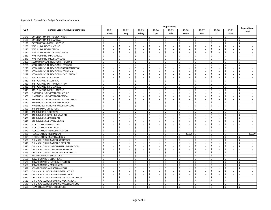| GL#<br><b>General Ledger Account Description</b><br>$10 - 02$<br>$10 - 03$<br>$10 - 04$<br>10-06<br>10-08<br>10-01<br>10-05<br>10-07<br>$10 - 11$                                                                                                                                                                                                       | Expenditure                                                      |
|---------------------------------------------------------------------------------------------------------------------------------------------------------------------------------------------------------------------------------------------------------------------------------------------------------------------------------------------------------|------------------------------------------------------------------|
|                                                                                                                                                                                                                                                                                                                                                         |                                                                  |
| E&I<br>Whs<br>Admin<br>Safety<br>Lab<br><b>Maint</b><br>Eng<br>Ops<br>IT                                                                                                                                                                                                                                                                                | <b>Total</b>                                                     |
| OXYGENATION-INSTRUMENTATION<br>\$<br>\$<br>\$<br>Ŝ.<br>\$<br>\$<br>\$<br>Ś<br>3170<br>Ś<br>$\sim$<br>$\overline{\phantom{a}}$<br>$\overline{\phantom{a}}$<br>$\overline{\phantom{a}}$<br>$\sim$                                                                                                                                                         | Ś<br>$\sim$                                                      |
| $\overline{\mathsf{S}}$<br>$\overline{\mathsf{S}}$<br>3180<br>OXYGENATION-MECHANICAL<br>Ŝ.<br><sup>\$</sup><br>Ŝ.<br>Ŝ.<br>Ś.<br>Ŝ.<br>Ś<br>$\mathbf{r}$<br>$\sim$<br>$\sim$<br>$\sim$<br>$\sim$<br>$\sim$<br>$\blacksquare$<br>$\sim$                                                                                                                  | Ś.<br>$\sim$<br>$\sim$                                           |
| 3199<br>OXYGENATION-MISCELLANEOUS<br>Ś<br>\$<br>\$<br>\$<br>Ś.<br>\$<br>\$<br>\$<br>Ś<br>$\sim$<br>$\sim$<br>$\sim$<br>$\sim$<br>$\sim$<br>$\sim$<br>$\sim$<br>$\sim$                                                                                                                                                                                   | \$<br>$\sim$<br>$\sim$                                           |
| Ś<br>\$<br>Ś<br>Ś<br>\$<br>\$.<br>Ś<br>3200<br>WAS PUMPING-STRUCTURE<br>Ŝ.<br>$\sim$<br>\$<br>$\sim$<br>$\sim$<br>÷<br>$\sim$<br>$\sim$<br>$\sim$<br>$\sim$                                                                                                                                                                                             | Ś<br>$\sim$                                                      |
| Ś<br>\$<br>\$<br>Ś<br>\$<br>\$<br>$\mathsf{\$}$<br>Ś<br>Ś.<br>3210<br>WAS PUMPING-ELECTRICAL<br>$\blacksquare$<br>$\blacksquare$<br>$\sim$<br>$\sim$<br>$\sim$<br>$\sim$<br>$\overline{\phantom{a}}$<br>$\sim$                                                                                                                                          | Ś<br>$\mathcal{L}_{\mathcal{A}}$<br>$\sim$                       |
| 3220<br>Ś<br>Ś<br>Ś<br>Ś.<br>Ś.<br>Ś.<br>Ś<br>Ś<br>WAS PUMPING-INSTRUMENTATION<br>$\blacksquare$<br>Ś<br>$\sim$<br>$\mathcal{L}_{\mathcal{A}}$<br>$\overline{a}$<br>$\mathcal{L}_{\mathcal{A}}$<br>$\sim$<br>$\sim$<br>$\sim$                                                                                                                           | Ś<br>$\mathcal{L}$<br>$\mathcal{L}_{\mathcal{A}}$                |
| Ŝ.<br>\$<br>\$<br>\$<br>\$<br>\$<br>\$<br>\$<br>3230<br>WAS PUMPING-MECHANICAL<br>$\mathcal{L}$<br>$\mathcal{L}^{\mathcal{A}}$<br>$\mathcal{L}$<br>$\sim$<br>$\sim$<br>\$<br>$\blacksquare$<br>$\sim$<br>$\mathbf{r}$                                                                                                                                   | Ś<br>$\mathcal{L}^{\mathcal{A}}$<br>$\mathcal{L}_{\mathcal{A}}$  |
| $\boldsymbol{\mathsf{S}}$<br>Ś.<br>\$<br>$\zeta$<br>\$<br>Ś<br>Ś.<br>Ś.<br>$\mathcal{L}$<br>\$<br>3249<br>WAS PUMPING-MISCELLANEOUS<br>$\mathcal{L}$<br>$\mathcal{L}^{\mathcal{A}}$<br>$\mathcal{L}^{\mathcal{A}}$<br>$\mathbf{r}$<br>$\mathcal{L}$<br>$\sim$<br>$\sim$                                                                                 | Ś<br>$\sim$<br>$\mathcal{L}$                                     |
| Ś<br>\$<br>Ś.<br>Ś.<br>\$<br>\$<br>\$<br>3250<br>SECONDARY CLARIFICATION-STRUCTURE<br>Ŝ.<br>$\sim$<br>Ś<br>$\mathcal{L}^{\mathcal{L}}$<br>$\mathcal{L}$<br>$\blacksquare$<br>$\mathcal{L}_{\mathcal{A}}$<br>$\sim$<br>$\sim$<br>$\blacksquare$                                                                                                          | Ś.<br>$\mathcal{L}_{\mathcal{A}}$<br>$\sim$                      |
| \$<br>\$<br>$\mathsf{\$}$<br>Ś<br>SECONDARY CLARIFICATION-ELECTRICAL<br>Ś<br>Ŝ.<br>Ś.<br>Ś<br>Ś.<br>3260<br>$\sim$<br>$\sim$<br>$\sim$<br>$\overline{\phantom{a}}$<br>$\sim$<br>$\sim$<br>$\sim$<br>$\sim$                                                                                                                                              | \$<br>$\sim$<br>$\sim$                                           |
| \$<br>\$<br>\$<br>3270<br>Ś<br>\$<br>\$<br>\$<br>\$<br>\$<br>SECONDARY CLARIFICATION-INSTRUMENTATION<br>$\mathcal{L}^{\mathcal{A}}$<br>$\sim$<br>$\mathcal{L}_{\mathcal{A}}$<br>$\mathcal{L}$<br>$\sim$<br>$\sim$<br>$\overline{\phantom{a}}$<br>$\sim$                                                                                                 | \$<br>$\mathcal{L}_{\mathcal{A}}$<br>$\sim$                      |
| $\overline{\mathsf{S}}$<br>$\overline{\mathsf{S}}$<br>$\overline{\mathsf{s}}$<br>Ś<br>3280<br>Ś<br>\$<br>Ś.<br>Ś<br>\$<br>SECONDARY CLARIFICATION-MECHANICAL<br>$\mathbb{Z}^+$<br>$\mathbb{Z}^2$<br>$\sim$<br>$\mathcal{L}_{\mathcal{A}}$<br>$\mathcal{L}^{\mathcal{L}}$<br>$\mathcal{L}^{\mathcal{L}}$<br>$\mathcal{L}$<br>$\mathcal{L}_{\mathcal{A}}$ | Ś<br>$\mathcal{L}_{\mathcal{A}}$<br>$\mathcal{L}_{\mathcal{A}}$  |
| Ś<br>Ś<br>Ś<br>Ś.<br>Ś<br>\$<br>Ś<br>Ś<br>Ś<br>3299<br>SECONDARY CLARIFICATION-MISCELLANEOUS<br>$\overline{\phantom{a}}$<br>$\overline{\phantom{a}}$<br>$\sim$<br>$\overline{\phantom{a}}$<br>$\overline{\phantom{a}}$<br>$\overline{\phantom{a}}$<br>$\sim$<br>$\overline{\phantom{a}}$                                                                | Ś<br>$\mathcal{L}_{\mathcal{A}}$<br>$\mathcal{L}_{\mathcal{A}}$  |
| Ś.<br>\$<br>$\mathsf{\hat{S}}$<br>Ś.<br>\$<br>\$<br>Ś<br>3300<br>RAS PUMPING-STRUCTURE<br>Ś.<br>$\mathbb{Z}^2$<br>\$<br>$\mathcal{L}$<br>$\mathbf{r}$<br>$\mathcal{L}$<br>$\mathcal{L}^{\mathcal{A}}$<br>$\mathcal{L}^{\mathcal{L}}$<br>$\mathcal{L}$<br>$\sim$                                                                                         | Ś<br>$\mathcal{L}$<br>$\mathcal{L}^{\mathcal{A}}$                |
| \$<br>\$<br>$\mathsf{S}$<br>3310<br>RAS PUMPING-ELECTRICAL<br>Ŝ.<br>\$<br>\$<br>\$<br>\$<br>$\sim$<br>$\mathcal{L}$<br>$\sim$<br>$\mathcal{L}_{\mathcal{A}}$<br>Ŝ.<br>$\mathcal{L}_{\mathcal{A}}$<br>$\sim$<br>$\sim$<br>$\sim$                                                                                                                         | \$<br>$\mathcal{L}_{\mathcal{A}}$<br>$\sim$                      |
| Ś<br>\$<br>Ś.<br>Ś.<br>Ś.<br>\$<br>\$<br>\$<br>Ś<br>3320<br>RAS PUMPING-INSTRUMENTATION<br>$\mathcal{L}^{\mathcal{L}}$<br>$\mathcal{L}$<br>$\sim$<br>$\sim$<br>$\sim$<br>$\sim$<br>$\blacksquare$<br>$\sim$                                                                                                                                             | Ś.<br>$\sim$<br>$\sim$                                           |
| Ś<br>$\mathsf{\hat{S}}$<br>\$<br>\$<br>Ś<br>3330<br>RAS PUMPING-MECHANICAL<br>Ŝ.<br>\$<br>Ś.<br>$\sim$<br>Ś<br>$\sim$<br>$\sim$<br>$\overline{\phantom{a}}$<br>$\sim$<br>$\sim$<br>$\overline{\phantom{a}}$<br>$\blacksquare$                                                                                                                           | \$<br>$\sim$<br>$\sim$                                           |
| \$<br>\$<br>3349<br>RAS PUMPING-MISCELLANEOUS<br>Ś<br>Ś<br>Ś<br>Ś.<br>Ś<br>\$<br>$\blacksquare$<br>Ś<br>÷.<br>$\sim$<br>$\overline{\phantom{a}}$<br>$\sim$<br>$\sim$<br>$\overline{\phantom{a}}$<br>$\sim$                                                                                                                                              | Ś<br>$\sim$<br>$\sim$                                            |
| Ś<br>\$<br>\$<br>\$<br>\$<br>\$<br>$\mathsf{\$}$<br>\$<br>\$<br>3350<br>$\overline{\phantom{a}}$<br>$\overline{\phantom{a}}$<br>PHOSPHORUS REMOVAL-STRUCTURE<br>$\sim$<br>$\overline{\phantom{a}}$<br>$\overline{\phantom{a}}$<br>$\sim$<br>$\overline{\phantom{a}}$<br>$\overline{\phantom{a}}$                                                        | Ś<br>$\overline{\phantom{a}}$<br>$\mathcal{L}_{\mathcal{A}}$     |
| Ś<br>Ś<br>Ś<br>Ś.<br>Ś<br>\$<br>Ś<br>$\mathsf{\$}$<br>Ś<br>3360<br>PHOSPHORUS REMOVAL-ELECTRICAL<br>÷.<br>$\mathcal{L}_{\mathcal{A}}$<br>$\overline{\phantom{a}}$<br>$\overline{\phantom{a}}$<br>$\sim$<br>$\overline{\phantom{a}}$                                                                                                                     | Ś<br>$\blacksquare$<br>$\sim$                                    |
| 3370<br>PHOSPHORUS REMOVAL-INSTRUMENTATION<br>Ŝ.<br>\$<br>\$<br>\$<br>\$<br>\$<br>\$<br>$\mathcal{L}$<br>$\bar{a}$<br>$\mathcal{L}^{\mathcal{L}}$<br>\$<br>$\sim$<br>$\mathcal{L}$<br>\$<br>$\blacksquare$<br>$\mathcal{L}_{\mathcal{A}}$<br>÷                                                                                                          | Ś<br>$\mathcal{L}^{\mathcal{A}}$<br>$\mathcal{L}_{\mathcal{A}}$  |
| 3380<br>Ś<br>\$<br>$\mathsf{\hat{S}}$<br>\$<br>Ś.<br>\$<br>\$<br>\$<br>\$<br>PHOSPHORUS REMOVAL-MECHANICAL<br>$\omega$<br>$\mathbb{Z}^2$<br>$\mathcal{L}$<br>$\mathbb{Z}^2$<br>$\mathcal{L}$<br>$\mathcal{L}$<br>$\mathcal{L}_{\mathcal{A}}$<br>$\mathcal{L}$                                                                                           | Ś.<br>$\sim$<br>$\mathcal{L}^{\mathcal{A}}$                      |
| \$<br>\$<br>\$<br>\$<br>\$<br>\$<br>\$<br>\$<br>\$<br>3399<br>PHOSPHORUS REMOVAL-MISCELLANEOUS<br>$\overline{\phantom{a}}$<br>$\overline{\phantom{a}}$<br>$\overline{\phantom{a}}$<br>$\sim$<br>$\sim$<br>$\overline{\phantom{a}}$<br>$\overline{\phantom{a}}$<br>$\sim$                                                                                | \$<br>$\sim$<br>$\sim$                                           |
| Ś<br>\$<br>3400<br>RAPID MIXING-STRUCTURE<br>Ŝ.<br>Ŝ.<br>\$<br>Ś.<br>$\omega$<br>Ś<br>$\sim$<br>Ś<br>$\sim$<br>Ś<br>$\mathcal{L}_{\mathcal{A}}$<br>$\mathcal{L}_{\mathcal{A}}$<br>$\mathcal{L}_{\mathcal{A}}$<br>$\blacksquare$<br>$\mathcal{L}_{\mathcal{A}}$                                                                                          | Ś<br>$\mathcal{L}_{\mathcal{A}}$<br>$\mathcal{L}_{\mathcal{A}}$  |
| \$<br>\$<br>\$<br>\$<br>3410<br>RAPID MIXING-ELECTRICAL<br>Ś<br>Ś<br>\$<br>Ś<br>Ś<br>÷.<br>$\sim$<br>$\sim$<br>$\overline{a}$<br>$\overline{\phantom{a}}$<br>$\overline{\phantom{a}}$<br>$\sim$<br>$\sim$                                                                                                                                               | Ś<br>$\mathbf{r}$                                                |
| Ś<br>Ś<br>\$<br>Ś<br>\$<br>Ś<br>Ś<br>Ś<br>Ś<br>$\overline{\phantom{a}}$<br>3420<br>$\mathcal{L}_{\mathcal{A}}$<br>$\mathcal{L}$<br>$\sim$<br>RAPID MIXING-INSTRUMENTATION<br>$\sim$<br>÷.<br>$\sim$<br>$\overline{\phantom{a}}$                                                                                                                         | Ś<br>$\mathcal{L}$<br>$\mathcal{L}_{\mathcal{A}}$                |
| 3430<br>RAPID MIXING-MECHANICAL<br>\$<br>\$<br>Ś<br>Ś.<br>\$<br>$\zeta$<br>Ś<br>$\overline{\phantom{a}}$<br>÷.<br>$\mathcal{L}_{\mathcal{A}}$<br>$\overline{\phantom{a}}$<br>$\sim$<br>$\overline{\phantom{a}}$                                                                                                                                         | $\zeta$<br>$\mathcal{L}$<br>$\sim$                               |
| Ś<br>\$<br>$\mathsf{\$}$<br>3449<br>RAPID MIXING-MISCELLANEOUS<br>\$<br>\$<br>\$<br>\$<br>$\mathcal{L}$<br>\$<br>\$<br>$\mathcal{L}$<br>$\sim$<br>$\sim$<br>$\sim$<br>$\mathcal{L}$<br>$\mathcal{L}$<br>$\mathbf{r}$                                                                                                                                    | Ś<br>$\mathcal{L}^{\mathcal{A}}$<br>$\mathcal{L}_{\mathcal{A}}$  |
| $\overline{\mathsf{s}}$<br>$\overline{\mathsf{s}}$<br>$\overline{\mathsf{S}}$<br>s,<br>$\overline{\mathsf{S}}$<br>$\overline{\mathsf{S}}$<br>\$<br>Ŝ.<br>\$<br>FLOCCULATION-STRUCTURE<br>$\sim$<br>$\sim$<br>$\mathcal{L}_{\mathcal{A}}$<br>$\sim$<br>3450<br>$\sim$<br>$\sim$<br>$\sim$<br>$\sim$                                                      | $\overline{\mathsf{S}}$<br>$\sim$<br>$\sim$                      |
| Ś<br>\$<br>\$<br>\$<br>Ś.<br>\$<br>\$<br>\$<br>\$<br>3460<br>FLOCCULATION-ELECTRICAL<br>$\sim$<br>$\sim$<br>$\sim$<br>$\sim$<br>$\blacksquare$<br>$\sim$<br>$\blacksquare$<br>$\sim$                                                                                                                                                                    | Ś.<br>$\sim$<br>$\blacksquare$                                   |
| \$<br>\$<br>\$<br>\$<br>\$<br>Ś<br>3470<br>FLOCCULATION-INSTRUMENTATION<br>\$<br>$\mathcal{L}_{\mathcal{A}}$<br>$\sim$<br>\$<br>$\sim$<br>\$<br>$\sim$<br>$\sim$<br>$\sim$<br>$\overline{\phantom{a}}$<br>$\sim$                                                                                                                                        | \$<br>$\sim$<br>$\sim$                                           |
| \$<br>20,000<br>Ś<br>Ś<br>\$<br>\$<br>Ś<br>Ś<br>3480<br>FLOCCULATION-MECHANICAL<br>\$<br>$\blacksquare$<br>Ś<br>$\sim$<br>$\sim$<br>$\sim$<br>$\sim$<br>$\sim$<br>$\sim$                                                                                                                                                                                | 20,000<br>Ś<br>$\sim$                                            |
| $\zeta$<br>$\zeta$<br>\$<br>$\mathsf{\hat{S}}$<br>$\mathsf{\hat{S}}$<br>$\sf S$<br>Ś<br>Ś<br>\$<br>3499<br>FLOCCULATION-MISCELLANEOUS<br>÷.<br>$\blacksquare$<br>$\overline{\phantom{a}}$<br>$\sim$<br>$\sim$<br>$\sim$<br>$\sim$<br>$\overline{\phantom{a}}$                                                                                           | Ś<br>$\sim$<br>$\overline{\phantom{a}}$                          |
| 3500<br>CHEMICAL CLARIFICATION-STRUCTURE<br>Ŝ.<br>$\zeta$<br>Ś<br>Ŝ.<br>Ś.<br>$\overline{\phantom{a}}$<br>\$<br>Ś<br>Ś<br>Ś<br>$\bar{a}$<br>$\overline{\phantom{a}}$<br>÷,<br>$\overline{\phantom{a}}$<br>$\sim$                                                                                                                                        | Ś<br>$\mathbb{Z}^2$<br>$\mathcal{L}$                             |
| Ś<br>\$<br>\$<br>$\zeta$<br>Ś<br>3510<br>CHEMICAL CLARIFICATION-ELECTRICAL<br>\$<br>Ŝ.<br>Ŝ.<br>$\sim$<br>\$<br>$\overline{a}$<br>$\sim$<br>÷.<br>$\sim$<br>$\overline{\phantom{a}}$<br>$\overline{\phantom{a}}$<br>$\sim$                                                                                                                              | Ś<br>$\sim$<br>$\sim$                                            |
| \$<br>$\zeta$<br>Ś<br>\$<br>Ś.<br>Ś.<br>\$<br>Ś<br>3520<br>$\mathcal{L}$<br>Ś.<br>$\mathcal{L}$<br>CHEMICAL CLARIFICATION-INSTRUMENTATION<br>$\mathcal{L}_{\mathcal{A}}$<br>$\sim$<br>$\mathcal{L}$<br>$\mathcal{L}$<br>$\mathcal{L}$<br>$\mathcal{L}_{\mathcal{A}}$                                                                                    | \$<br>$\mathcal{L}^{\mathcal{A}}$<br>$\sim$                      |
| Ś<br>\$<br>Ś<br>Ś.<br>Ś.<br>\$<br>\$<br>Ś<br>3530<br>CHEMICAL CLARIFICATION-MECHANICAL<br>Ś<br>$\sim$<br>$\sim$<br>$\sim$<br>$\sim$<br>$\sim$<br>$\overline{\phantom{a}}$<br>$\overline{\phantom{a}}$<br>$\sim$                                                                                                                                         | Ś.<br>$\sim$<br>$\overline{\phantom{a}}$                         |
| \$<br>\$<br>\$<br>\$<br>\$<br>\$<br>Ś<br>Ś<br>3549<br>CHEMICAL CLARIFICATION-MISCELLANEOUS<br>$\mathcal{L}_{\mathcal{A}}$<br>$\sim$<br>$\mathcal{L}_{\mathcal{A}}$<br>Ś<br>$\sim$<br>$\sim$<br>$\sim$<br>$\sim$<br>$\sim$                                                                                                                               | Ś<br>$\sim$<br>$\sim$                                            |
| $\mathsf{\mathsf{S}}$<br>Ś<br>Ś<br>\$<br>Ś<br>3550<br>RECARBONATION-STRUCTURE<br>Ś<br>Ś<br>Ŝ.<br>Ś<br>÷.<br>$\sim$<br>$\overline{\phantom{a}}$<br>$\overline{\phantom{a}}$<br>$\sim$<br>$\sim$<br>$\sim$<br>$\sim$                                                                                                                                      | Ś<br>$\mathbf{r}$<br>$\sim$                                      |
| Ś<br>\$<br>\$<br>Ś.<br>Ś.<br>\$<br>\$<br>$\mathsf{\$}$<br>Ś.<br>3560<br>RECARBONATION-ELECTRICAL<br>$\overline{\phantom{a}}$<br>$\overline{\phantom{a}}$<br>$\sim$<br>÷.<br>$\mathcal{L}_{\mathcal{A}}$<br>÷,<br>$\mathcal{L}_{\mathcal{A}}$<br>$\sim$                                                                                                  | Ś<br>$\mathcal{L}_{\mathcal{A}}$<br>$\blacksquare$               |
| \$<br>Ś<br>3570<br>Ŝ.<br>Ŝ.<br>Ś.<br>$\omega$<br>Ŝ.<br>$\omega$<br>Ś.<br>$\mathbb{Z}^2$<br>Ś<br>$\mathcal{L}$<br>Ŝ<br>$\mathcal{L}$<br>RECARBONATION-INSTRUMENTATION<br>$\mathbf{r}$<br>$\sim$<br>$\overline{\phantom{a}}$                                                                                                                              | $\mathcal{L}$<br>Ś<br>$\mathcal{L}^{\mathcal{L}}$                |
| Ś<br>$\mathsf{\hat{S}}$<br>\$<br>\$<br>Ś<br>3580<br>RECARBONATION-MECHANICAL<br>Ŝ.<br>\$<br>Ś.<br>$\mathcal{L}$<br>\$<br>$\mathcal{L}$<br>$\mathcal{L}$<br>$\sim$<br>$\sim$<br>$\mathcal{L}$<br>$\overline{a}$<br>$\overline{\phantom{a}}$                                                                                                              | Ś<br>$\mathcal{L}^{\mathcal{A}}$<br>$\mathcal{L}_{\mathcal{A}}$  |
| $\overline{\mathsf{S}}$<br>$\overline{\mathsf{s}}$<br>3599<br>Ś<br>\$<br>\$<br>Ś.<br>\$<br>\$<br>\$<br>RECARBONATION-MISCELLANEOUS<br>$\sim$<br>$\mathcal{L}$<br>$\mathcal{L}$<br>$\sim$<br>$\mathcal{L}$<br>$\mathcal{L}_{\mathcal{A}}$<br>$\mathcal{L}_{\mathcal{A}}$<br>$\sim$                                                                       | Ś.<br>$\omega$<br>$\sim$                                         |
| Ś<br>Ŝ.<br>Ś<br>\$<br>Ś<br>\$<br>Ś<br>\$<br>Ś<br>3600<br>$\overline{\phantom{a}}$<br>CHEMICAL SLUDGE PUMPING-STRUCTURE<br>$\sim$<br>$\sim$<br>$\overline{\phantom{a}}$<br>$\overline{\phantom{a}}$<br>$\sim$<br>$\sim$<br>$\sim$                                                                                                                        | Ś<br>$\blacksquare$<br>$\sim$                                    |
| $\sf S$<br>$\zeta$<br>Ś<br>\$<br>\$<br>Ś.<br>Ś.<br>\$<br>Ś<br>3610<br>CHEMICAL SLUDGE PUMPING-ELECTRICAL<br>$\sim$<br>$\sim$<br>$\sim$<br>$\overline{\phantom{a}}$<br>$\sim$<br>$\sim$<br>$\sim$<br>$\sim$                                                                                                                                              | \$<br>$\sim$<br>$\sim$                                           |
| 3620<br>Ś<br>\$<br>\$<br>\$<br>\$<br>\$<br>\$<br>\$<br>CHEMICAL SLUDGE PUMPING-INSTRUMENTATION<br>\$<br>$\sim$<br>$\sim$<br>$\overline{\phantom{a}}$<br>$\overline{\phantom{a}}$<br>$\sim$<br>$\sim$<br>$\overline{\phantom{a}}$<br>$\overline{\phantom{a}}$                                                                                            | \$<br>$\sim$<br>$\sim$                                           |
| Ś<br>\$<br>\$<br>Ś.<br>Ś.<br>\$<br>Ś<br>\$<br>Ś<br>3630<br>CHEMICAL SLUDGE PUMPING-MECHANICAL<br>÷,<br>$\overline{a}$<br>÷.<br>$\mathcal{L}_{\mathcal{A}}$<br>$\overline{a}$<br>$\overline{\phantom{a}}$                                                                                                                                                | Ś<br>$\sim$                                                      |
| Ŝ.<br>\$<br>\$<br>\$<br>\$<br>\$<br>\$<br>Ś<br>3649<br>CHEMICAL SLUDGE PUMPING-MISCELLANEOUS<br>$\mathcal{L}_{\mathcal{A}}$<br>\$<br>$\blacksquare$<br>$\mathcal{L}_{\mathcal{A}}$<br>$\sim$<br>$\sim$<br>$\sim$<br>$\sim$<br>$\sim$                                                                                                                    | \$<br>$\mathcal{L}_{\mathcal{A}}$<br>$\mathcal{L}_{\mathcal{A}}$ |
| $\mathsf{S}$<br>\$<br>\$<br>\$<br>3650<br>FLOW EQUALIZATION-STRUCTURE<br><sup>\$</sup><br>Ŝ.<br>Ŝ.<br>\$<br>Ŝ.<br>$\overline{a}$<br>÷<br>$\overline{a}$<br>$\overline{a}$                                                                                                                                                                               | \$<br>÷                                                          |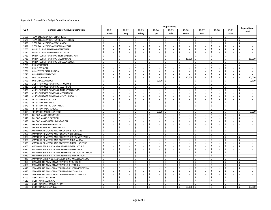|      | <b>Department</b>                               |         |                          |                                     |                                     |              |                             |                                   |                         |                             |         |                             |                         |                             |                                                      |    |                             |
|------|-------------------------------------------------|---------|--------------------------|-------------------------------------|-------------------------------------|--------------|-----------------------------|-----------------------------------|-------------------------|-----------------------------|---------|-----------------------------|-------------------------|-----------------------------|------------------------------------------------------|----|-----------------------------|
| GL#  | <b>General Ledger Account Description</b>       |         | 10-01                    | 10-02                               | $10 - 03$                           | 10-04        |                             | 10-05                             |                         | 10-06                       |         | $10 - 07$<br>10-08          |                         |                             | $10 - 11$                                            |    | <b>Expenditure</b>          |
|      |                                                 | Admin   |                          | Eng                                 | Safety                              | Ops          |                             | Lab                               |                         | Maint                       |         | E&I                         |                         | IT                          | Whs                                                  |    | <b>Total</b>                |
| 3660 | FLOW EQUALIZATION-ELECTRICAL                    | Ś       |                          | Ŝ.                                  | \$<br>$\sim$                        | \$           | $\sim$                      | Ŝ.<br>$\overline{\phantom{a}}$    | \$                      | $\sim$                      | \$      | $\sim$                      | Ŝ.                      |                             | \$<br>$\sim$                                         | \$ | $\sim$                      |
| 3670 | FLOW EQUALIZATION-INSTRUMENTATION               | Ś.      | $\sim$                   | \$<br>$\sim$                        | $\mathsf{\hat{S}}$<br>$\sim$        | Ŝ.           | $\sim$                      | Ś.<br>$\blacksquare$              | \$                      | $\sim$                      | Ś.      | $\mathbf{r}$                | Ŝ.                      | $\sim$                      | \$<br>$\sim$                                         | Ś. | $\sim$                      |
| 3680 | FLOW EQUALIZATION-MECHANICAL                    | Ś       | $\sim$                   | Ŝ.<br>$\overline{\phantom{a}}$      | Ś<br>$\sim$                         | Ś.           | $\sim$                      | Ś<br>$\sim$                       | \$                      | $\blacksquare$              | Ś       | $\sim$                      | Ŝ.                      | $\sim$                      | Ś<br>$\sim$                                          | Ś. | $\sim$                      |
| 3699 | FLOW EQUALIZATION-MISCELLANEOUS                 | Ś       | $\sim$                   | \$<br>$\sim$                        | \$<br>$\sim$                        | \$           | $\sim$                      | Ś<br>$\sim$                       | \$                      | $\sim$                      | \$      | $\overline{\phantom{a}}$    | Ś                       | $\sim$                      | \$<br>$\sim$                                         | Ś  | $\sim$                      |
| 3700 | BNR INFLUENT PUMPING-STRUCTURE                  | Ś       | $\sim$                   | Ś<br>$\sim$                         | Ś<br>÷.                             | Ś            | $\sim$                      | $\zeta$<br>$\blacksquare$         | \$                      | $\sim$                      | ς       | $\sim$                      | Ś                       | $\sim$                      | Ś<br>$\sim$                                          | Ś  | $\sim$                      |
| 3710 | BNR INFLUENT PUMPING-ELECTRICAL                 | Ś.      | $\sim$                   | Ś<br>$\overline{\phantom{a}}$       | Ś<br>$\overline{\phantom{a}}$       | Ś.           | $\overline{\phantom{a}}$    | $\overline{\phantom{a}}$          | \$                      | $\overline{\phantom{a}}$    | Ś       | $\overline{\phantom{a}}$    | Ś                       | $\sim$                      | Ś<br>$\overline{\phantom{a}}$                        | Ś  | $\blacksquare$              |
| 3720 | BNR INFLUENT PUMPING-INSTRUMENTATION            | Ś.      | $\mathbf{r}$             | \$<br>$\mathcal{L}$                 | \$<br>$\sim$                        | \$           | $\sim$                      | Ś<br>$\sim$                       | \$                      | $\sim$                      | Ś       | $\mathbf{r}$                | \$                      | $\sim$                      | \$<br>$\sim$                                         | \$ | $\sim$                      |
| 3730 | BNR INFLUENT PUMPING-MECHANICAL                 | \$      | $\sim$                   | \$<br>$\sim$                        | \$<br>$\sim$                        | \$           | $\mathcal{L}$               | Ś.<br>$\sim$                      | \$                      | 25,000                      | Ś       | $\mathcal{L}_{\mathcal{A}}$ | Ś                       | $\sim$                      | $\mathsf{\$}$<br>$\mathcal{L}_{\mathcal{A}}$         | \$ | 25,000                      |
| 3749 | BNR INFLUENT PUMPING-MISCELLANEOUS              | \$      | $\sim$                   | Ŝ.<br>$\sim$                        | Ś<br>$\sim$                         | Ś.           | $\sim$                      | Ś.<br>$\sim$                      | \$                      | $\overline{\phantom{a}}$    | ς       | $\overline{\phantom{a}}$    | Ŝ.                      | $\sim$                      | $\mathsf{\mathsf{S}}$<br>$\sim$                      | Ś  | $\sim$                      |
| 3750 | <b>BNR-STRUCTURE</b>                            | Ś       | $\sim$                   | \$<br>$\overline{\phantom{a}}$      | \$<br>$\sim$                        | \$           | $\sim$                      | Ś<br>$\blacksquare$               | \$                      | $\overline{\phantom{a}}$    | Ś       | $\sim$                      | \$                      | $\sim$                      | \$<br>$\overline{\phantom{a}}$                       | \$ | $\sim$                      |
| 3760 | <b>BNR-ELECTRICAL</b>                           | Ś       | $\sim$                   | Ś<br>$\sim$                         | Ś<br>÷.                             | Ś            | $\sim$                      | Ś<br>$\overline{\phantom{a}}$     | \$                      | $\overline{\phantom{a}}$    | Ś       | $\overline{\phantom{a}}$    | \$                      | $\sim$                      | Ś<br>$\sim$                                          | Ś  | $\sim$                      |
| 3761 | <b>BNR-POWER DISTRIBUTION</b>                   | Ś       | $\sim$                   | Ś<br>$\mathcal{L}_{\mathcal{A}}$    | \$<br>$\mathcal{L}^{\mathcal{A}}$   | Ś.           | $\mathcal{L}^{\mathcal{L}}$ | Ś.<br>$\mathbb{Z}^2$              | \$                      | $\overline{a}$              | ς       | $\omega$                    | Ś                       | $\sim$                      | Ś<br>$\sim$                                          | Ś  | $\blacksquare$              |
| 3770 | <b>BNR-INSTRUMENTATION</b>                      | Ś.      | $\sim$                   | Ŝ.<br>$\sim$                        | Ś.<br>$\omega$                      | Ŝ.           | $\omega$                    | Ś.<br>$\mathbb{Z}^2$              | \$                      | $\sim$                      | Ś       | $\sim$                      | Ŝ.                      | $\sim$                      | Ś<br>$\sim$                                          | \$ | $\sim$                      |
| 3780 | <b>BNR-MECHANICAL</b>                           | \$      | $\overline{a}$           | \$<br>$\mathcal{L}$                 | \$<br>$\sim$                        | \$           | $\sim$                      | Ś.<br>$\mathbb{Z}^2$              | \$                      | 30,000                      | Ś       | $\mathcal{L}$               | \$                      | $\sim$                      | \$<br>$\mathcal{L}$                                  | \$ | 30,000                      |
| 3799 | <b>BNR-MISCELLANEOUS</b>                        | $\zeta$ | $\sim$                   | \$<br>$\sim$                        | $\overline{\mathsf{s}}$<br>$\sim$   | Ś.           | 2.500                       | $\varsigma$<br>$\sim$             | Ŝ.                      | $\overline{\phantom{a}}$    | ς.      | $\sim$                      | $\overline{\mathsf{s}}$ | $\sim$                      | \$<br>$\sim$                                         | Ś. | 2.500                       |
| 3800 | MULTI-PURPOSE PUMPING-STRUCTURE                 | Ś       | $\sim$                   | \$<br>$\overline{\phantom{a}}$      | Ś<br>$\sim$                         | \$           | $\sim$                      | Ŝ.<br>$\sim$                      | \$                      | $\overline{\phantom{a}}$    | Ś       | $\overline{\phantom{a}}$    | \$                      | $\sim$                      | \$<br>$\sim$                                         | Ś  | $\sim$                      |
| 3810 | MULTI-PURPOSE PUMPING-ELECTRICAL                | Ś       | $\sim$                   | \$<br>$\sim$                        | Ś<br>$\sim$                         | \$           | $\sim$                      | $\mathbb{Z}^2$<br>Ŝ.              | \$                      | $\sim$                      | Ś       | $\sim$                      | \$                      | $\sim$                      | \$<br>$\sim$                                         | \$ | $\sim$                      |
| 3820 | MULTI-PURPOSE PUMPING-INSTRUMENTATION           | Ś       | $\sim$                   | Ś<br>$\sim$                         | \$<br>$\sim$                        | \$           | $\sim$                      | Ŝ.<br>$\sim$                      | \$                      | $\overline{\phantom{a}}$    | Ś       | $\mathbf{r}$                | Ś                       | $\sim$                      | $\mathsf{\hat{S}}$<br>$\sim$                         | Ś  | $\mathbf{r}$                |
| 3830 | MULTI-PURPOSE PUMPING-MECHANICAL                | $\zeta$ | $\sim$                   | \$<br>$\sim$                        | Ś<br>$\sim$                         | Ŝ.           | $\mathcal{L}_{\mathcal{A}}$ | $\mathcal{L}$                     | \$                      | $\overline{a}$              | $\zeta$ | $\mathcal{L}$               | \$                      | $\overline{\phantom{a}}$    | Ś<br>$\sim$                                          | \$ | $\sim$                      |
| 3849 | MULTI-PURPOSE PUMPING-MISCELLANEOUS             | \$      | $\sim$                   | Ŝ.<br>$\sim$                        | Ś.<br>$\sim$                        | Ś.           | $\sim$                      | Ś.<br>$\blacksquare$              | Ŝ.                      | $\mathcal{L}_{\mathcal{A}}$ | Ś       | $\mathcal{L}_{\mathcal{A}}$ | Ŝ.                      | $\sim$                      | \$<br>$\sim$                                         | Ś. | $\mathbf{r}$                |
| 3850 | FILTRATION-STRUCTURE                            | \$      | $\mathbf{r}$             | \$<br>$\sim$                        | \$<br>÷.                            | \$           | $\sim$                      | \$<br>$\sim$                      | \$                      | $\sim$                      | \$      | $\overline{\phantom{a}}$    | \$                      | $\sim$                      | \$<br>÷                                              | Ś  | $\sim$                      |
| 3860 | FILTRATION-ELECTRICAL                           | Ś       | $\overline{\phantom{a}}$ | \$<br>$\sim$                        | \$<br>$\sim$                        | \$           | $\mathcal{L}$               | Ś.<br>$\sim$                      | \$                      | $\sim$                      | Ś       | $\sim$                      | Ś                       | $\mathcal{L}_{\mathcal{A}}$ | $\mathsf{\mathsf{S}}$<br>$\mathcal{L}_{\mathcal{A}}$ | Ś. | $\sim$                      |
| 3870 | FILTRATION-INSTRUMENTATION                      | \$      | $\sim$                   | \$<br>$\overline{\phantom{a}}$      | \$<br>$\sim$                        | \$           | $\sim$                      | Ś<br>$\sim$                       | \$                      | $\overline{\phantom{a}}$    | \$      | $\blacksquare$              | \$                      | $\sim$                      | \$<br>$\sim$                                         | \$ | $\sim$                      |
| 3880 | FILTRATION-MECHANICAL                           | Ś       | $\sim$                   | Ŝ.<br>$\sim$                        | \$<br>$\mathcal{L}^{\mathcal{L}}$   | \$           | $\sim$                      | $\mathbb{Z}^2$<br>Ŝ.              | \$                      | $\mathcal{L}_{\mathcal{A}}$ | Ś       | $\mathcal{L}_{\mathcal{A}}$ | \$                      | $\sim$                      | \$<br>$\mathcal{L}_{\mathcal{A}}$                    | \$ | $\sim$                      |
| 3899 | FILTRATION-MISCELLANEOUS                        | Ś       | $\sim$                   | Ś<br>$\sim$                         | Ś<br>÷.                             | Ś            | 8,000                       | Ŝ.<br>$\overline{\phantom{a}}$    | \$                      | $\overline{\phantom{a}}$    | Ś       | $\overline{\phantom{a}}$    | Ś                       |                             | $\mathsf{\hat{S}}$<br>$\mathbf{r}$                   | Ś  | 8,000                       |
| 3900 | ION EXCHANGE-STRUCTURE                          | Ś       | $\sim$                   | Ŝ.<br>$\overline{\phantom{a}}$      | \$<br>÷.                            | Ŝ.           | $\mathcal{L}_{\mathcal{A}}$ | Ś<br>$\mathcal{L}$                | \$                      | $\sim$                      | Ś       | $\mathcal{L}$               | \$                      |                             | Ś<br>$\mathbf{r}$                                    | \$ | $\sim$                      |
| 3910 | ION EXCHANGE-ELECTRICAL                         | Ŝ.      | ÷                        | Ŝ.<br>$\sim$                        | \$<br>$\mathcal{L}$                 | \$           | $\mathcal{L}$               | Ŝ.<br>$\mathcal{L}_{\mathcal{A}}$ | \$                      | $\blacksquare$              | Ś       | $\sim$                      | Ŝ.                      | $\mathcal{L}_{\mathcal{A}}$ | \$<br>$\mathcal{L}_{\mathcal{A}}$                    | Ŝ. | $\sim$                      |
| 3920 | ION EXCHANGE-INSTRUMENTATION                    | \$      | $\mathbf{r}$             | \$<br>$\mathcal{L}_{\mathcal{A}}$   | $\mathsf{\hat{S}}$<br>$\sim$        | \$           | $\mathcal{L}$               | Ś.<br>$\mathbb{Z}^2$              | \$                      | $\mathcal{L}_{\mathcal{A}}$ | Ś.      | $\mathcal{L}_{\mathcal{A}}$ | Ś                       | $\sim$                      | $\zeta$<br>$\sim$                                    | \$ | $\mathcal{L}^{\mathcal{A}}$ |
| 3930 | ION EXCHANGE-MECHANICAL                         | Ś       | $\overline{\phantom{a}}$ | Ś<br>$\overline{\phantom{a}}$       | Ś<br>$\sim$                         | \$           | $\sim$                      | Ś<br>$\blacksquare$               | \$                      | $\overline{\phantom{a}}$    | Ś       | $\sim$                      | Ŝ.                      | $\sim$                      | \$<br>$\sim$                                         | Ś  | $\sim$                      |
| 3949 | ION EXCHANGE-MISCELLANEOUS                      | Ś       | $\sim$                   | Ŝ.<br>$\sim$                        | \$<br>$\sim$                        | Ś.           | $\sim$                      | Ś.<br>$\sim$                      | \$                      | $\overline{\phantom{a}}$    | Ś.      | $\sim$                      | Ŝ.                      | $\sim$                      | $\mathsf{\mathsf{S}}$<br>$\sim$                      | Ś. | $\sim$                      |
| 3950 | AMMONIA REMOVAL AND RECOVERY-STRUCTURE          | Ś       | $\sim$                   | \$<br>$\sim$                        | \$<br>$\sim$                        | \$           | $\sim$                      | Ś<br>$\overline{\phantom{a}}$     | \$                      | $\sim$                      | Ś       | $\overline{\phantom{a}}$    | \$                      | $\sim$                      | $\mathsf{\hat{S}}$<br>$\sim$                         | Ś  | $\sim$                      |
| 3960 | AMMONIA REMOVAL AND RECOVERY-ELECTRICAL         | Ś       |                          | Ś                                   | Ś<br>÷.                             | Ś.           | $\mathcal{L}_{\mathcal{A}}$ | $\mathcal{L}$                     | \$                      | $\overline{a}$              | Ś       | $\overline{a}$              | Ś                       |                             | Ś<br>÷,                                              | Ś  | $\mathcal{L}$               |
| 3970 | AMMONIA REMOVAL AND RECOVERY-INSTRUMENTATION    | Ś.      | $\sim$                   | Ŝ.<br>$\sim$                        | \$<br>$\sim$                        | Ŝ.           | $\sim$                      | Ś<br>$\overline{\phantom{a}}$     | \$                      | $\overline{a}$              | Ś       | $\overline{\phantom{a}}$    | Ś                       | $\sim$                      | Ś<br>$\sim$                                          | Ś  | $\mathbf{r}$                |
| 3980 | AMMONIA REMOVAL AND RECOVERY-MECHANICAL         | Ś.      | $\mathcal{L}$            | Ŝ.<br>$\mathcal{L}$                 | Ŝ.<br>$\sim$                        | Ŝ.           | $\sim$                      | Ś.<br>$\mathcal{L}$               | \$                      | $\mathcal{L}$               | Ś       | $\mathcal{L}$               | Ŝ.                      | $\sim$                      | \$<br>$\mathcal{L}$                                  | Ś. | $\sim$                      |
| 3999 | AMMONIA REMOVAL AND RECOVERY-MISCELLANEOUS      | \$      | $\sim$                   | \$<br>$\sim$                        | $\mathsf{\hat{S}}$<br>$\mathcal{L}$ | \$           | $\mathcal{L}$               | Ś.<br>$\sim$                      | \$                      | $\blacksquare$              | Ś.      | $\mathcal{L}_{\mathcal{A}}$ | Ś                       | $\sim$                      | $\mathsf{\mathsf{S}}$<br>$\sim$                      | Ś. | $\sim$                      |
| 4000 | AMMONIA STRIPPING AND ABSORBING-STRUCTURE       | Ś       | $\sim$                   | \$<br>$\sim$                        | \$<br>$\omega$                      | Ś.           | $\sim$                      | Ś.<br>$\mathbb{Z}^2$              | Ŝ.                      | $\blacksquare$              | Ś       | $\sim$                      | Ś                       | $\sim$                      | \$<br>$\sim$                                         | Ś. | $\sim$                      |
| 4010 | AMMONIA STRIPPING AND ABSORBING-ELECTRICAL      | \$      | $\sim$                   | \$<br>$\sim$                        | \$<br>$\sim$                        | Ś.           | $\mathcal{L}$               | Ś<br>$\mathcal{L}_{\mathcal{A}}$  | \$                      | $\overline{\phantom{a}}$    | Ś       | $\mathbf{r}$                | \$                      | $\sim$                      | \$<br>$\sim$                                         | Ś  | $\sim$                      |
| 4020 | AMMONIA STRIPPING AND ABSORBING-INSTRUMENTATION | Ś       | $\sim$                   | Ś<br>$\sim$                         | Ś<br>$\sim$                         | Ś            | $\sim$                      | $\zeta$<br>$\mathbb{Z}^2$         | $\overline{\mathsf{S}}$ | $\sim$                      | ς       | $\overline{\phantom{a}}$    | Ś                       |                             | Ś<br>$\sim$                                          | Ś  | $\overline{\phantom{a}}$    |
| 4030 | AMMONIA STRIPPING AND ABSORBING-MECHANICAL      | Ś       |                          | Ś                                   | Ś<br>÷,                             | Ś.           | $\overline{\phantom{a}}$    | Ś<br>$\sim$                       | \$                      |                             | Ś       | $\overline{a}$              | Ś                       |                             | Ś<br>÷,                                              | Ś  |                             |
| 4049 | AMMONIA STRIPPING AND ABSORBING-MISCELLANEOUS   | Ś.      | $\mathbf{r}$             | \$<br>$\sim$                        | \$<br>$\sim$                        | Ŝ.           | $\sim$                      | Ŝ.<br>$\mathcal{L}_{\mathcal{A}}$ | \$                      | $\sim$                      | Ś       | $\mathcal{L}$               | Ŝ.                      | $\overline{\phantom{a}}$    | \$<br>$\mathbf{r}$                                   | Ŝ. | $\sim$                      |
| 4050 | DEWATERING AMMONIA STRIPPING -STRUCTURE         | \$      | $\sim$                   | Ŝ.<br>$\mathcal{L}_{\mathcal{A}}$   | \$<br>$\mathcal{L}$                 | \$           | $\mathcal{L}$               | Ś.<br>$\mathcal{L}_{\mathcal{A}}$ | \$                      | $\blacksquare$              | Ŝ.      | $\sim$                      | Ś                       | $\mathcal{L}_{\mathcal{A}}$ | Ś<br>$\mathcal{L}_{\mathcal{A}}$                     | Ś. | $\sim$                      |
| 4060 | DEWATERING AMMONIA STRIPPING - ELECTRICAL       | $\zeta$ | $\sim$                   | $\sf S$<br>$\overline{\phantom{a}}$ | \$<br>$\sim$                        | \$           | $\sim$                      | $\zeta$<br>$\sim$                 | \$                      | $\sim$                      | $\zeta$ | $\overline{\phantom{a}}$    | \$                      | $\sim$                      | \$<br>$\sim$                                         | \$ |                             |
| 4070 | DEWATERING AMMONIA STRIPPING -INSTRUMENTATION   | Ś       | $\sim$                   | Ŝ.<br>$\sim$                        | \$<br>$\mathcal{L}_{\mathcal{A}}$   | \$           | $\sim$                      | Ś.<br>$\sim$                      | \$                      | $\overline{\phantom{a}}$    | Ś       | $\overline{\phantom{a}}$    | \$                      | $\mathcal{L}_{\mathcal{A}}$ | \$<br>$\sim$                                         | \$ | $\sim$                      |
| 4080 | DEWATERING AMMONIA STRIPPING -MECHANICAL        | Ś       | $\sim$                   | \$<br>$\sim$                        | \$<br>÷.                            | \$           | $\sim$                      | Ŝ.<br>$\overline{\phantom{a}}$    | \$                      | $\overline{\phantom{a}}$    | Ś       | $\sim$                      | \$                      | $\sim$                      | \$<br>$\sim$                                         | Ś  |                             |
| 4099 | DEWATERING AMMONIA STRIPPING -MISCELLANEOUS     | Ś       | $\sim$                   | Ś<br>$\mathcal{L}_{\mathcal{A}}$    | \$<br>$\mathcal{L}^{\mathcal{L}}$   | Ś            | $\mathcal{L}_{\mathcal{A}}$ | Ś<br>$\mathcal{L}_{\mathcal{A}}$  | $\overline{\xi}$        | $\blacksquare$              | Ś       | $\blacksquare$              | Ś                       | $\mathcal{L}_{\mathcal{A}}$ | \$<br>$\mathcal{L}_{\mathcal{A}}$                    | Ś  | $\blacksquare$              |
| 4100 | DIGESTION-STRUCTURE                             | $\zeta$ |                          | \$                                  | Ś<br>÷                              | Ś.           | $\sim$                      | $\overline{\phantom{a}}$          | \$                      | $\overline{\phantom{a}}$    | $\zeta$ | $\mathbf{r}$                |                         | $\sim$                      | Ś<br>$\sim$                                          |    | $\sim$                      |
| 4110 | DIGESTION-ELECTRICAL                            | Ŝ.      | $\overline{a}$           | Ŝ.<br>$\mathcal{L}$                 | \$<br>$\mathcal{L}$                 | Ŝ.           | $\sim$                      | Ś.<br>$\sim$                      | \$                      | $\mathcal{L}$               | Ś       | $\mathbf{r}$                | Ŝ.                      | $\sim$                      | \$<br>$\mathcal{L}$                                  | \$ | $\sim$                      |
| 4120 | DIGESTION-INSTRUMENTATION                       | \$      | $\sim$                   | \$<br>$\sim$                        | \$<br>$\sim$                        | \$           | $\sim$                      | \$<br>$\blacksquare$              | \$                      | $\sim$                      | ς       | $\sim$                      | \$                      | $\sim$                      | \$<br>$\sim$                                         | \$ | $\sim$                      |
| 4130 | DIGESTION-MECHANICAL                            | Ś       | $\sim$                   | \$<br>$\sim$                        | \$<br>$\sim$                        | $\mathsf{S}$ | $\sim$                      | \$<br>$\blacksquare$              | \$                      | 10.000                      | Ŝ.      | $\blacksquare$              | $\mathsf{S}$            | $\sim$                      | $\mathsf{\mathsf{S}}$<br>$\sim$                      | \$ | 10,000                      |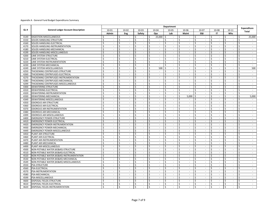|      |                                           | Department                              |                         |                             |                                     |              |                             |                                     |    |                             |         |                             |                         |                             |                                                      |                         |                             |
|------|-------------------------------------------|-----------------------------------------|-------------------------|-----------------------------|-------------------------------------|--------------|-----------------------------|-------------------------------------|----|-----------------------------|---------|-----------------------------|-------------------------|-----------------------------|------------------------------------------------------|-------------------------|-----------------------------|
| GL#  | <b>General Ledger Account Description</b> | 10-01                                   |                         | $10 - 02$                   | $10 - 03$                           | 10-04        |                             | 10-05                               |    | 10-06                       |         | $10 - 07$                   | 10-08                   |                             | $10 - 11$                                            |                         | Expenditure                 |
|      |                                           | Admin                                   |                         | Eng                         | Safety                              |              | Ops                         | Lab                                 |    | Maint                       |         | E&I                         |                         | IT                          | Whs                                                  |                         | <b>Total</b>                |
| 4149 | DIGESTION-MISCELLANEOUS                   | Ŝ.<br>$\sim$                            | -\$                     | $\overline{\phantom{a}}$    | \$<br>$\sim$                        | Ŝ.           | 25,000                      | Ŝ.<br>$\overline{\phantom{a}}$      | \$ | $\sim$                      | \$      | $\overline{\phantom{a}}$    | Ŝ                       |                             | -\$<br>$\sim$                                        | \$                      | 25,000                      |
| 4150 | SOLIDS HANDLING-STRUCTURE                 | \$<br>$\sim$                            | \$                      | $\sim$                      | \$<br>$\sim$                        | \$           | $\mathcal{L}_{\mathcal{A}}$ | \$<br>$\blacksquare$                | \$ | $\sim$                      | \$      | $\mathbf{r}$                | \$                      | $\sim$                      | \$<br>$\sim$                                         | \$                      | $\mathbf{r}$                |
| 4160 | SOLIDS HANDLING-ELECTRICAL                | Ś<br>$\overline{\phantom{a}}$           | \$                      | $\sim$                      | \$<br>$\sim$                        | $\mathsf{S}$ | $\sim$                      | Ś.<br>$\mathcal{L}_{\mathcal{A}}$   | \$ | $\sim$                      | Ś       | $\sim$                      | Ŝ.                      | $\sim$                      | \$<br>$\sim$                                         | Ś.                      | $\sim$                      |
| 4170 | SOLIDS HANDLING-INSTRUMENTATION           | \$<br>$\sim$                            | \$                      | $\sim$                      | \$<br>$\sim$                        | \$           | $\sim$                      | \$<br>$\blacksquare$                | \$ | $\overline{\phantom{a}}$    | \$      | $\sim$                      | \$                      | $\sim$                      | \$<br>$\sim$                                         | \$                      | $\sim$                      |
| 4180 | SOLIDS HANDLING-MECHANICAL                | Ś<br>$\sim$                             | \$                      | $\mathcal{L}_{\mathcal{A}}$ | Ś<br>$\mathcal{L}^{\mathcal{A}}$    | \$           | $\sim$                      | Ś<br>$\mathbb{Z}^2$                 | \$ | $\mathcal{L}$               | Ś       | $\mathcal{L}_{\mathcal{A}}$ | \$                      | $\sim$                      | Ś<br>$\mathcal{L}_{\mathcal{A}}$                     | Ś                       | $\sim$                      |
| 4199 | SOLIDS HANDLING-MISCELLANEOUS             | \$                                      | Ŝ.                      |                             | Ś<br>÷.                             | Ś.           | $\mathcal{L}_{\mathcal{A}}$ | Ś<br>$\sim$                         | \$ | $\overline{\phantom{a}}$    | Ś       | $\mathbf{r}$                | Ś                       |                             | $\mathsf{\hat{S}}$<br>$\sim$                         | Ś                       | $\overline{\phantom{a}}$    |
| 4200 | <b>LIME SYSTEM-STRUCTURE</b>              | Ś.<br>$\mathbf{r}$                      | Ŝ.                      | $\mathcal{L}$               | \$<br>$\mathbf{r}$                  | Ŝ.           | $\omega$                    | Ŝ.<br>$\mathbb{Z}^2$                | \$ | $\overline{\phantom{a}}$    | Ś       | $\overline{a}$              | Ŝ.                      | $\sim$                      | $\mathsf{\$}$<br>$\mathcal{L}$                       | Ś.                      | $\mathcal{L}$               |
| 4210 | LIME SYSTEM-ELECTRICAL                    | Ś<br>$\sim$                             | Ŝ.                      | $\sim$                      | $\mathsf{\hat{S}}$<br>$\mathcal{L}$ | \$           | $\mathcal{L}$               | Ś.<br>$\mathcal{L}_{\mathcal{A}}$   | \$ | $\mathcal{L}_{\mathcal{A}}$ | Ś       | $\mathcal{L}_{\mathcal{A}}$ | Ŝ.                      | $\sim$                      | \$<br>$\mathcal{L}$                                  | Ś.                      | $\sim$                      |
| 4220 | LIME SYSTEM-INSTRUMENTATION               | $\overline{\mathsf{s}}$<br>$\mathbf{r}$ | \$                      | $\sim$                      | $\varsigma$<br>$\sim$               | \$           | $\sim$                      | Ś.<br>$\mathbb{Z}^2$                | \$ | $\blacksquare$              | Ś.      | $\sim$                      | \$                      | $\sim$                      | $\varsigma$<br>$\sim$                                | \$                      | $\sim$                      |
| 4230 | LIME SYSTEM-MECHANICAL                    | Ś<br>$\overline{\phantom{a}}$           | Ŝ.                      | $\sim$                      | Ś<br>$\sim$                         | \$           | $\mathcal{L}_{\mathcal{A}}$ | Ś<br>$\sim$                         | \$ | $\overline{\phantom{a}}$    | Ś       | $\overline{\phantom{a}}$    | \$                      | $\mathcal{L}_{\mathcal{A}}$ | \$<br>$\sim$                                         | \$                      | $\sim$                      |
| 4249 | LIME SYSTEM-MISCELLANEOUS                 | Ś<br>$\sim$                             | \$                      | $\sim$                      | \$<br>$\sim$                        | Ś.           | 500                         | \$<br>$\sim$                        | \$ | $\overline{\phantom{a}}$    | \$      | $\sim$                      | Ś                       | $\sim$                      | $\zeta$<br>$\sim$                                    | Ś.                      | 500                         |
| 4250 | THICKENING CENTRIFUGES-STRUCTURE          | Ś<br>$\sim$                             | \$                      | $\sim$                      | \$<br>$\sim$                        | \$           | $\sim$                      | Ŝ.<br>$\sim$                        | \$ | $\sim$                      | Ś       | $\mathcal{L}_{\mathcal{A}}$ | \$                      | $\sim$                      | $\mathsf{\hat{S}}$<br>$\sim$                         | Ś                       | $\sim$                      |
| 4260 | THICKENING CENTRIFUGES-ELECTRICAL         | Ś                                       | Ś                       |                             | Ś<br>$\overline{\phantom{a}}$       | Ś.           | $\sim$                      | $\sim$                              | \$ | $\overline{\phantom{a}}$    | Ś       | $\overline{\phantom{a}}$    | Ś                       | $\sim$                      | Ś<br>$\sim$                                          | Ś                       | $\sim$                      |
| 4270 | THICKENING CENTRIFUGES-INSTRUMENTATION    | Ś.<br>$\sim$                            | \$                      | $\sim$                      | $\mathsf{\hat{S}}$<br>$\sim$        | Ŝ.           | $\sim$                      | Ś.<br>$\mathcal{L}_{\mathcal{A}}$   | \$ | $\sim$                      | Ś       | $\mathcal{L}$               | Ś                       | $\overline{\phantom{a}}$    | $\mathsf{\mathsf{S}}$<br>$\sim$                      | Ś                       | $\mathbf{r}$                |
| 4280 | THICKENING CENTRIFUGES-MECHANICAL         | \$<br>$\sim$                            | \$                      | $\sim$                      | \$<br>$\sim$                        | \$           | $\sim$                      | \$<br>$\sim$                        | \$ | $\sim$                      | ς.      | $\sim$                      | \$                      | $\sim$                      | \$<br>$\sim$                                         | \$                      | $\sim$                      |
| 4299 | THICKENING CENTRIFUGES-MISCELLANEOUS      | \$<br>$\sim$                            | Ŝ.                      | $\sim$                      | $\mathsf{\hat{S}}$<br>$\sim$        | \$           | $\sim$                      | Ś.<br>$\blacksquare$                | \$ | $\blacksquare$              | Ś.      | $\blacksquare$              | \$                      | $\sim$                      | $\mathsf{\mathsf{S}}$<br>$\sim$                      | Ś.                      | $\blacksquare$              |
| 4300 | DEWATERING-STRUCTURE                      | Ś<br>$\sim$                             | \$                      | $\sim$                      | \$<br>$\sim$                        | \$           | $\sim$                      | Ś<br>$\sim$                         | \$ | $\overline{\phantom{a}}$    | Ś       | $\sim$                      | \$                      | $\sim$                      | \$<br>$\overline{\phantom{a}}$                       | Ś                       | $\sim$                      |
| 4310 | DEWATERING-ELECTRICAL                     | Ś<br>$\sim$                             | \$                      | $\sim$                      | \$<br>$\sim$                        | \$           | $\mathcal{L}$               | Ś<br>$\mathcal{L}_{\mathcal{A}}$    | \$ | $\overline{\phantom{a}}$    | Ś       | $\mathbf{r}$                | \$                      | $\sim$                      | \$<br>$\mathbf{r}$                                   | \$                      | $\sim$                      |
| 4320 | DEWATERING-INSTRUMENTATION                | Ś<br>$\sim$                             | \$                      | $\overline{\phantom{a}}$    | \$<br>$\sim$                        | Ś.           | $\sim$                      | $\zeta$<br>$\overline{\phantom{a}}$ | \$ | $\overline{\phantom{a}}$    | \$      | $\overline{\phantom{a}}$    | \$                      | $\sim$                      | $\mathsf{\hat{S}}$<br>$\sim$                         | Ś                       | $\sim$                      |
| 4330 | DEWATERING-MECHANICAL                     | Ś                                       | Ś                       |                             | Ś<br>ä,                             | Ś.           | $\mathcal{L}$               | Ś<br>$\mathcal{L}$                  | \$ | 5,000                       | Ś       | $\overline{\phantom{a}}$    | Ś                       |                             | Ś<br>L.                                              | Ś                       | 5,000                       |
| 4349 | DEWATERING-MISCELLANEOUS                  | \$<br>÷                                 | \$                      | $\sim$                      | \$<br>÷                             | \$           | $\sim$                      | \$<br>$\mathcal{L}_{\mathcal{A}}$   | \$ | $\overline{\phantom{a}}$    | Ś       | $\blacksquare$              | \$                      | $\sim$                      | \$<br>÷                                              | \$                      | $\sim$                      |
| 4350 | <b>ODOROUS AIR-STRUCTURE</b>              | \$<br>$\mathcal{L}$                     | \$                      | $\mathcal{L}_{\mathcal{A}}$ | \$<br>$\sim$                        | \$           | $\mathcal{L}$               | Ś.<br>$\mathbb{Z}^2$                | \$ | $\sim$                      | Ś       | $\sim$                      | Ś                       | $\mathcal{L}_{\mathcal{A}}$ | $\zeta$<br>$\mathcal{L}_{\mathcal{A}}$               | Ś.                      | $\sim$                      |
| 4360 | <b>ODOROUS AIR-ELECTRICAL</b>             | Ś<br>$\overline{\phantom{a}}$           | Ŝ.                      | $\overline{\phantom{a}}$    | Ś<br>$\sim$                         | \$           | $\blacksquare$              | Ś<br>$\blacksquare$                 | \$ | $\overline{\phantom{a}}$    | Ś       | $\overline{\phantom{a}}$    | \$                      | $\sim$                      | \$<br>$\overline{\phantom{a}}$                       | Ś                       | $\sim$                      |
| 4370 | ODOROUS AIR-INSTRUMENTATION               | Ś<br>$\sim$                             | Ŝ.                      | $\sim$                      | \$<br>$\sim$                        | Ś.           | $\sim$                      | Ś<br>$\sim$                         | \$ | $\blacksquare$              | Ś       | $\sim$                      | Ś                       | $\sim$                      | \$<br>$\overline{\phantom{a}}$                       | \$                      | $\sim$                      |
| 4380 | ODOROUS AIR-MECHANICAL                    | Ś<br>$\sim$                             | \$                      | $\sim$                      | \$<br>$\sim$                        | \$           | $\sim$                      | \$<br>$\sim$                        | \$ | $\overline{\phantom{a}}$    | \$      | $\blacksquare$              | \$                      | $\sim$                      | \$<br>$\sim$                                         | Ś                       | $\sim$                      |
| 4399 | <b>ODOROUS AIR-MISCELLANEOUS</b>          | Ś<br>$\overline{\phantom{a}}$           | Ś                       | $\sim$                      | \$<br>ä,                            | Ś            | $\mathcal{L}_{\mathcal{A}}$ | Ś<br>$\mathcal{L}$                  | \$ | $\overline{\phantom{a}}$    | Ś       | $\mathcal{L}$               | Ś                       | $\sim$                      | Ś<br>$\sim$                                          | Ś                       | $\blacksquare$              |
| 4400 | <b>EMERGENCY POWER-STRUCTURE</b>          | Ś.<br>$\sim$                            | Ś                       | $\overline{\phantom{a}}$    | Ś<br>$\overline{\phantom{a}}$       | Ś.           | $\overline{\phantom{a}}$    | $\overline{\phantom{a}}$            | \$ | $\mathcal{L}_{\mathcal{A}}$ | Ś       | $\overline{\phantom{a}}$    | Ś                       | $\sim$                      | Ś<br>$\overline{\phantom{a}}$                        | Ś                       | $\blacksquare$              |
| 4410 | <b>EMERGENCY POWER-ELECTRICAL</b>         | Ŝ.<br>$\sim$                            | \$                      | $\mathcal{L}$               | \$<br>$\sim$                        | \$           | $\sim$                      | Ś<br>$\sim$                         | \$ | $\mathcal{L}$               | Ś       | $\mathcal{L}$               | \$                      | $\sim$                      | \$<br>$\sim$                                         | Ś                       | $\mathcal{L}^{\mathcal{A}}$ |
| 4420 | <b>EMERGENCY POWER-INSTRUMENTATION</b>    | Ś.<br>$\sim$                            | \$                      | $\sim$                      | $\mathsf{\hat{S}}$<br>$\sim$        | \$           | $\sim$                      | Ś.<br>$\sim$                        | \$ | $\overline{\phantom{a}}$    | Ś.      | $\sim$                      | $\mathsf{S}$            | $\sim$                      | $\mathsf{\$}$<br>$\sim$                              | \$                      | $\sim$                      |
| 4430 | <b>EMERGENCY POWER-MECHANICAL</b>         | Ś<br>$\sim$                             | \$                      | $\sim$                      | \$<br>$\mathcal{L}^{\mathcal{L}}$   | Ś.           | $\mathcal{L}$               | Ś<br>$\mathcal{L}_{\mathcal{A}}$    | \$ | $\overline{\phantom{a}}$    | Ś       | $\mathcal{L}$               | \$                      | $\sim$                      | $\mathsf{\mathsf{S}}$<br>$\sim$                      | Ś.                      | $\sim$                      |
| 4449 | <b>EMERGENCY POWER-MISCELLANEOUS</b>      | \$<br>$\sim$                            | \$                      | $\sim$                      | \$<br>$\mathcal{L}_{\mathcal{A}}$   | \$           | $\sim$                      | $\sim$<br>Ś                         | \$ | $\overline{\phantom{a}}$    | Ś       | $\sim$                      | \$                      | $\sim$                      | \$<br>$\sim$                                         | \$                      | $\sim$                      |
| 4450 | PLANT AIR-STRUCTURE                       | Ś<br>$\sim$                             | \$                      | $\sim$                      | \$<br>$\mathcal{L}^{\mathcal{L}}$   | Ś.           | $\sim$                      | Ś<br>$\blacksquare$                 | \$ | $\overline{\phantom{a}}$    | Ś.      | $\mathcal{L}$               | Ś                       | $\sim$                      | $\mathsf{\hat{S}}$<br>$\sim$                         | Ś                       | $\mathcal{L}^{\mathcal{A}}$ |
| 4460 | PLANT AIR-ELECTRICAL                      | Ś<br>$\overline{\phantom{a}}$           | Ś                       | $\sim$                      | \$<br>ä,                            | Ś.           | $\sim$                      | Ś<br>$\overline{\phantom{a}}$       | \$ | $\overline{\phantom{a}}$    | Ś       | $\overline{\phantom{a}}$    | Ś                       | $\sim$                      | Ś<br>$\sim$                                          | Ś                       | $\blacksquare$              |
| 4470 | PLANT AIR-INSTRUMENTATION                 | Ś.<br>$\sim$                            | Ŝ.                      | $\sim$                      | Ś.<br>$\sim$                        | Ŝ.           | $\sim$                      | Ś.<br>$\mathbb{Z}^2$                | \$ | $\sim$                      | Ś       | $\sim$                      | Ŝ.                      | $\sim$                      | \$<br>$\sim$                                         | Ś.                      | $\sim$                      |
| 4480 | PLANT AIR-MECHANICAL                      | \$<br>$\sim$                            | \$                      | $\sim$                      | \$<br>$\sim$                        | \$           | $\sim$                      | \$<br>$\mathcal{L}_{\mathcal{A}}$   | \$ | $\blacksquare$              | \$      | $\mathcal{L}_{\mathcal{A}}$ | \$                      | $\sim$                      | \$<br>$\sim$                                         | Ś                       | $\sim$                      |
| 4499 | PLANT AIR-MISCELLANEOUS                   | $\zeta$<br>$\sim$                       | \$                      | $\sim$                      | \$<br>$\sim$                        | Ś.           | $\sim$                      | Ś.<br>$\sim$                        | Ś. | $\overline{\phantom{a}}$    | $\zeta$ | $\sim$                      | \$                      | $\sim$                      | \$<br>$\sim$                                         | Ś.                      | $\sim$                      |
| 4500 | NON-POTABLE WATER (#2)-STRUCTURE         | Ś<br>$\overline{\phantom{a}}$           | \$                      | $\overline{\phantom{a}}$    | \$<br>$\blacksquare$                | \$           | $\sim$                      | Ś<br>$\blacksquare$                 | \$ | $\overline{\phantom{a}}$    | Ś       | $\overline{\phantom{a}}$    | \$                      | $\sim$                      | \$<br>$\overline{\phantom{a}}$                       | Ś                       | $\sim$                      |
| 4510 | NON-POTABLE WATER (#2)-ELECTRICAL        | Ś<br>$\sim$                             | Ŝ.                      | $\sim$                      | \$<br>$\sim$                        | Ŝ.           | $\sim$                      | Ŝ.<br>$\sim$                        | \$ | $\sim$                      | Ś       | $\sim$                      | Ś                       | $\sim$                      | Ś<br>$\sim$                                          | Ś                       | $\sim$                      |
| 4520 | NON-POTABLE WATER (#2)-INSTRUMENTATION   | Ś<br>$\sim$                             | Ś                       | $\sim$                      | \$<br>$\sim$                        | Ś            | $\sim$                      | Ŝ.<br>$\sim$                        | \$ | $\sim$                      | Ś.      | $\mathbf{r}$                | Ś                       | $\sim$                      | $\mathsf{\hat{S}}$<br>$\sim$                         | Ś                       | $\mathbf{r}$                |
| 4530 | NON-POTABLE WATER (#2)-MECHANICAL        | Ś<br>$\sim$                             | Ś                       | $\sim$                      | \$<br>$\sim$                        | Ŝ.           | $\mathcal{L}_{\mathcal{A}}$ | $\mathcal{L}_{\mathcal{A}}$         | \$ | $\sim$                      | Ś       | $\mathcal{L}$               | \$                      | $\sim$                      | $\mathsf{\hat{S}}$<br>$\sim$                         | \$                      | $\sim$                      |
| 4549 | NON-POTABLE WATER (#2)-MISCELLANEOUS     | \$<br>$\mathcal{L}$                     | Ŝ.                      | $\mathcal{L}$               | \$<br>$\sim$                        | \$           | $\sim$                      | Ŝ.<br>$\sim$                        | \$ | $\mathcal{L}$               | Ś       | $\sim$                      | Ŝ.                      | $\sim$                      | \$<br>$\sim$                                         | Ŝ.                      | $\sim$                      |
| 4550 | PSA-STRUCTURE                             | \$<br>$\sim$                            | \$                      | $\sim$                      | \$<br>$\sim$                        | \$           | $\sim$                      | \$<br>$\sim$                        | \$ | $\sim$                      | \$      | $\mathcal{L}$               | \$                      | $\sim$                      | \$<br>$\mathbf{r}$                                   | \$                      | $\sim$                      |
| 4560 | PSA-ELECTRICAL                            | Ś<br>$\overline{\phantom{a}}$           | \$                      | $\sim$                      | \$<br>$\sim$                        | Ś.           | $\mathcal{L}$               | Ś.<br>$\mathcal{L}$                 | Ŝ. | $\sim$                      | Ś       | $\mathcal{L}_{\mathcal{A}}$ | Ś                       | $\mathcal{L}_{\mathcal{A}}$ | \$<br>$\mathcal{L}_{\mathcal{A}}$                    | Ś.                      | $\mathcal{L}_{\mathcal{A}}$ |
| 4570 | PSA-INSTRUMENTATION                       | \$<br>$\sim$                            | \$                      | $\sim$                      | \$<br>$\blacksquare$                | \$           | $\sim$                      | \$<br>$\sim$                        | \$ | $\sim$                      | \$      | $\blacksquare$              | $\ddot{\mathsf{S}}$     | $\sim$                      | \$<br>$\sim$                                         | \$                      | $\sim$                      |
| 4580 | PSA-MECHANICAL                            | Ś<br>$\sim$                             | \$                      | $\sim$                      | $\mathsf{\hat{S}}$<br>$\sim$        | \$           | $\sim$                      | Ś<br>$\mathcal{L}$                  | \$ | $\sim$                      | Ś       | $\sim$                      | \$                      | $\sim$                      | $\mathsf{\mathsf{S}}$<br>$\mathcal{L}_{\mathcal{A}}$ | Ś                       | $\sim$                      |
| 4599 | PSA-MISCELLANEOUS                         | Ś<br>$\sim$                             | Ś                       | $\sim$                      | Ś<br>÷.                             | Ś            | ÷.                          | Ś<br>$\overline{\phantom{a}}$       | \$ | $\sim$                      | Ś       | $\overline{\phantom{a}}$    | Ś                       | $\sim$                      | $\mathsf{\hat{S}}$<br>$\mathbf{r}$                   | Ś                       | $\overline{\phantom{a}}$    |
| 4600 | DISPOSAL FIELDS-STRUCTURE                 | Ŝ.<br>$\sim$                            | Ŝ.                      | $\mathcal{L}$               | \$<br>$\mathcal{L}^{\mathcal{L}}$   | Ŝ.           | $\sim$                      | Ŝ.<br>$\overline{\phantom{a}}$      | \$ | $\mathcal{L}$               | Ś       | $\mathcal{L}$               | Ŝ.                      | $\sim$                      | Ś<br>$\mathbf{r}$                                    | Ś.                      | $\mathcal{L}^{\mathcal{A}}$ |
| 4610 | DISPOSAL FIELDS-ELECTRICAL                | Ś<br>$\sim$                             | \$                      | $\sim$                      | \$<br>$\sim$                        | \$           | $\sim$                      | \$<br>$\overline{\phantom{a}}$      | \$ | $\sim$                      | \$      | $\sim$                      | \$                      | $\sim$                      | \$<br>$\sim$                                         | \$                      | $\sim$                      |
| 4620 | DISPOSAL FIELDS-INSTRUMENTATION           | Ś.<br>$\mathbf{r}$                      | $\overline{\mathsf{s}}$ | $\mathcal{L}$               | $\overline{\mathsf{S}}$<br>÷.       | s,           | $\mathcal{L}^{\mathcal{A}}$ | $\overline{\mathsf{S}}$<br>$\sim$   | \$ | $\mathcal{L}$               | Ś.      | $\mathcal{L}^{\mathcal{A}}$ | $\overline{\mathsf{S}}$ | $\sim$                      | $\overline{\mathsf{S}}$<br>$\mathbf{r}$              | $\overline{\mathsf{S}}$ | $\mathcal{L}_{\mathcal{A}}$ |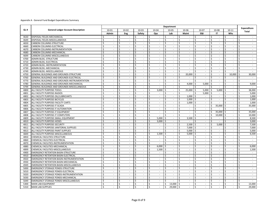|      | <b>Department</b>                                |                         |                          |                                   |                                     |                         |                             |                                  |                         |                             |     |                             |                         |                             |           |                             |                         |                             |
|------|--------------------------------------------------|-------------------------|--------------------------|-----------------------------------|-------------------------------------|-------------------------|-----------------------------|----------------------------------|-------------------------|-----------------------------|-----|-----------------------------|-------------------------|-----------------------------|-----------|-----------------------------|-------------------------|-----------------------------|
| GL#  | <b>General Ledger Account Description</b>        | 10-01                   |                          | 10-02                             | $10 - 03$                           |                         | 10-04                       | 10-05                            |                         | 10-06                       |     | 10-07                       | 10-08                   |                             | $10 - 11$ |                             |                         | Expenditure                 |
|      |                                                  | Admin                   |                          | Eng                               | Safety                              |                         | Ops                         | Lab                              |                         | <b>Maint</b>                |     | E&I                         |                         | IT                          |           | Whs                         |                         | Total                       |
| 4630 | DISPOSAL FIELDS-MECHANICAL                       | ς                       |                          | Ŝ.                                | \$<br>$\sim$                        | \$                      | $\sim$                      | Ŝ.<br>$\overline{\phantom{a}}$   | \$                      | $\overline{\phantom{a}}$    | \$  | $\overline{\phantom{a}}$    | \$.                     |                             | Ś         | $\sim$                      | Ś                       |                             |
| 4649 | DISPOSAL FIELDS-MISCELLANEOUS                    | Ŝ.                      | $\sim$                   | <sup>\$</sup><br>$\sim$           | $\overline{\mathsf{S}}$<br>$\sim$   | $\overline{\mathsf{s}}$ | $\sim$                      | Ŝ.<br>$\sim$                     | Ŝ.                      | $\sim$                      | Ś.  | $\sim$                      | Ŝ.                      | $\sim$                      | Ś         | $\sim$                      | Ś.                      | $\sim$                      |
| 4650 | <b>CARBON COLUMNS-STRUCTURE</b>                  | Ś                       | $\sim$                   | \$<br>$\sim$                      | \$<br>$\sim$                        | \$                      | $\sim$                      | Ś<br>$\sim$                      | \$                      | $\sim$                      | \$  | $\sim$                      | \$                      | $\sim$                      | Ś         | $\sim$                      | \$                      | $\sim$                      |
| 4660 | CARBON COLUMNS-ELECTRICAL                        | Ś                       | $\sim$                   | \$<br>$\sim$                      | Ś<br>÷                              | Ś                       | $\sim$                      | Ŝ.<br>$\sim$                     | \$                      | $\sim$                      | \$  | $\sim$                      | \$.                     | $\sim$                      | Ś         | $\sim$                      | \$                      |                             |
| 4670 | CARBON COLUMNS-INSTRUMENTATION                   | Ś                       | $\sim$                   | \$<br>$\sim$                      | \$<br>÷.                            | Ś                       | $\sim$                      | Ś<br>$\blacksquare$              | \$                      | $\overline{\phantom{a}}$    | \$  | $\sim$                      | \$                      | $\sim$                      | Ś         | $\mathcal{L}_{\mathcal{A}}$ | Ś                       | $\sim$                      |
| 4680 | CARBON COLUMNS-MECHANICAL                        | Ś                       | $\sim$                   | $\zeta$<br>$\sim$                 | Ś<br>$\sim$                         | Ś.                      | $\mathcal{L}_{\mathcal{A}}$ | $\overline{\phantom{a}}$         | Ś.                      | L.                          |     | $\sim$                      | Ś                       | $\sim$                      | Ś         | $\mathbf{r}$                | Ś                       | $\mathcal{L}$               |
| 4699 | CARBON COLUMNS-MISCELLANEOUS                     | Ŝ.                      | $\mathbf{r}$             | Ŝ.<br>$\sim$                      | \$<br>$\mathcal{L}^{\mathcal{A}}$   | \$                      | $\mathcal{L}^{\mathcal{L}}$ | \$<br>$\sim$                     | \$                      | $\sim$                      | \$  | $\mathcal{L}$               | \$                      | $\sim$                      | \$        | $\mathcal{L}^{\mathcal{A}}$ | Ś                       | $\mathcal{L}_{\mathcal{A}}$ |
| 4700 | ADMIN BLDG.-STRUCTURE                            | Ś                       | $\sim$                   | \$<br>$\sim$                      | Ś<br>$\mathcal{L}^{\mathcal{A}}$    | Ś.                      | $\mathcal{L}^{\mathcal{A}}$ | Ś.<br>$\mathcal{L}$              | \$                      | $\mathbf{r}$                | Ś.  | $\mathcal{L}$               | Ś                       | $\mathcal{L}$               | \$        | $\mathcal{L}$               | Ś                       | $\sim$                      |
| 4710 | ADMIN BLDG.-ELECTRICAL                           | Ŝ.                      | $\sim$                   | Ŝ.<br>$\sim$                      | \$<br>$\mathcal{L}^{\mathcal{L}}$   | Ś.                      | $\sim$                      | Ś.<br>$\sim$                     | Ŝ.                      | $\sim$                      | Ś   | $\blacksquare$              | \$                      | $\mathcal{L}_{\mathcal{A}}$ | \$        | $\sim$                      | Ś.                      | $\mathcal{L}_{\mathcal{A}}$ |
| 4720 | ADMIN BLDG.-INSTRUMENTATION                      | Ŝ.                      | $\sim$                   | Ŝ.<br>$\sim$                      | Ś<br>$\mathcal{L}_{\mathcal{A}}$    | Ś.                      | $\sim$                      | Ś<br>$\sim$                      | \$                      | $\sim$                      | Ś   | $\sim$                      | $\mathsf{\$}$           | $\sim$                      | Ś         | $\sim$                      | Ś.                      | $\sim$                      |
| 4730 | ADMIN BLDG.-MECHANICAL                           | Ŝ.                      | $\sim$                   | Ŝ.<br>$\sim$                      | \$<br>$\sim$                        | \$                      | $\sim$                      | \$<br>$\sim$                     | \$                      | $\overline{\phantom{a}}$    | \$  | $\mathcal{L}$               | \$                      | $\sim$                      | \$        | $\sim$                      | \$                      | $\sim$                      |
| 4749 | ADMIN BLDG.-MISCELLANEOUS                        | $\zeta$                 | $\sim$                   | Ś<br>$\mathcal{L}_{\mathcal{A}}$  | \$<br>$\mathcal{L}^{\mathcal{L}}$   | Ś.                      | $\mathcal{L}^{\mathcal{L}}$ | $\zeta$<br>$\mathbb{Z}^+$        | $\overline{\mathsf{S}}$ | $\sim$                      | Ś   | $\mathcal{L}_{\mathcal{A}}$ | $\overline{\mathsf{s}}$ | $\mathcal{L}_{\mathcal{A}}$ | Ś         | $\mathbf{r}$                | Ś                       | $\mathcal{L}_{\mathcal{A}}$ |
| 4750 | GENERAL BUILDINGS AND GROUNDS-STRUCTURE          | Ś                       | $\sim$                   | Ś<br>$\sim$                       | Ś<br>$\overline{\phantom{a}}$       | Ś.                      | $\overline{\phantom{a}}$    | Ś<br>$\overline{\phantom{a}}$    | \$                      | 20,000                      |     | $\overline{\phantom{a}}$    | Ś                       | $\sim$                      | Ś         | 10,000                      | Ś                       | 30,000                      |
| 4760 | GENERAL BUILDINGS AND GROUNDS-ELECTRICAL         | Ś                       | $\mathbf{r}$             | \$<br>$\mathcal{L}$               | \$<br>$\mathcal{L}^{\mathcal{A}}$   | Ś.                      | $\mathcal{L}^{\mathcal{L}}$ | Ś.<br>$\mathbb{Z}^2$             | \$                      | $\overline{\phantom{a}}$    | Ś.  | $\mathbb{Z}^2$              | \$                      | $\sim$                      | Ś         | $\overline{a}$              | Ś                       | $\sim$                      |
| 4770 | GENERAL BUILDINGS AND GROUNDS-INSTRUMENTATION    | Ś                       | $\sim$                   | \$<br>$\sim$                      | \$<br>$\sim$                        | \$                      | $\mathcal{L}$               | Ŝ.<br>$\sim$                     | \$                      | $\sim$                      | \$  | $\mathcal{L}_{\mathcal{A}}$ | Ś                       | $\sim$                      | \$        | $\mathcal{L}_{\mathcal{A}}$ | \$                      | $\sim$                      |
| 4780 | GENERAL BUILDINGS AND GROUNDS-MECHANICAL         | Ś                       | $\sim$                   | Ŝ.<br>$\sim$                      | Ś<br>$\sim$                         | Ś.                      | $\sim$                      | Ś.<br>$\sim$                     | \$                      | 4,000                       | \$  | 5,000                       | -\$                     | $\sim$                      | \$        | $\sim$                      | Ś.                      | 9,000                       |
| 4799 | GENERAL BUILDINGS AND GROUNDS-MISCELLANEOUS      | Ś                       | $\sim$                   | Ŝ.<br>$\overline{\phantom{a}}$    | $\mathsf{\hat{S}}$<br>$\sim$        | \$                      | $\sim$                      | Ś<br>$\sim$                      | \$                      | $\sim$                      | Ś   | $\sim$                      | \$                      | $\sim$                      | Ś         | $\overline{\phantom{a}}$    | \$                      | $\sim$                      |
| 4800 | ALL FACILITY PURPOSE-TOOLS                       | Ś                       | $\sim$                   | Ś<br>$\sim$                       | Ś<br>÷.                             | \$                      | 3,000                       | \$<br>$\blacksquare$             | \$                      | 25,000                      | -\$ | 5,000                       | ۱\$                     | 5,000                       | -\$       | $\sim$                      | Ś                       | 38,000                      |
| 4801 | ALL FACILITY PURPOSE-RADIOS                      | Ś                       | $\sim$                   | \$<br>$\sim$                      | \$<br>÷.                            | \$                      | $\sim$                      | Ś<br>$\overline{\phantom{a}}$    | \$                      | $\blacksquare$              | \$  | 5,000                       | \$                      | $\sim$                      | \$        | $\overline{\phantom{a}}$    | Ś                       | 5,000                       |
| 4802 | ALL FACILITY PURPOSE-OIL/LUBRICANTS              | Ś                       |                          | Ś                                 | Ś<br>÷.                             | Ś.                      | $\mathcal{L}_{\mathcal{A}}$ | Ś<br>$\overline{\phantom{a}}$    | \$                      | 1.000                       | \$  | $\blacksquare$              | \$                      | $\sim$                      | Ś         | $\mathcal{L}_{\mathcal{A}}$ | Ś                       | 1,000                       |
| 4803 | ALL FACILITY PURPOSE-BICYCLES                    | Ŝ.                      | ÷                        | \$<br>$\mathcal{L}$               | \$<br>÷                             | \$                      | $\mathcal{L}^{\mathcal{L}}$ | \$<br>$\overline{\phantom{a}}$   | \$                      | 1,000                       | \$  | $\blacksquare$              | \$                      | $\mathcal{L}$               | \$        | $\mathcal{L}^{\mathcal{A}}$ | Ś                       | 1,000                       |
| 4804 | ALL FACILITY PURPOSE-FACILITY CARTS              | \$                      | $\mathcal{L}$            | \$<br>$\mathcal{L}_{\mathcal{A}}$ | Ś.<br>$\omega$                      | \$                      | $\mathcal{L}$               | Ŝ.<br>$\mathbb{Z}^2$             | \$                      | 1.000                       | Ŝ.  | $\mathcal{L}_{\mathcal{A}}$ | \$                      | $\sim$                      | Ś.        | $\mathcal{L}^{\mathcal{A}}$ | Ś.                      | 1,000                       |
| 4805 | ALL FACILITY PURPOSE-IT SCADA                    | \$                      | $\overline{\phantom{a}}$ | \$<br>$\overline{\phantom{a}}$    | \$<br>$\sim$                        | \$                      | $\sim$                      | \$<br>$\sim$                     | \$                      | $\sim$                      | Ś   | $\sim$                      | \$                      | 35,000                      | \$        | $\sim$                      | \$                      | 35,000                      |
| 4806 | ALL FACILITY PURPOSE-IT AUTOMATION               | Ś                       | $\sim$                   | Ŝ.<br>$\mathcal{L}_{\mathcal{A}}$ | Ś<br>$\mathcal{L}_{\mathcal{A}}$    | Ś.                      | $\mathcal{L}_{\mathcal{A}}$ | Ś<br>$\sim$                      | \$                      | $\mathcal{L}_{\mathcal{A}}$ | Ś   | $\overline{\phantom{a}}$    | Ŝ                       | $\sim$                      | Ś         | $\mathcal{L}_{\mathcal{A}}$ | Ś                       | $\mathbb{Z}^2$              |
| 4807 | ALL FACILITY PURPOSE-IT EQUIPMENT                | Ś                       | $\sim$                   | Ś<br>$\sim$                       | \$<br>÷.                            | \$                      | $\sim$                      | Ś<br>$\sim$                      | \$                      | $\overline{\phantom{a}}$    | Ś   | $\sim$                      | Ś                       | 35,000                      | Ś         | $\sim$                      | Ś                       | 35,000                      |
| 4808 | ALL FACILITY PURPOSE-IT COMPUTERS                | Ś                       | $\sim$                   | Ś<br>$\sim$                       | \$<br>÷.                            | Ś.                      | $\mathcal{L}_{\mathcal{A}}$ | Ś<br>$\overline{\phantom{a}}$    | \$                      | $\overline{\phantom{a}}$    | Ś   | $\overline{\phantom{a}}$    | Ś                       | 10,000                      | Ś         | $\mathcal{L}$               | Ś                       | 10,000                      |
| 4809 | ALL FACILITY PURPOSE-SMALL EQUIPMENT             | \$                      |                          | \$                                | Ś<br>$\sim$                         | Ś.                      | 5,000                       | $\overline{\phantom{a}}$         | \$                      | 3,500                       |     | $\overline{\phantom{a}}$    |                         |                             | \$        | $\mathcal{L}_{\mathcal{A}}$ | $\zeta$                 | 8,500                       |
| 4810 | ALL FACILITY PURPOSE-HOSES                       | Ś                       | $\overline{a}$           | \$<br>$\sim$                      | \$<br>$\sim$                        | \$                      | 3,000                       | \$<br>$\sim$                     | \$                      | $\sim$                      | \$  | $\mathcal{L}$               | $\mathsf{\$}$           | $\overline{a}$              | \$        | $\mathcal{L}^{\mathcal{A}}$ | Ś                       | 3,000                       |
| 4811 | ALL FACILITY PURPOSE-SECURITY                    | $\overline{\mathsf{s}}$ | $\sim$                   | Ŝ.<br>$\sim$                      | $\overline{\mathsf{S}}$<br>$\sim$   | $\overline{\mathsf{S}}$ | $\sim$                      | Ŝ.<br>$\sim$                     | s,                      | 2,500                       | Ŝ.  | $\mathcal{L}_{\mathcal{A}}$ | $\overline{\mathsf{S}}$ | 5,000                       | Ś         | $\sim$                      | $\overline{\mathsf{S}}$ | 7,500                       |
| 4812 | ALL FACILITY PURPOSE-JANITORIAL SUPPLIES         | Ś                       | $\sim$                   | \$<br>$\sim$                      | \$<br>$\sim$                        | $\mathsf{S}$            | $\sim$                      | Ś.<br>$\sim$                     | \$                      | 7,000                       | Ŝ.  | $\blacksquare$              | \$                      | $\sim$                      | Ś         | $\sim$                      | Ś.                      | 7,000                       |
| 4813 | ALL FACILITY PURPOSE-PAINT SUPPLIES              | \$                      | $\sim$                   | \$<br>$\sim$                      | \$<br>$\mathcal{L}_{\mathcal{A}}$   | \$                      | $\sim$                      | Ŝ.<br>$\blacksquare$             | \$                      | 5,000                       | \$  | $\sim$                      | \$                      | $\sim$                      | Ś         | $\sim$                      | \$                      | 5,000                       |
| 4849 | ALL FACILITY PURPOSE-MISCELLANEOUS               | Ś                       | $\sim$                   | Ś<br>$\sim$                       | \$<br>$\sim$                        | \$                      | 1,500                       | Ŝ.<br>$\blacksquare$             | \$                      | 5,000                       | Ŝ   | $\sim$                      | Ś                       | $\sim$                      | Ś         | $\sim$                      | Ś                       | 6,500                       |
| 4850 | CHEMICAL FACILITIES-STRUCTURE                    | $\zeta$                 |                          | $\zeta$<br>$\sim$                 | \$<br>÷.                            | $\mathsf{\hat{S}}$      | $\sim$                      | $\zeta$<br>$\mathbf{r}$          | \$                      | $\sim$                      | \$  | $\overline{\phantom{a}}$    | Ś                       | $\sim$                      | Ś         | $\sim$                      | Ś                       | $\sim$                      |
| 4860 | CHEMICAL FACILITIES-ELECTRICAL                   | Ŝ.                      |                          | $\zeta$                           | Ś<br>$\overline{\phantom{a}}$       | Ŝ.                      | $\overline{\phantom{a}}$    | $\overline{\phantom{a}}$         | Ś.                      | ÷,                          | Ś   | $\mathcal{L}$               | Ś                       | $\sim$                      | Ś         | $\mathcal{L}$               | Ś                       | $\mathbb{Z}^+$              |
| 4870 | CHEMICAL FACILITIES-INSTRUMENTATION              | Ś                       | $\overline{a}$           | Ŝ.<br>$\sim$                      | \$<br>÷.                            | Ŝ.                      | $\sim$                      | Ŝ.<br>$\sim$                     | \$                      | $\overline{\phantom{a}}$    | \$  | $\overline{\phantom{a}}$    | $\zeta$                 | $\sim$                      | Ś         | $\sim$                      | Ś                       | $\sim$                      |
| 4880 | CHEMICAL FACILITIES-MECHANICAL                   | Ś                       | $\sim$                   | \$<br>$\sim$                      | \$<br>$\sim$                        | \$                      | 6,000                       | Ś.<br>$\mathbb{Z}^2$             | \$                      | $\mathcal{L}$               | Ś   | $\mathcal{L}_{\mathcal{A}}$ | Ś                       | $\sim$                      | Ś         | $\mathcal{L}^{\mathcal{A}}$ | Ś.                      | 6,000                       |
| 4899 | CHEMICAL FACILITIES-MISCELLANEOUS                | Ś                       | $\sim$                   | \$<br>$\sim$                      | Ś<br>$\sim$                         | Ś.                      | 1,500                       | Ŝ.<br>$\sim$                     | \$                      | $\overline{\phantom{a}}$    | Ś   | $\overline{\phantom{a}}$    | \$                      | $\sim$                      | Ś         | $\sim$                      | Ś.                      | 1,500                       |
| 4900 | <b>EMERGENCY RETENTION BASIN-STRUCTURE</b>       | Ŝ.                      | $\sim$                   | \$<br>$\sim$                      | \$<br>$\mathcal{L}_{\mathcal{A}}$   | \$                      | $\sim$                      | Ś<br>$\mathcal{L}_{\mathcal{A}}$ | \$                      | $\sim$                      | Ś   | $\sim$                      | $\mathsf{\$}$           | $\sim$                      | Ś         | $\sim$                      | Ś                       | $\sim$                      |
| 4910 | <b>EMERGENCY RETENTION BASIN-ELECTRICAL</b>      | Ś                       | $\sim$                   | Ś<br>$\sim$                       | Ś<br>÷.                             | Ś                       | $\sim$                      | Ŝ.<br>$\overline{\phantom{a}}$   | \$                      | $\sim$                      | Ś   | $\overline{a}$              | Ś                       | $\sim$                      | Ś         | $\mathbf{r}$                | Ś                       | $\sim$                      |
| 4920 | <b>EMERGENCY RETENTION BASIN-INSTRUMENTATION</b> | Ś                       | $\overline{\phantom{a}}$ | \$<br>$\sim$                      | \$<br>÷.                            | Ś.                      | $\mathcal{L}_{\mathcal{A}}$ | Ś<br>$\blacksquare$              | \$                      | ÷,                          | Ś   | $\overline{\phantom{a}}$    | \$                      | $\sim$                      | Ś         | $\sim$                      | Ś                       | $\blacksquare$              |
| 4930 | <b>EMERGENCY RETENTION BASIN-MECHANICAL</b>      | Ŝ.                      | $\mathbf{r}$             | Ŝ.<br>$\sim$                      | Ś.<br>÷.                            | Ŝ.                      | $\omega$                    | Ŝ.<br>$\mathbb{Z}^2$             | Ś.                      | $\overline{\phantom{a}}$    | Ś   | $\mathcal{L}$               | Ŝ                       | $\mathcal{L}$               | Ś         | $\mathcal{L}$               | Ś                       | $\mathcal{L}^{\mathcal{L}}$ |
| 4949 | <b>EMERGENCY RETENTION BASIN-MISCELLANEOUS</b>   | Ś                       | $\overline{a}$           | Ŝ.<br>$\overline{\phantom{a}}$    | $\mathsf{\hat{S}}$<br>$\mathcal{L}$ | \$                      | $\mathcal{L}$               | Ś<br>$\mathcal{L}_{\mathcal{A}}$ | \$                      | $\overline{\phantom{a}}$    | \$  | $\sim$                      | $\mathsf{\$}$           | $\mathcal{L}$               | Ś         | $\mathcal{L}^{\mathcal{A}}$ | Ś                       | $\mathcal{L}_{\mathcal{A}}$ |
| 5000 | <b>EMERGENCY STORAGE PONDS-STRUCTURE</b>         | Ś                       | $\mathcal{L}$            | \$<br>$\sim$                      | $\overline{\mathsf{S}}$<br>$\sim$   | \$                      | $\mathcal{L}$               | Ś.<br>$\mathcal{L}$              | \$                      | $\sim$                      | \$  | $\mathcal{L}_{\mathcal{A}}$ | $\overline{\mathsf{s}}$ | $\sim$                      | Ś         | $\mathcal{L}^{\mathcal{A}}$ | Ś.                      | $\sim$                      |
| 5010 | EMERGENCY STORAGE PONDS-ELECTRICAL               | Ś                       | $\sim$                   | Ŝ.<br>$\sim$                      | Ś<br>$\sim$                         | \$                      | $\sim$                      | Ś<br>$\overline{\phantom{a}}$    | \$                      | $\overline{\phantom{a}}$    | Ś   | $\overline{\phantom{a}}$    | Ś                       | $\sim$                      | Ś         | $\sim$                      | Ś                       | $\blacksquare$              |
| 5020 | <b>EMERGENCY STORAGE PONDS-INSTRUMENTATION</b>   | Ś                       | $\sim$                   | \$<br>$\sim$                      | \$<br>$\sim$                        | Ś.                      | $\sim$                      | Ś.<br>$\sim$                     | \$                      | $\sim$                      | Ś.  | $\sim$                      | \$                      | $\sim$                      | Ś         | $\sim$                      | Ś.                      | $\sim$                      |
| 5030 | <b>EMERGENCY STORAGE PONDS-MECHANICAL</b>        | Ś                       | $\sim$                   | \$<br>$\sim$                      | \$<br>$\sim$                        | \$                      | $\sim$                      | \$<br>$\blacksquare$             | \$                      | $\overline{\phantom{a}}$    | \$  | $\sim$                      | Ś                       | $\sim$                      | Ś         | $\sim$                      | \$                      | $\sim$                      |
| 5049 | <b>EMERGENCY STORAGE PONDS-MISCELLANEOUS</b>     | Ś                       |                          | $\zeta$                           | $\zeta$<br>÷.                       | Ś.                      | $\mathcal{L}_{\mathcal{A}}$ | $\overline{a}$                   | Ś.                      | $\overline{a}$              | Ś   | $\overline{a}$              | \$                      | $\overline{\phantom{a}}$    | Ś         | $\sim$                      | Ś                       | $\mathcal{L}$               |
| 5300 | MAIN LAB-EQUIPMENT                               | Ŝ.                      | ÷                        | Ŝ.<br>$\sim$                      | \$<br>$\sim$                        | \$                      | $\mathcal{L}$               | 13,000<br>Ś                      | \$                      | $\sim$                      | \$  | $\mathcal{L}$               | \$                      | $\sim$                      | Ś         | $\mathcal{L}_{\mathcal{A}}$ | Ś                       | 13,000                      |
| 5310 | <b>MAIN LAB-SUPPLIES</b>                         | $\mathsf{S}$            | $\overline{a}$           | <sup>\$</sup>                     | Ś.                                  | Ŝ.                      |                             | 29,000<br>Ŝ.                     | Ŝ.                      |                             | Ŝ.  |                             | \$                      |                             | \$        |                             | Ś                       | 29,000                      |